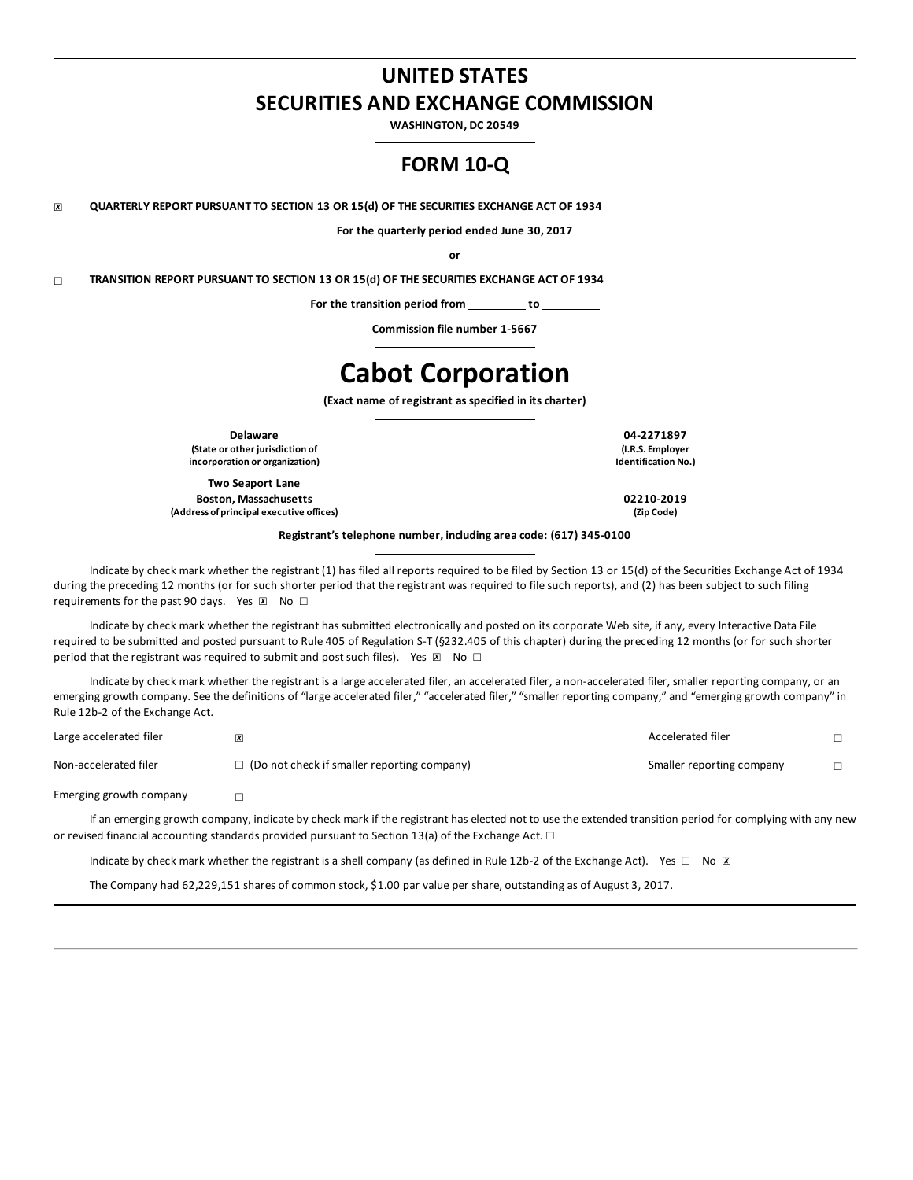# **UNITED STATES SECURITIES AND EXCHANGE COMMISSION**

**WASHINGTON, DC 20549**

## **FORM 10-Q**

☒ **QUARTERLY REPORT PURSUANT TO SECTION 13 OR 15(d) OF THE SECURITIES EXCHANGE ACT OF 1934**

**For the quarterly period ended June 30, 2017**

**or**

☐ **TRANSITION REPORT PURSUANT TO SECTION 13 OR 15(d) OF THE SECURITIES EXCHANGE ACT OF 1934**

**For the transition period from to**

**Commission file number 1-5667**

# **Cabot Corporation**

**(Exact name of registrant as specified in its charter)**

**Delaware 04-2271897 (State or other jurisdiction of incorporation or organization)**

**Two Seaport Lane Boston, Massachusetts 02210-2019 (Address of principal executive offices) (Zip Code)**

**(I.R.S. Employer Identification No.)**

**Registrant's telephone number, including area code: (617) 345-0100**

Indicate by check mark whether the registrant (1) has filed all reports required to be filed by Section 13 or 15(d) of the Securities Exchange Act of 1934 during the preceding 12 months (or for such shorter period that the registrant was required to file such reports), and (2) has been subject to such filing requirements for the past 90 days. Yes  $\boxtimes$  No  $\Box$ 

Indicate by check mark whether the registrant has submitted electronically and posted on its corporate Web site, if any, every Interactive Data File required to be submitted and posted pursuant to Rule 405 of Regulation S-T (§232.405 of this chapter) during the preceding 12 months (or for such shorter period that the registrant was required to submit and post such files). Yes  $\boxtimes$  No  $\Box$ 

Indicate by check mark whether the registrant is a large accelerated filer, an accelerated filer, a non-accelerated filer, smaller reporting company, or an emerging growth company. See the definitions of "large accelerated filer," "accelerated filer," "smaller reporting company," and "emerging growth company" in Rule 12b-2 of the Exchange Act.

| Large accelerated filer |                                                    | Accelerated filer         |  |
|-------------------------|----------------------------------------------------|---------------------------|--|
| Non-accelerated filer   | $\Box$ (Do not check if smaller reporting company) | Smaller reporting company |  |
| Emerging growth company |                                                    |                           |  |

If an emerging growth company, indicate by check mark if the registrant has elected not to use the extended transition period for complying with any new or revised financial accounting standards provided pursuant to Section 13(a) of the Exchange Act. □

Indicate by check mark whether the registrant is a shell company (as defined in Rule 12b-2 of the Exchange Act). Yes □ No **⊠** 

The Company had 62,229,151 shares of common stock, \$1.00 par value per share, outstanding as of August 3, 2017.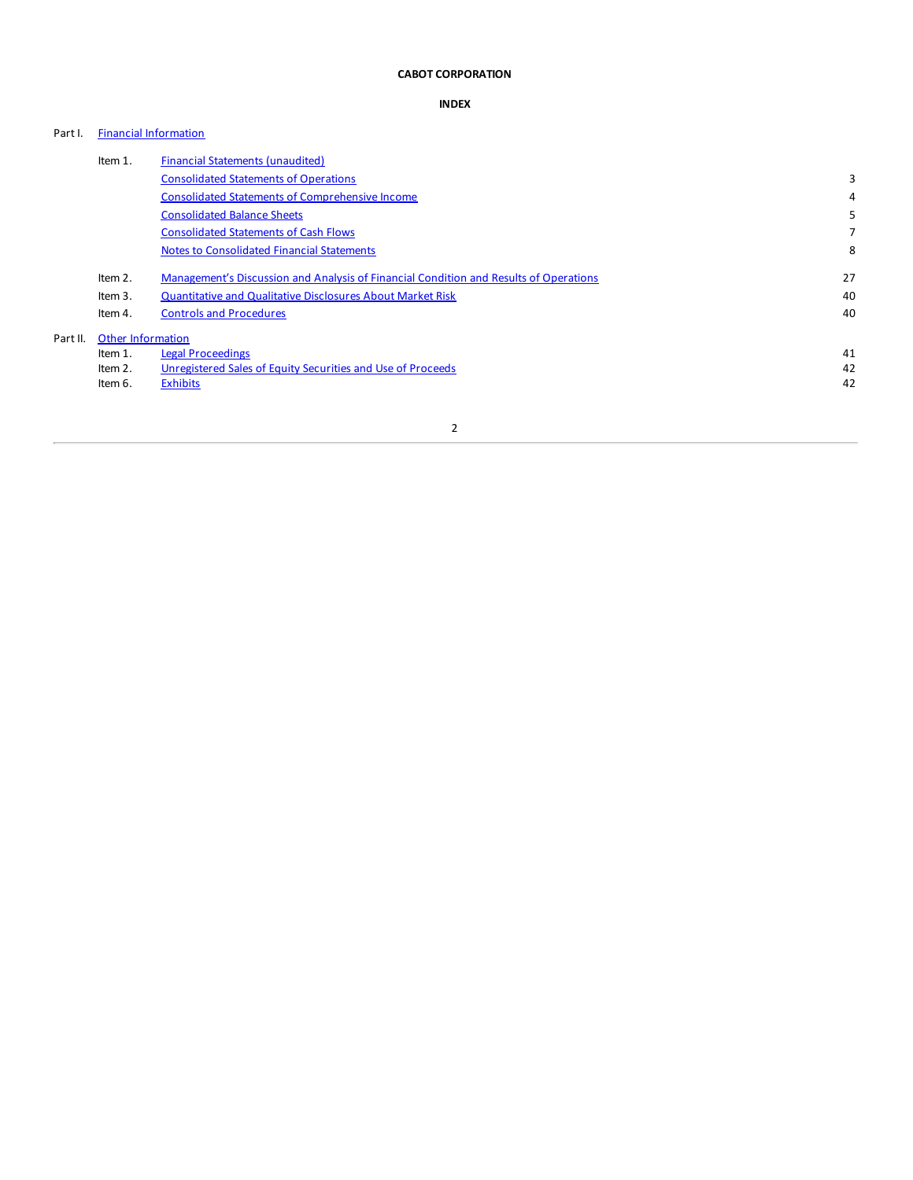## **CABOT CORPORATION**

## **INDEX**

## Part I. Financial [Information](#page-2-0)

|          | Item 1.           | <b>Financial Statements (unaudited)</b>                                               |    |
|----------|-------------------|---------------------------------------------------------------------------------------|----|
|          |                   | <b>Consolidated Statements of Operations</b>                                          | 3  |
|          |                   | <b>Consolidated Statements of Comprehensive Income</b>                                | 4  |
|          |                   | <b>Consolidated Balance Sheets</b>                                                    | 5  |
|          |                   | <b>Consolidated Statements of Cash Flows</b>                                          |    |
|          |                   | <b>Notes to Consolidated Financial Statements</b>                                     | 8  |
|          | Item 2.           | Management's Discussion and Analysis of Financial Condition and Results of Operations | 27 |
|          | Item 3.           | <b>Quantitative and Qualitative Disclosures About Market Risk</b>                     | 40 |
|          | Item 4.           | <b>Controls and Procedures</b>                                                        | 40 |
| Part II. | Other Information |                                                                                       |    |
|          | Item 1.           | Legal Proceedings                                                                     | 41 |
|          | Item 2.           | Unregistered Sales of Equity Securities and Use of Proceeds                           | 42 |
|          | Item 6.           | <b>Exhibits</b>                                                                       | 42 |
|          |                   |                                                                                       |    |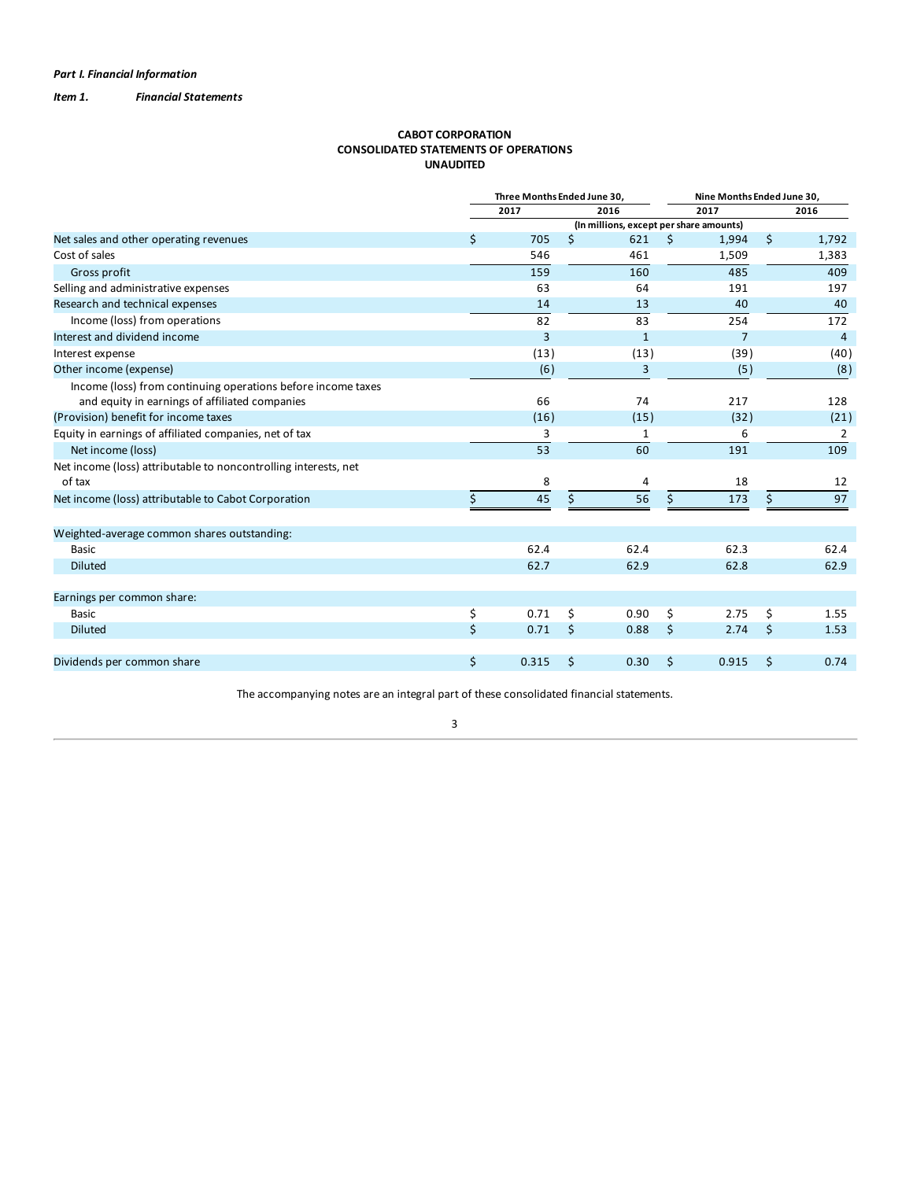<span id="page-2-0"></span>*Item 1. Financial Statements*

## **CABOT CORPORATION CONSOLIDATED STATEMENTS OF OPERATIONS UNAUDITED**

|                                                                                                                |    | Three Months Ended June 30, |    |                                         |    | Nine Months Ended June 30, |    |                |  |  |
|----------------------------------------------------------------------------------------------------------------|----|-----------------------------|----|-----------------------------------------|----|----------------------------|----|----------------|--|--|
|                                                                                                                |    | 2017                        |    | 2016                                    |    | 2017                       |    | 2016           |  |  |
|                                                                                                                |    |                             |    | (In millions, except per share amounts) |    |                            |    |                |  |  |
| Net sales and other operating revenues                                                                         | \$ | 705                         | \$ | 621                                     | Ŝ. | 1,994                      | \$ | 1,792          |  |  |
| Cost of sales                                                                                                  |    | 546                         |    | 461                                     |    | 1,509                      |    | 1,383          |  |  |
| Gross profit                                                                                                   |    | 159                         |    | 160                                     |    | 485                        |    | 409            |  |  |
| Selling and administrative expenses                                                                            |    | 63                          |    | 64                                      |    | 191                        |    | 197            |  |  |
| Research and technical expenses                                                                                |    | 14                          |    | 13                                      |    | 40                         |    | 40             |  |  |
| Income (loss) from operations                                                                                  |    | 82                          |    | 83                                      |    | 254                        |    | 172            |  |  |
| Interest and dividend income                                                                                   |    | 3                           |    | $\mathbf{1}$                            |    | 7                          |    | $\overline{4}$ |  |  |
| Interest expense                                                                                               |    | (13)                        |    | (13)                                    |    | (39)                       |    | (40)           |  |  |
| Other income (expense)                                                                                         |    | (6)                         |    | 3                                       |    | (5)                        |    | (8)            |  |  |
| Income (loss) from continuing operations before income taxes<br>and equity in earnings of affiliated companies |    | 66                          |    | 74                                      |    | 217                        |    | 128            |  |  |
| (Provision) benefit for income taxes                                                                           |    | (16)                        |    | (15)                                    |    | (32)                       |    | (21)           |  |  |
| Equity in earnings of affiliated companies, net of tax                                                         |    | 3                           |    | 1                                       |    | 6                          |    | 2              |  |  |
| Net income (loss)                                                                                              |    | 53                          |    | 60                                      |    | 191                        |    | 109            |  |  |
| Net income (loss) attributable to noncontrolling interests, net<br>of tax                                      |    | 8                           |    | 4                                       |    | 18                         |    | 12             |  |  |
| Net income (loss) attributable to Cabot Corporation                                                            | \$ | 45                          | \$ | 56                                      | \$ | 173                        | \$ | 97             |  |  |
|                                                                                                                |    |                             |    |                                         |    |                            |    |                |  |  |
| Weighted-average common shares outstanding:                                                                    |    |                             |    |                                         |    |                            |    |                |  |  |
| <b>Basic</b>                                                                                                   |    | 62.4                        |    | 62.4                                    |    | 62.3                       |    | 62.4           |  |  |
| <b>Diluted</b>                                                                                                 |    | 62.7                        |    | 62.9                                    |    | 62.8                       |    | 62.9           |  |  |
| Earnings per common share:                                                                                     |    |                             |    |                                         |    |                            |    |                |  |  |
| <b>Basic</b>                                                                                                   | \$ | 0.71                        | \$ | 0.90                                    | \$ | 2.75                       | \$ | 1.55           |  |  |
| <b>Diluted</b>                                                                                                 | Ś. | 0.71                        | Ś  | 0.88                                    | Ś. | 2.74                       | Ś. | 1.53           |  |  |
|                                                                                                                |    |                             |    |                                         |    |                            |    |                |  |  |
| Dividends per common share                                                                                     | \$ | 0.315                       | \$ | 0.30                                    | \$ | 0.915                      | \$ | 0.74           |  |  |

The accompanying notes are an integral part of these consolidated financial statements.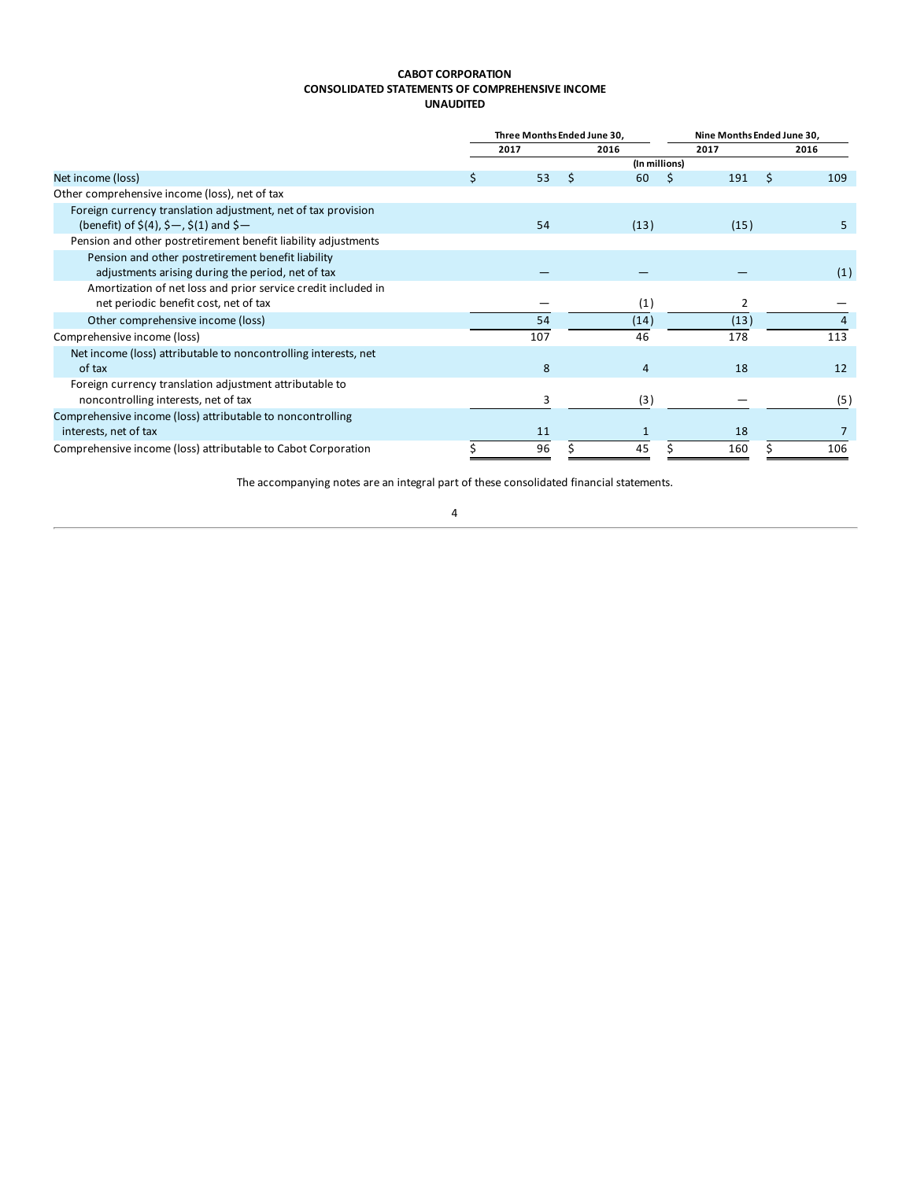## **CABOT CORPORATION CONSOLIDATED STATEMENTS OF COMPREHENSIVE INCOME UNAUDITED**

<span id="page-3-0"></span>

|                                                                 |      | Three Months Ended June 30, |  |                |          | Nine Months Ended June 30, |     |
|-----------------------------------------------------------------|------|-----------------------------|--|----------------|----------|----------------------------|-----|
|                                                                 | 2017 |                             |  | 2016           | 2017     | 2016                       |     |
|                                                                 |      |                             |  | (In millions)  |          |                            |     |
| Net income (loss)                                               |      | 53                          |  | 60             | 191<br>S |                            | 109 |
| Other comprehensive income (loss), net of tax                   |      |                             |  |                |          |                            |     |
| Foreign currency translation adjustment, net of tax provision   |      |                             |  |                |          |                            |     |
| (benefit) of $\zeta(4)$ , $\zeta -$ , $\zeta(1)$ and $\zeta -$  |      | 54                          |  | (13)           |          | (15)                       | 5   |
| Pension and other postretirement benefit liability adjustments  |      |                             |  |                |          |                            |     |
| Pension and other postretirement benefit liability              |      |                             |  |                |          |                            |     |
| adjustments arising during the period, net of tax               |      |                             |  |                |          |                            | (1) |
| Amortization of net loss and prior service credit included in   |      |                             |  |                |          |                            |     |
| net periodic benefit cost, net of tax                           |      |                             |  | (1)            |          | 2                          |     |
| Other comprehensive income (loss)                               |      | 54                          |  | (14)           | (13)     |                            |     |
| Comprehensive income (loss)                                     |      | 107                         |  | 46             | 178      |                            | 113 |
| Net income (loss) attributable to noncontrolling interests, net |      |                             |  |                |          |                            |     |
| of tax                                                          |      | 8                           |  | $\overline{4}$ | 18       |                            | 12  |
| Foreign currency translation adjustment attributable to         |      |                             |  |                |          |                            |     |
| noncontrolling interests, net of tax                            |      | 3                           |  | (3)            |          |                            | (5) |
| Comprehensive income (loss) attributable to noncontrolling      |      |                             |  |                |          |                            |     |
| interests, net of tax                                           |      | 11                          |  |                | 18       |                            |     |
| Comprehensive income (loss) attributable to Cabot Corporation   |      | 96                          |  | 45             | 160      |                            | 106 |

The accompanying notes are an integral part of these consolidated financial statements.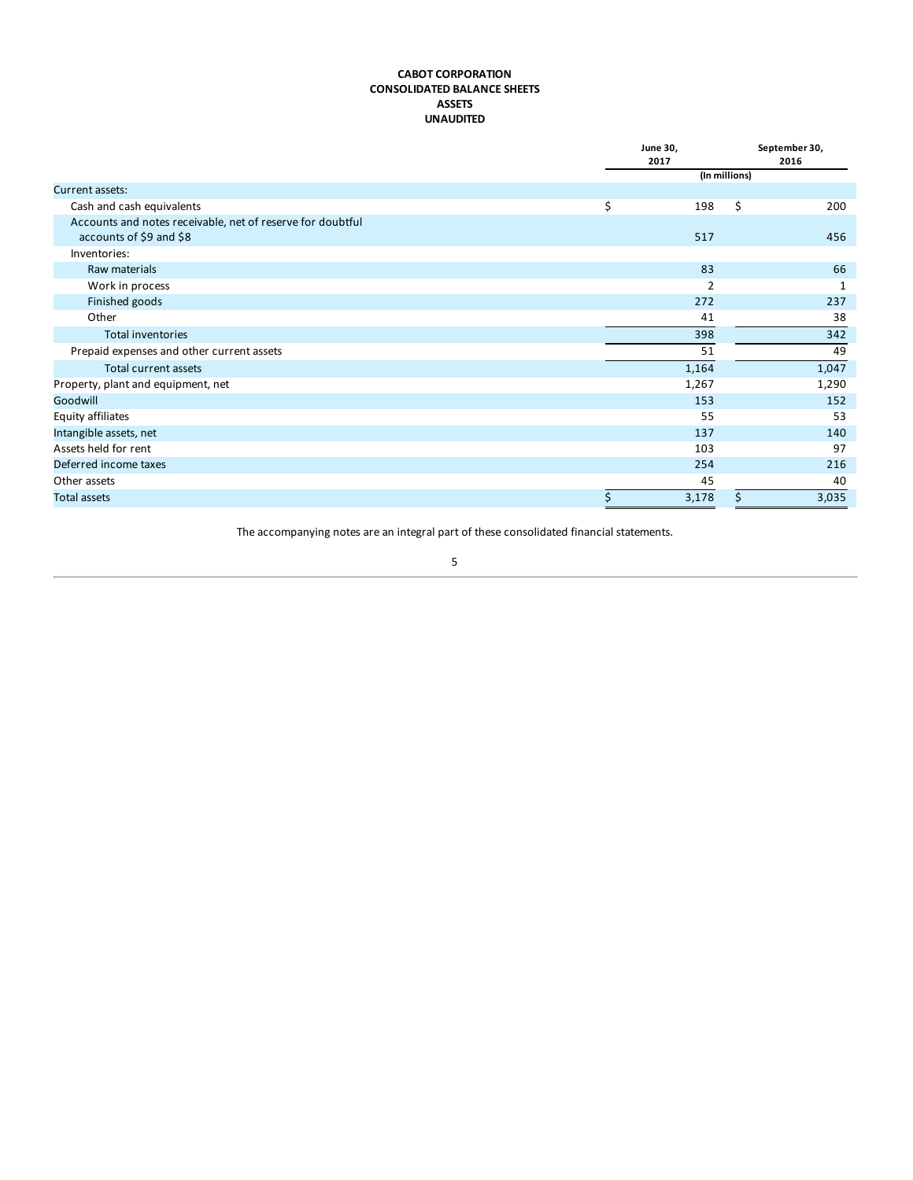## **CABOT CORPORATION CONSOLIDATED BALANCE SHEETS ASSETS UNAUDITED**

<span id="page-4-0"></span>

|                                                                                       | <b>June 30,</b><br>2017 | September 30,<br>2016 |
|---------------------------------------------------------------------------------------|-------------------------|-----------------------|
|                                                                                       |                         | (In millions)         |
| Current assets:                                                                       |                         |                       |
| Cash and cash equivalents                                                             | \$<br>198               | \$<br>200             |
| Accounts and notes receivable, net of reserve for doubtful<br>accounts of \$9 and \$8 | 517                     | 456                   |
| Inventories:                                                                          |                         |                       |
| Raw materials                                                                         | 83                      | 66                    |
| Work in process                                                                       | 2                       |                       |
| Finished goods                                                                        | 272                     | 237                   |
| Other                                                                                 | 41                      | 38                    |
| Total inventories                                                                     | 398                     | 342                   |
| Prepaid expenses and other current assets                                             | 51                      | 49                    |
| Total current assets                                                                  | 1,164                   | 1,047                 |
| Property, plant and equipment, net                                                    | 1,267                   | 1,290                 |
| Goodwill                                                                              | 153                     | 152                   |
| Equity affiliates                                                                     | 55                      | 53                    |
| Intangible assets, net                                                                | 137                     | 140                   |
| Assets held for rent                                                                  | 103                     | 97                    |
| Deferred income taxes                                                                 | 254                     | 216                   |
| Other assets                                                                          | 45                      | 40                    |
| <b>Total assets</b>                                                                   | 3,178                   | \$<br>3,035           |

The accompanying notes are an integral part of these consolidated financial statements.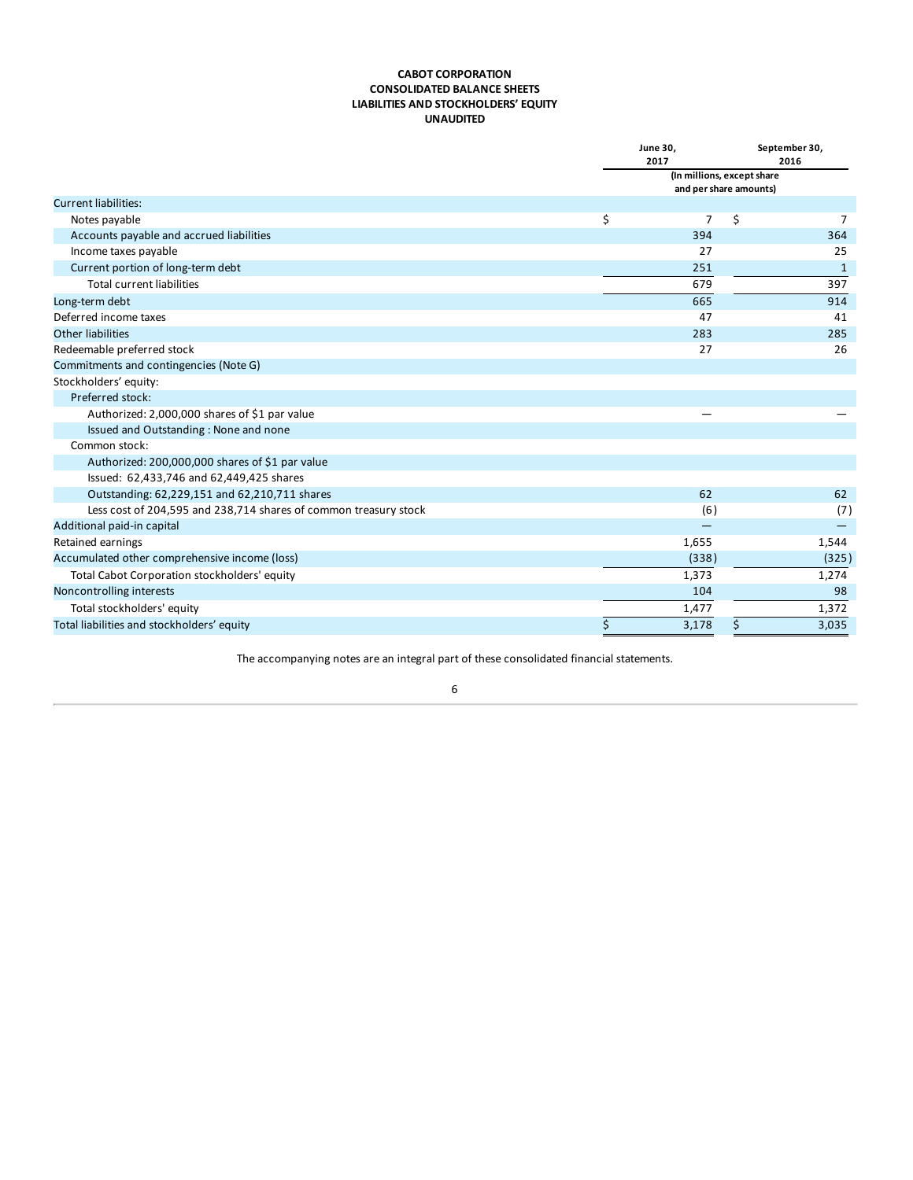## **CABOT CORPORATION CONSOLIDATED BALANCE SHEETS LIABILITIES AND STOCKHOLDERS' EQUITY UNAUDITED**

|                                                                  | <b>June 30,</b><br>2017                              | September 30,<br>2016 |
|------------------------------------------------------------------|------------------------------------------------------|-----------------------|
|                                                                  | (In millions, except share<br>and per share amounts) |                       |
| <b>Current liabilities:</b>                                      |                                                      |                       |
| Notes payable                                                    | \$<br>7<br>\$                                        | 7                     |
| Accounts payable and accrued liabilities                         | 394                                                  | 364                   |
| Income taxes payable                                             | 27                                                   | 25                    |
| Current portion of long-term debt                                | 251                                                  | 1                     |
| <b>Total current liabilities</b>                                 | 679                                                  | 397                   |
| Long-term debt                                                   | 665                                                  | 914                   |
| Deferred income taxes                                            | 47                                                   | 41                    |
| Other liabilities                                                | 283                                                  | 285                   |
| Redeemable preferred stock                                       | 27                                                   | 26                    |
| Commitments and contingencies (Note G)                           |                                                      |                       |
| Stockholders' equity:                                            |                                                      |                       |
| Preferred stock:                                                 |                                                      |                       |
| Authorized: 2,000,000 shares of \$1 par value                    |                                                      |                       |
| Issued and Outstanding: None and none                            |                                                      |                       |
| Common stock:                                                    |                                                      |                       |
| Authorized: 200,000,000 shares of \$1 par value                  |                                                      |                       |
| Issued: 62,433,746 and 62,449,425 shares                         |                                                      |                       |
| Outstanding: 62,229,151 and 62,210,711 shares                    | 62                                                   | 62                    |
| Less cost of 204,595 and 238,714 shares of common treasury stock | (6)                                                  | (7)                   |
| Additional paid-in capital                                       |                                                      |                       |
| Retained earnings                                                | 1,655                                                | 1,544                 |
| Accumulated other comprehensive income (loss)                    | (338)                                                | (325)                 |
| Total Cabot Corporation stockholders' equity                     | 1,373                                                | 1,274                 |
| Noncontrolling interests                                         | 104                                                  | 98                    |
| Total stockholders' equity                                       | 1,477                                                | 1,372                 |
| Total liabilities and stockholders' equity                       | \$<br>3,178<br>\$                                    | 3,035                 |

The accompanying notes are an integral part of these consolidated financial statements.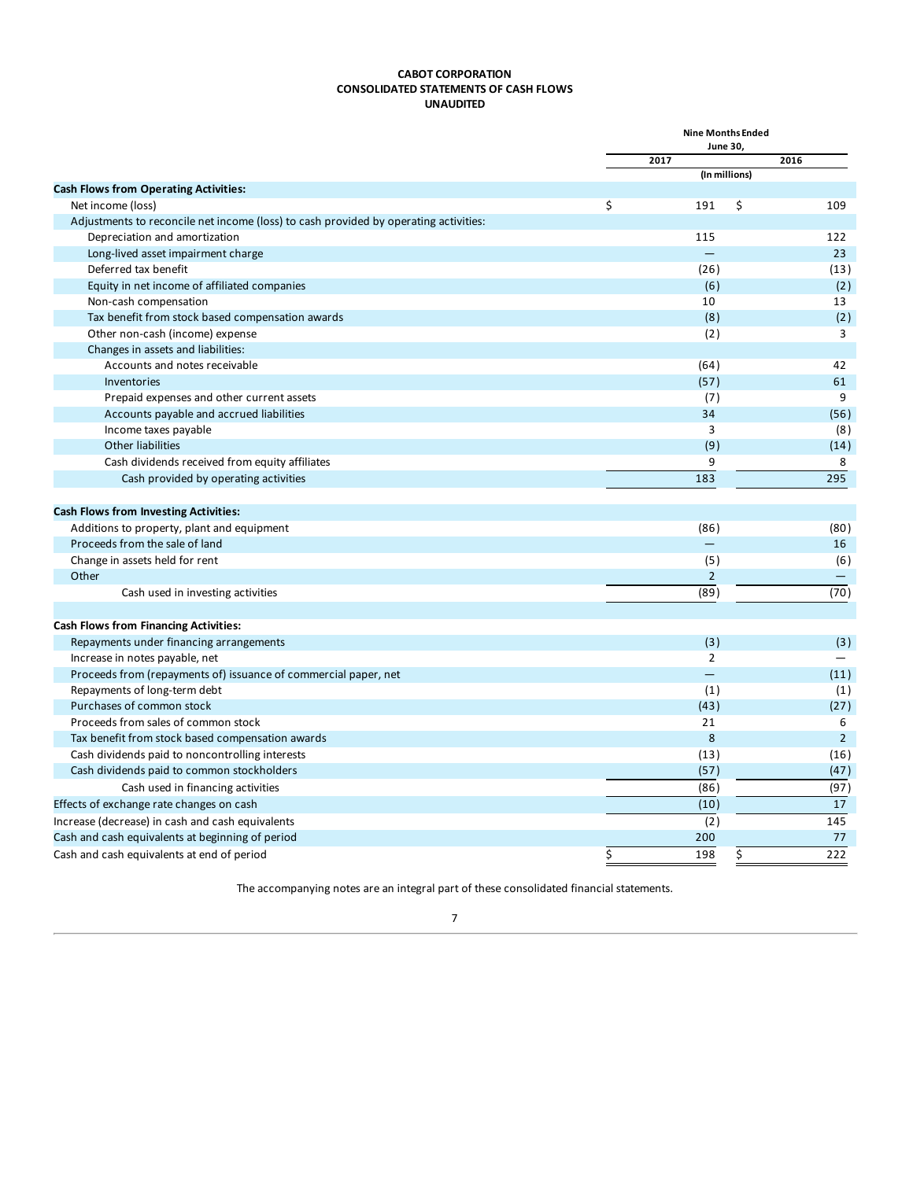## **CABOT CORPORATION CONSOLIDATED STATEMENTS OF CASH FLOWS UNAUDITED**

<span id="page-6-0"></span>

|                                                                                      | <b>Nine Months Ended</b> |                         |                          |  |  |  |
|--------------------------------------------------------------------------------------|--------------------------|-------------------------|--------------------------|--|--|--|
|                                                                                      |                          | <b>June 30,</b><br>2017 | 2016                     |  |  |  |
|                                                                                      |                          | (In millions)           |                          |  |  |  |
| <b>Cash Flows from Operating Activities:</b>                                         |                          |                         |                          |  |  |  |
| Net income (loss)                                                                    | \$                       | \$<br>191               | 109                      |  |  |  |
| Adjustments to reconcile net income (loss) to cash provided by operating activities: |                          |                         |                          |  |  |  |
| Depreciation and amortization                                                        |                          | 115                     | 122                      |  |  |  |
| Long-lived asset impairment charge                                                   |                          |                         | 23                       |  |  |  |
| Deferred tax benefit                                                                 |                          | (26)                    | (13)                     |  |  |  |
| Equity in net income of affiliated companies                                         |                          | (6)                     | (2)                      |  |  |  |
| Non-cash compensation                                                                |                          | 10                      | 13                       |  |  |  |
| Tax benefit from stock based compensation awards                                     |                          | (8)                     | (2)                      |  |  |  |
| Other non-cash (income) expense                                                      |                          | (2)                     | 3                        |  |  |  |
| Changes in assets and liabilities:                                                   |                          |                         |                          |  |  |  |
| Accounts and notes receivable                                                        |                          | (64)                    | 42                       |  |  |  |
| Inventories                                                                          |                          | (57)                    | 61                       |  |  |  |
| Prepaid expenses and other current assets                                            |                          | (7)                     | 9                        |  |  |  |
| Accounts payable and accrued liabilities                                             |                          | 34                      | (56)                     |  |  |  |
| Income taxes payable                                                                 |                          | 3                       | (8)                      |  |  |  |
| Other liabilities                                                                    |                          | (9)                     | (14)                     |  |  |  |
| Cash dividends received from equity affiliates                                       |                          | 9                       | 8                        |  |  |  |
| Cash provided by operating activities                                                |                          | 183                     | 295                      |  |  |  |
| <b>Cash Flows from Investing Activities:</b>                                         |                          |                         |                          |  |  |  |
| Additions to property, plant and equipment                                           |                          | (86)                    | (80)                     |  |  |  |
| Proceeds from the sale of land                                                       |                          |                         | 16                       |  |  |  |
| Change in assets held for rent                                                       |                          | (5)                     | (6)                      |  |  |  |
| Other                                                                                |                          | $\overline{2}$          | $\overline{\phantom{0}}$ |  |  |  |
| Cash used in investing activities                                                    |                          | (89)                    | (70)                     |  |  |  |
| <b>Cash Flows from Financing Activities:</b>                                         |                          |                         |                          |  |  |  |
| Repayments under financing arrangements                                              |                          | (3)                     | (3)                      |  |  |  |
| Increase in notes payable, net                                                       |                          | $\overline{2}$          |                          |  |  |  |
| Proceeds from (repayments of) issuance of commercial paper, net                      |                          | Ξ,                      | (11)                     |  |  |  |
| Repayments of long-term debt                                                         |                          | (1)                     | (1)                      |  |  |  |
| Purchases of common stock                                                            |                          | (43)                    | (27)                     |  |  |  |
| Proceeds from sales of common stock                                                  |                          | 21                      | 6                        |  |  |  |
| Tax benefit from stock based compensation awards                                     |                          | 8                       | $\overline{2}$           |  |  |  |
| Cash dividends paid to noncontrolling interests                                      |                          | (13)                    | (16)                     |  |  |  |
| Cash dividends paid to common stockholders                                           |                          | (57)                    | (47)                     |  |  |  |
| Cash used in financing activities                                                    |                          | (86)                    | (97)                     |  |  |  |
|                                                                                      |                          |                         | 17                       |  |  |  |
| Effects of exchange rate changes on cash                                             |                          | (10)                    |                          |  |  |  |
| Increase (decrease) in cash and cash equivalents                                     |                          | (2)                     | 145                      |  |  |  |
| Cash and cash equivalents at beginning of period                                     |                          | 200                     | 77                       |  |  |  |
| Cash and cash equivalents at end of period                                           | \$                       | \$<br>198               | 222                      |  |  |  |

The accompanying notes are an integral part of these consolidated financial statements.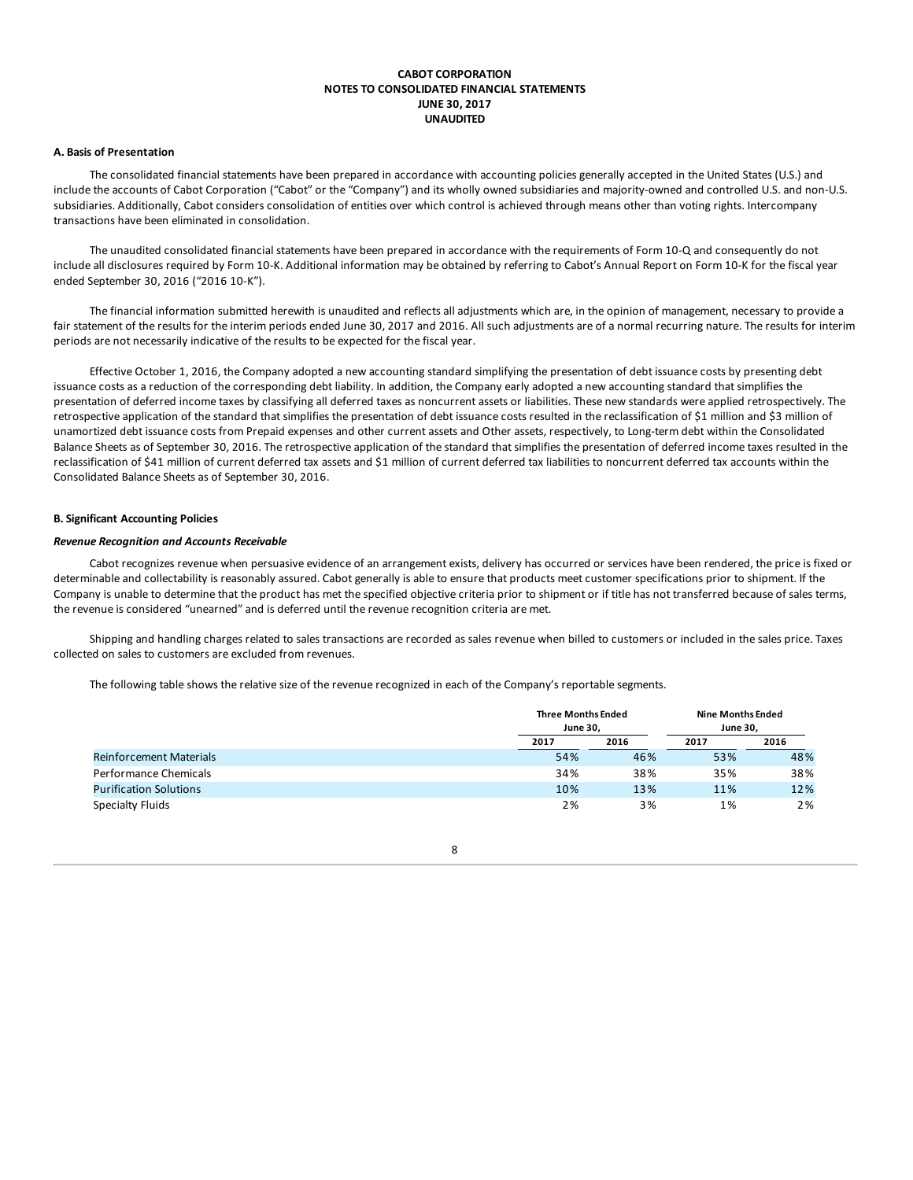## **CABOT CORPORATION NOTES TO CONSOLIDATED FINANCIAL STATEMENTS JUNE 30, 2017 UNAUDITED**

#### <span id="page-7-0"></span>**A. Basis of Presentation**

The consolidated financial statements have been prepared in accordance with accounting policies generally accepted in the United States (U.S.) and include the accounts of Cabot Corporation ("Cabot" or the "Company") and its wholly owned subsidiaries and majority-owned and controlled U.S. and non-U.S. subsidiaries. Additionally, Cabot considers consolidation of entities over which control is achieved through means other than voting rights. Intercompany transactions have been eliminated in consolidation.

The unaudited consolidated financial statements have been prepared in accordance with the requirements of Form 10-Q and consequently do not include all disclosures required by Form 10-K. Additional information may be obtained by referring to Cabot's Annual Report on Form 10-K for the fiscal year ended September 30, 2016 ("2016 10-K").

The financial information submitted herewith is unaudited and reflects all adjustments which are, in the opinion of management, necessary to provide a fair statement of the results for the interim periods ended June 30, 2017 and 2016. All such adjustments are of a normal recurring nature. The results for interim periods are not necessarily indicative of the results to be expected for the fiscal year.

Effective October 1, 2016, the Company adopted a new accounting standard simplifying the presentation of debt issuance costs by presenting debt issuance costs as a reduction of the corresponding debt liability. In addition, the Company early adopted a new accounting standard that simplifies the presentation of deferred income taxes by classifying all deferred taxes as noncurrent assets or liabilities. These new standards were applied retrospectively. The retrospective application of the standard that simplifies the presentation of debt issuance costs resulted in the reclassification of \$1 million and \$3 million of unamortized debt issuance costs from Prepaid expenses and other current assets and Other assets, respectively, to Long-term debt within the Consolidated Balance Sheets as of September 30, 2016. The retrospective application of the standard that simplifies the presentation of deferred income taxes resulted in the reclassification of \$41 million of current deferred tax assets and \$1 million of current deferred tax liabilities to noncurrent deferred tax accounts within the Consolidated Balance Sheets as of September 30, 2016.

#### **B. Significant Accounting Policies**

#### *Revenue Recognition and Accounts Receivable*

Cabot recognizes revenue when persuasive evidence of an arrangement exists, delivery has occurred or services have been rendered, the price is fixed or determinable and collectability is reasonably assured. Cabot generally is able to ensure that products meet customer specifications prior to shipment. If the Company is unable to determine that the product has met the specified objective criteria prior to shipment or if title has not transferred because of sales terms, the revenue is considered "unearned" and is deferred until the revenue recognition criteria are met.

Shipping and handling charges related to sales transactions are recorded as sales revenue when billed to customers or included in the sales price. Taxes collected on sales to customers are excluded from revenues.

The following table shows the relative size of the revenue recognized in each of the Company's reportable segments.

|                                | <b>Three Months Ended</b><br><b>June 30.</b> |      | <b>Nine Months Ended</b><br><b>June 30.</b> |      |
|--------------------------------|----------------------------------------------|------|---------------------------------------------|------|
|                                | 2017                                         | 2016 | 2017                                        | 2016 |
| <b>Reinforcement Materials</b> | 54%                                          | 46%  | 53%                                         | 48%  |
| Performance Chemicals          | 34%                                          | 38%  | 35%                                         | 38%  |
| <b>Purification Solutions</b>  | 10%                                          | 13%  | 11%                                         | 12%  |
| <b>Specialty Fluids</b>        | 2%                                           | 3%   | 1%                                          | 2%   |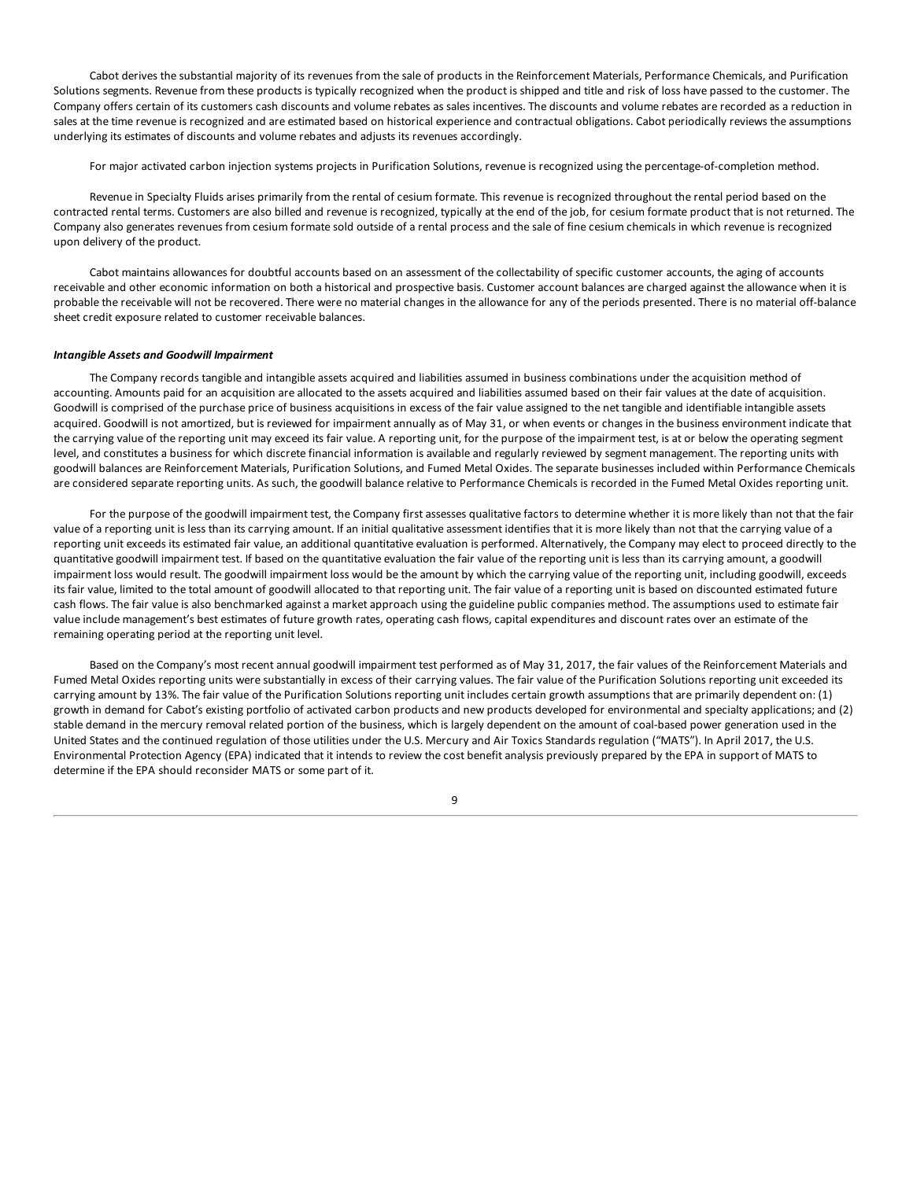Cabot derives the substantial majority of its revenues from the sale of products in the Reinforcement Materials, Performance Chemicals, and Purification Solutions segments. Revenue from these products is typically recognized when the product is shipped and title and risk of loss have passed to the customer. The Company offers certain of its customers cash discounts and volume rebates as sales incentives. The discounts and volume rebates are recorded as a reduction in sales at the time revenue is recognized and are estimated based on historical experience and contractual obligations. Cabot periodically reviews the assumptions underlying its estimates of discounts and volume rebates and adjusts its revenues accordingly.

For major activated carbon injection systems projects in Purification Solutions, revenue is recognized using the percentage-of-completion method.

Revenue in Specialty Fluids arises primarily from the rental of cesium formate. This revenue is recognized throughout the rental period based on the contracted rental terms. Customers are also billed and revenue is recognized, typically at the end of the job, for cesium formate product that is not returned. The Company also generates revenues from cesium formate sold outside of a rental process and the sale of fine cesium chemicals in which revenue is recognized upon delivery of the product.

Cabot maintains allowances for doubtful accounts based on an assessment of the collectability of specific customer accounts, the aging of accounts receivable and other economic information on both a historical and prospective basis. Customer account balances are charged against the allowance when it is probable the receivable will not be recovered. There were no material changes in the allowance for any of the periods presented. There is no material off-balance sheet credit exposure related to customer receivable balances.

#### *Intangible Assets and Goodwill Impairment*

The Company records tangible and intangible assets acquired and liabilities assumed in business combinations under the acquisition method of accounting. Amounts paid for an acquisition are allocated to the assets acquired and liabilities assumed based on their fair values at the date of acquisition. Goodwill is comprised of the purchase price of business acquisitions in excess of the fair value assigned to the net tangible and identifiable intangible assets acquired. Goodwill is not amortized, but is reviewed for impairment annually as of May 31, or when events or changes in the business environment indicate that the carrying value of the reporting unit may exceed its fair value. A reporting unit, for the purpose of the impairment test, is at or below the operating segment level, and constitutes a business for which discrete financial information is available and regularly reviewed by segment management. The reporting units with goodwill balances are Reinforcement Materials, Purification Solutions, and Fumed Metal Oxides. The separate businesses included within Performance Chemicals are considered separate reporting units. As such, the goodwill balance relative to Performance Chemicals is recorded in the Fumed Metal Oxides reporting unit.

For the purpose of the goodwill impairment test, the Company first assesses qualitative factors to determine whether it is more likely than not that the fair value of a reporting unit is less than its carrying amount. If an initial qualitative assessment identifies that it is more likely than not that the carrying value of a reporting unit exceeds its estimated fair value, an additional quantitative evaluation is performed. Alternatively, the Company may elect to proceed directly to the quantitative goodwill impairment test. If based on the quantitative evaluation the fair value of the reporting unit is less than its carrying amount, a goodwill impairment loss would result. The goodwill impairment loss would be the amount by which the carrying value of the reporting unit, including goodwill, exceeds its fair value, limited to the total amount of goodwill allocated to that reporting unit. The fair value of a reporting unit is based on discounted estimated future cash flows. The fair value is also benchmarked against a market approach using the guideline public companies method. The assumptions used to estimate fair value include management's best estimates of future growth rates, operating cash flows, capital expenditures and discount rates over an estimate of the remaining operating period at the reporting unit level.

Based on the Company's most recent annual goodwill impairment test performed as of May 31, 2017, the fair values of the Reinforcement Materials and Fumed Metal Oxides reporting units were substantially in excess of their carrying values. The fair value of the Purification Solutions reporting unit exceeded its carrying amount by 13%. The fair value of the Purification Solutions reporting unit includes certain growth assumptions that are primarily dependent on: (1) growth in demand for Cabot's existing portfolio of activated carbon products and new products developed for environmental and specialty applications; and (2) stable demand in the mercury removal related portion of the business, which is largely dependent on the amount of coal-based power generation used in the United States and the continued regulation of those utilities under the U.S. Mercury and Air Toxics Standards regulation ("MATS"). In April 2017, the U.S. Environmental Protection Agency (EPA) indicated that it intends to review the cost benefit analysis previously prepared by the EPA in support of MATS to determine if the EPA should reconsider MATS or some part of it.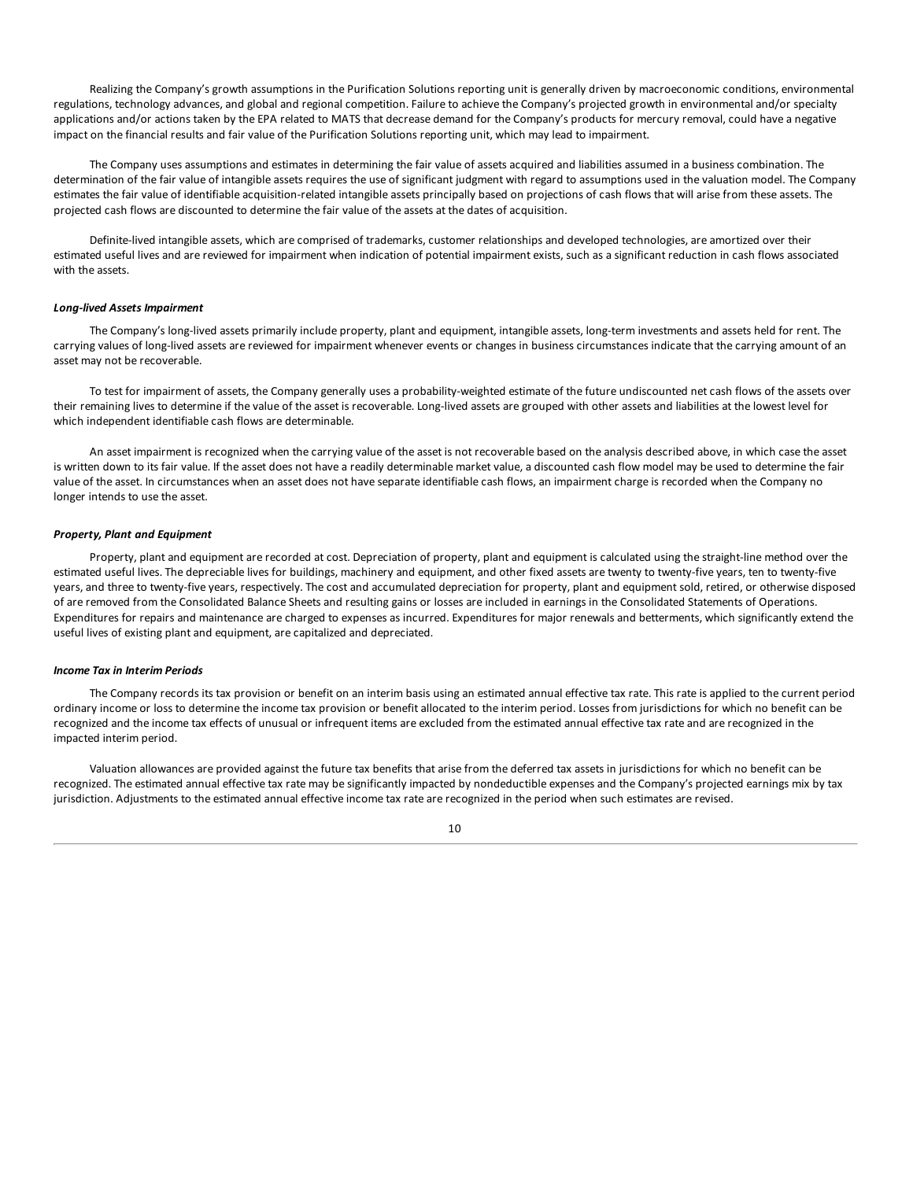Realizing the Company's growth assumptions in the Purification Solutions reporting unit is generally driven by macroeconomic conditions, environmental regulations, technology advances, and global and regional competition. Failure to achieve the Company's projected growth in environmental and/or specialty applications and/or actions taken by the EPA related to MATS that decrease demand for the Company's products for mercury removal, could have a negative impact on the financial results and fair value of the Purification Solutions reporting unit, which may lead to impairment.

The Company uses assumptions and estimates in determining the fair value of assets acquired and liabilities assumed in a business combination. The determination of the fair value of intangible assets requires the use of significant judgment with regard to assumptions used in the valuation model. The Company estimates the fair value of identifiable acquisition-related intangible assets principally based on projections of cash flows that will arise from these assets. The projected cash flows are discounted to determine the fair value of the assets at the dates of acquisition.

Definite-lived intangible assets, which are comprised of trademarks, customer relationships and developed technologies, are amortized over their estimated useful lives and are reviewed for impairment when indication of potential impairment exists, such as a significant reduction in cash flows associated with the assets.

#### *Long-lived Assets Impairment*

The Company's long-lived assets primarily include property, plant and equipment, intangible assets, long-term investments and assets held for rent. The carrying values of long-lived assets are reviewed for impairment whenever events or changes in business circumstances indicate that the carrying amount of an asset may not be recoverable.

To test for impairment of assets, the Company generally uses a probability-weighted estimate of the future undiscounted net cash flows of the assets over their remaining lives to determine if the value of the asset is recoverable. Long-lived assets are grouped with other assets and liabilities at the lowest level for which independent identifiable cash flows are determinable.

An asset impairment is recognized when the carrying value of the asset is not recoverable based on the analysis described above, in which case the asset is written down to its fair value. If the asset does not have a readily determinable market value, a discounted cash flow model may be used to determine the fair value of the asset. In circumstances when an asset does not have separate identifiable cash flows, an impairment charge is recorded when the Company no longer intends to use the asset.

#### *Property, Plant and Equipment*

Property, plant and equipment are recorded at cost. Depreciation of property, plant and equipment is calculated using the straight-line method over the estimated useful lives. The depreciable lives for buildings, machinery and equipment, and other fixed assets are twenty to twenty-five years, ten to twenty-five years, and three to twenty-five years, respectively. The cost and accumulated depreciation for property, plant and equipment sold, retired, or otherwise disposed of are removed from the Consolidated Balance Sheets and resulting gains or losses are included in earnings in the Consolidated Statements of Operations. Expenditures for repairs and maintenance are charged to expenses as incurred. Expenditures for major renewals and betterments, which significantly extend the useful lives of existing plant and equipment, are capitalized and depreciated.

#### *Income Tax in Interim Periods*

The Company records its tax provision or benefit on an interim basis using an estimated annual effective tax rate. This rate is applied to the current period ordinary income or loss to determine the income tax provision or benefit allocated to the interim period. Losses from jurisdictions for which no benefit can be recognized and the income tax effects of unusual or infrequent items are excluded from the estimated annual effective tax rate and are recognized in the impacted interim period.

Valuation allowances are provided against the future tax benefits that arise from the deferred tax assets in jurisdictions for which no benefit can be recognized. The estimated annual effective tax rate may be significantly impacted by nondeductible expenses and the Company's projected earnings mix by tax jurisdiction. Adjustments to the estimated annual effective income tax rate are recognized in the period when such estimates are revised.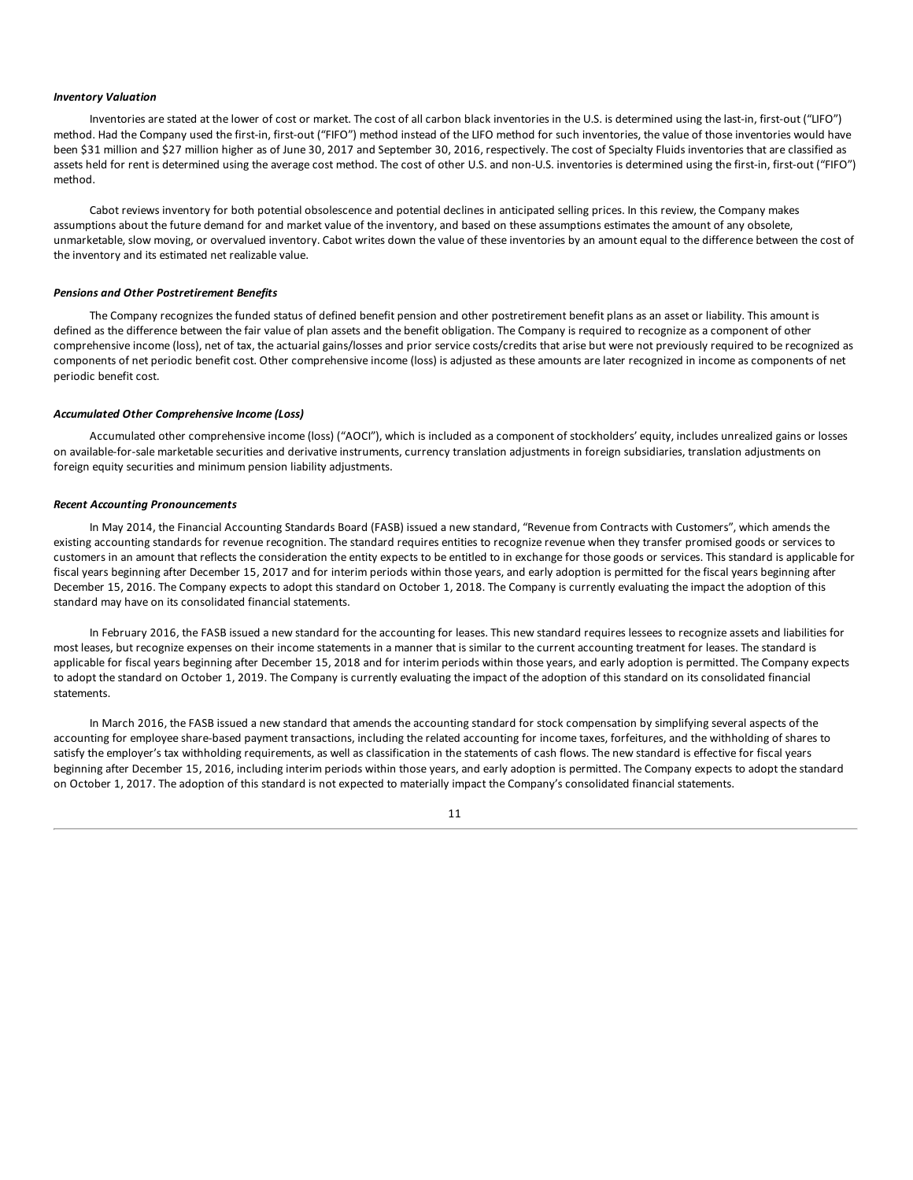#### *Inventory Valuation*

Inventories are stated at the lower of cost or market. The cost of all carbon black inventories in the U.S. is determined using the last-in, first-out ("LIFO") method. Had the Company used the first-in, first-out ("FIFO") method instead of the LIFO method for such inventories, the value of those inventories would have been \$31 million and \$27 million higher as of June 30, 2017 and September 30, 2016, respectively. The cost of Specialty Fluids inventories that are classified as assets held for rent is determined using the average cost method. The cost of other U.S. and non-U.S. inventories is determined using the first-in, first-out ("FIFO") method.

Cabot reviews inventory for both potential obsolescence and potential declines in anticipated selling prices. In this review, the Company makes assumptions about the future demand for and market value of the inventory, and based on these assumptions estimates the amount of any obsolete, unmarketable, slow moving, or overvalued inventory. Cabot writes down the value of these inventories by an amount equal to the difference between the cost of the inventory and its estimated net realizable value.

#### *Pensions and Other Postretirement Benefits*

The Company recognizes the funded status of defined benefit pension and other postretirement benefit plans as an asset or liability. This amount is defined as the difference between the fair value of plan assets and the benefit obligation. The Company is required to recognize as a component of other comprehensive income (loss), net of tax, the actuarial gains/losses and prior service costs/credits that arise but were not previously required to be recognized as components of net periodic benefit cost. Other comprehensive income (loss) is adjusted as these amounts are later recognized in income as components of net periodic benefit cost.

#### *Accumulated Other Comprehensive Income (Loss)*

Accumulated other comprehensive income (loss) ("AOCI"), which is included as a component of stockholders' equity, includes unrealized gains or losses on available-for-sale marketable securities and derivative instruments, currency translation adjustments in foreign subsidiaries, translation adjustments on foreign equity securities and minimum pension liability adjustments.

#### *Recent Accounting Pronouncements*

In May 2014, the Financial Accounting Standards Board (FASB) issued a new standard, "Revenue from Contracts with Customers", which amends the existing accounting standards for revenue recognition. The standard requires entities to recognize revenue when they transfer promised goods or services to customers in an amount that reflects the consideration the entity expects to be entitled to in exchange for those goods or services. This standard is applicable for fiscal years beginning after December 15, 2017 and for interim periods within those years, and early adoption is permitted for the fiscal years beginning after December 15, 2016. The Company expects to adopt this standard on October 1, 2018. The Company is currently evaluating the impact the adoption of this standard may have on its consolidated financial statements.

In February 2016, the FASB issued a new standard for the accounting for leases. This new standard requires lessees to recognize assets and liabilities for most leases, but recognize expenses on their income statements in a manner that is similar to the current accounting treatment for leases. The standard is applicable for fiscal years beginning after December 15, 2018 and for interim periods within those years, and early adoption is permitted. The Company expects to adopt the standard on October 1, 2019. The Company is currently evaluating the impact of the adoption of this standard on its consolidated financial statements.

In March 2016, the FASB issued a new standard that amends the accounting standard for stock compensation by simplifying several aspects of the accounting for employee share-based payment transactions, including the related accounting for income taxes, forfeitures, and the withholding of shares to satisfy the employer's tax withholding requirements, as well as classification in the statements of cash flows. The new standard is effective for fiscal years beginning after December 15, 2016, including interim periods within those years, and early adoption is permitted. The Company expects to adopt the standard on October 1, 2017. The adoption of this standard is not expected to materially impact the Company's consolidated financial statements.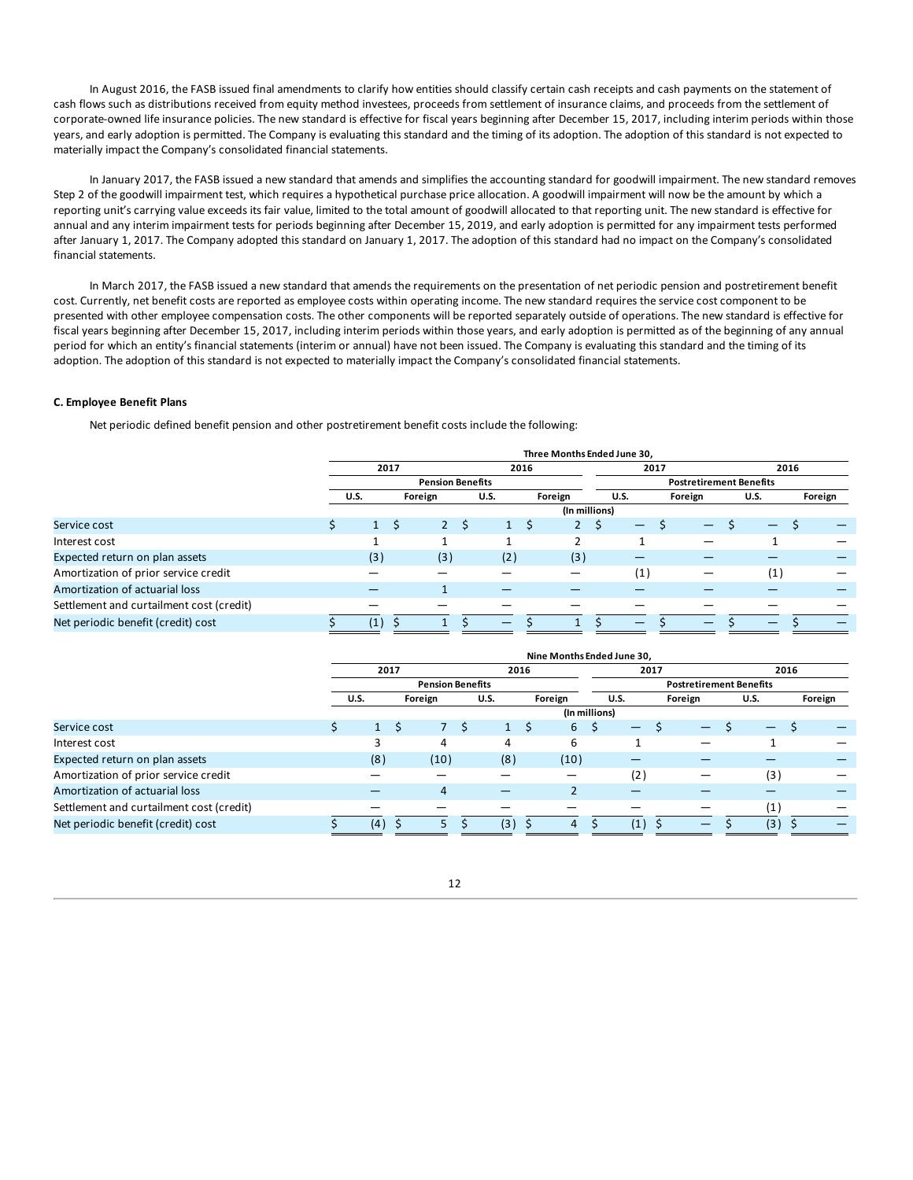In August 2016, the FASB issued final amendments to clarify how entities should classify certain cash receipts and cash payments on the statement of cash flows such as distributions received from equity method investees, proceeds from settlement of insurance claims, and proceeds from the settlement of corporate-owned life insurance policies. The new standard is effective for fiscal years beginning after December 15, 2017, including interim periods within those years, and early adoption is permitted. The Company is evaluating this standard and the timing of its adoption. The adoption of this standard is not expected to materially impact the Company's consolidated financial statements.

In January 2017, the FASB issued a new standard that amends and simplifies the accounting standard for goodwill impairment. The new standard removes Step 2 of the goodwill impairment test, which requires a hypothetical purchase price allocation. A goodwill impairment will now be the amount by which a reporting unit's carrying value exceeds its fair value, limited to the total amount of goodwill allocated to that reporting unit. The new standard is effective for annual and any interim impairment tests for periods beginning after December 15, 2019, and early adoption is permitted for any impairment tests performed after January 1, 2017. The Company adopted this standard on January 1, 2017. The adoption of this standard had no impact on the Company's consolidated financial statements.

In March 2017, the FASB issued a new standard that amends the requirements on the presentation of net periodic pension and postretirement benefit cost. Currently, net benefit costs are reported as employee costs within operating income. The new standard requires the service cost component to be presented with other employee compensation costs. The other components will be reported separately outside of operations. The new standard is effective for fiscal years beginning after December 15, 2017, including interim periods within those years, and early adoption is permitted as of the beginning of any annual period for which an entity's financial statements (interim or annual) have not been issued. The Company is evaluating this standard and the timing of its adoption. The adoption of this standard is not expected to materially impact the Company's consolidated financial statements.

#### **C. Employee Benefit Plans**

Net periodic defined benefit pension and other postretirement benefit costs include the following:

|                                          |                   |         |                         |    |      |              | Three Months Ended June 30.    |   |                          |         |                          |      |                          |         |  |
|------------------------------------------|-------------------|---------|-------------------------|----|------|--------------|--------------------------------|---|--------------------------|---------|--------------------------|------|--------------------------|---------|--|
|                                          | 2017<br>2016      |         |                         |    |      |              |                                |   | 2017                     |         |                          | 2016 |                          |         |  |
|                                          |                   |         | <b>Pension Benefits</b> |    |      |              | <b>Postretirement Benefits</b> |   |                          |         |                          |      |                          |         |  |
|                                          | <b>U.S.</b>       | Foreign |                         |    | U.S. |              | Foreign                        |   | <b>U.S.</b>              | Foreign |                          |      | <b>U.S.</b>              | Foreign |  |
|                                          |                   |         |                         |    |      |              | (In millions)                  |   |                          |         |                          |      |                          |         |  |
| Service cost                             | $\mathbf{1}$      | S.      | $2^{\circ}$             | -S |      | <sub>S</sub> | $\overline{2}$                 | S |                          |         |                          |      |                          |         |  |
| Interest cost                            |                   |         |                         |    |      |              |                                |   |                          |         |                          |      |                          |         |  |
| Expected return on plan assets           | (3)               |         | (3)                     |    | (2)  |              | (3)                            |   |                          |         |                          |      |                          |         |  |
| Amortization of prior service credit     |                   |         |                         |    |      |              |                                |   | (1)                      |         |                          |      | (1)                      |         |  |
| Amortization of actuarial loss           |                   |         |                         |    |      |              |                                |   |                          |         |                          |      |                          |         |  |
| Settlement and curtailment cost (credit) |                   |         |                         |    |      |              |                                |   |                          |         |                          |      |                          |         |  |
| Net periodic benefit (credit) cost       | $\left( 1\right)$ |         |                         |    | —    |              |                                |   | $\overline{\phantom{m}}$ |         | $\overline{\phantom{0}}$ |      | $\overline{\phantom{0}}$ |         |  |

|                                          |                         |         |                |             |     |          | Nine Months Ended June 30. |  |     |         |                                |             |     |  |         |  |  |
|------------------------------------------|-------------------------|---------|----------------|-------------|-----|----------|----------------------------|--|-----|---------|--------------------------------|-------------|-----|--|---------|--|--|
|                                          |                         | 2017    |                |             |     | 2016     |                            |  |     | 2017    |                                |             |     |  | 2016    |  |  |
|                                          | <b>Pension Benefits</b> |         |                |             |     |          |                            |  |     |         | <b>Postretirement Benefits</b> |             |     |  |         |  |  |
|                                          | <b>U.S.</b>             | Foreign |                | <b>U.S.</b> |     |          | Foreign<br><b>U.S.</b>     |  |     | Foreign |                                | <b>U.S.</b> |     |  | Foreign |  |  |
|                                          |                         |         |                |             |     |          | (In millions)              |  |     |         |                                |             |     |  |         |  |  |
| Service cost                             | $\mathbf{1}$            |         |                | S           |     | S        | 6                          |  |     |         |                                |             |     |  |         |  |  |
| Interest cost                            | 3                       |         | 4              |             | 4   |          | 6                          |  |     |         |                                |             |     |  |         |  |  |
| Expected return on plan assets           | (8)                     |         | (10)           |             | (8) |          | (10)                       |  |     |         |                                |             |     |  |         |  |  |
| Amortization of prior service credit     |                         |         |                |             |     |          |                            |  | (2) |         |                                |             | (3) |  |         |  |  |
| Amortization of actuarial loss           |                         |         | $\overline{4}$ |             |     |          |                            |  |     |         |                                |             |     |  |         |  |  |
| Settlement and curtailment cost (credit) |                         |         |                |             |     |          |                            |  |     |         |                                |             | (1) |  |         |  |  |
| Net periodic benefit (credit) cost       | (4)                     |         | 5              |             | (3) | <b>S</b> | 4                          |  | (1) |         | $-$                            |             | (3) |  |         |  |  |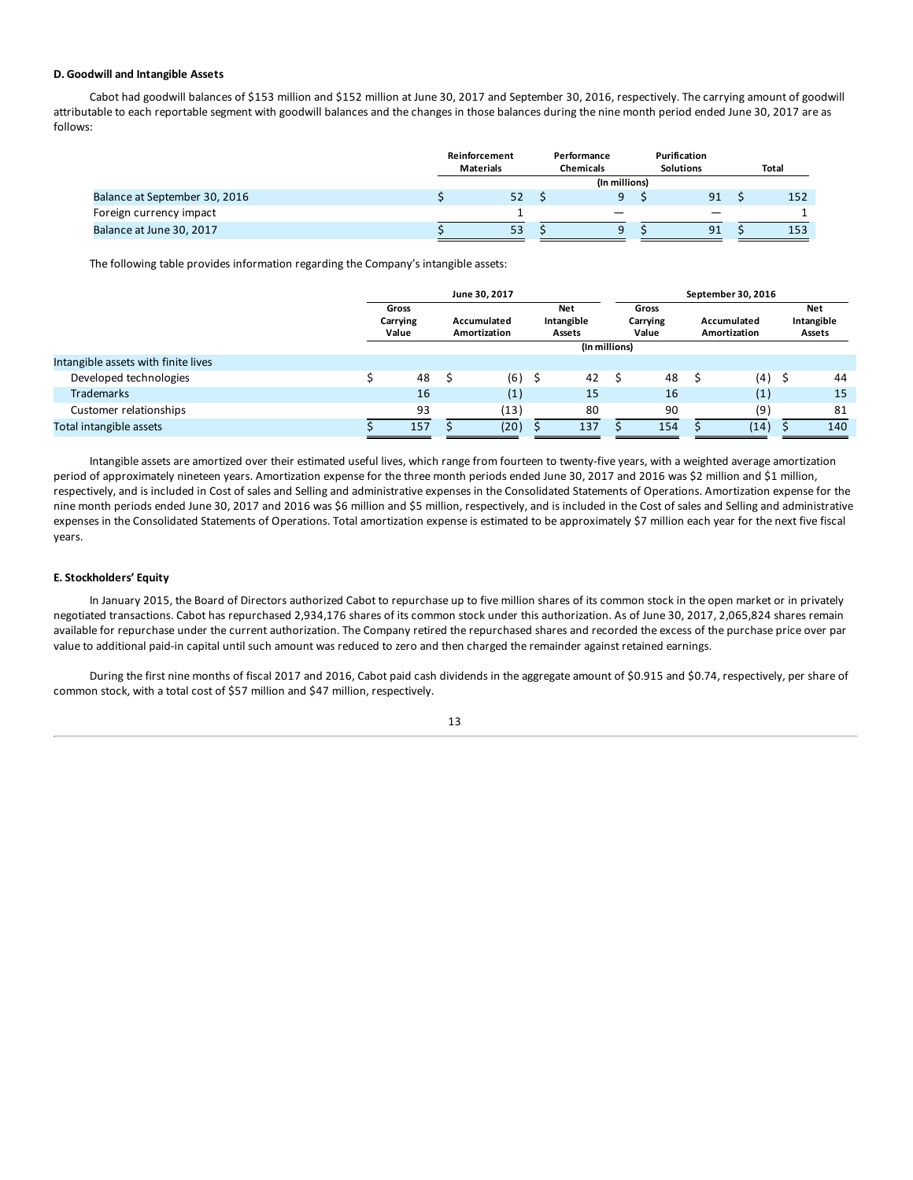## **D. Goodwill and Intangible Assets**

Cabot had goodwill balances of \$153 million and \$152 million at June 30, 2017 and September 30, 2016, respectively. The carrying amount of goodwill attributable to each reportable segment with goodwill balances and the changes in those balances during the nine month period ended June 30, 2017 are as follows:

|                               | Reinforcement<br><b>Materials</b> |    | Performance<br><b>Chemicals</b> | Purification<br><b>Solutions</b> | Total |
|-------------------------------|-----------------------------------|----|---------------------------------|----------------------------------|-------|
|                               |                                   |    | (In millions)                   |                                  |       |
| Balance at September 30, 2016 |                                   | 52 | a                               | 91                               | 152   |
| Foreign currency impact       |                                   |    |                                 |                                  |       |
| Balance at June 30, 2017      |                                   | 53 |                                 | 91                               | 153   |

The following table provides information regarding the Company's intangible assets:

|                                     |                            |  | June 30, 2017               |   |                                    |                            |     |                             | September 30, 2016 |                             |
|-------------------------------------|----------------------------|--|-----------------------------|---|------------------------------------|----------------------------|-----|-----------------------------|--------------------|-----------------------------|
|                                     | Gross<br>Carrying<br>Value |  | Accumulated<br>Amortization |   | <b>Net</b><br>Intangible<br>Assets | Gross<br>Carrying<br>Value |     | Accumulated<br>Amortization |                    | Net<br>Intangible<br>Assets |
|                                     |                            |  |                             |   | (In millions)                      |                            |     |                             |                    |                             |
| Intangible assets with finite lives |                            |  |                             |   |                                    |                            |     |                             |                    |                             |
| Developed technologies              | 48                         |  | (6)                         | S | 42                                 |                            | 48  |                             | (4)                | 44                          |
| <b>Trademarks</b>                   | 16                         |  | (1)                         |   | 15                                 |                            | 16  |                             | (1)                | 15                          |
| Customer relationships              | 93                         |  | (13)                        |   | 80                                 |                            | 90  |                             | (9)                | 81                          |
| Total intangible assets             | 157                        |  | (20)                        |   | 137                                |                            | 154 |                             | (14)               | 140                         |

Intangible assets are amortized over their estimated useful lives, which range from fourteen to twenty-five years, with a weighted average amortization period of approximately nineteen years. Amortization expense for the three month periods ended June 30, 2017 and 2016 was \$2 million and \$1 million, respectively, and is included in Cost of sales and Selling and administrative expenses in the Consolidated Statements of Operations. Amortization expense for the nine month periods ended June 30, 2017 and 2016 was \$6 million and \$5 million, respectively, and is included in the Cost of sales and Selling and administrative expenses in the Consolidated Statements of Operations. Total amortization expense is estimated to be approximately \$7 million each year for the next five fiscal years.

#### **E. Stockholders' Equity**

In January 2015, the Board of Directors authorized Cabot to repurchase up to five million shares of its common stock in the open market or in privately negotiated transactions. Cabot has repurchased 2,934,176 shares of its common stock under this authorization. As of June 30, 2017, 2,065,824 shares remain available for repurchase under the current authorization. The Company retired the repurchased shares and recorded the excess of the purchase price over par value to additional paid-in capital until such amount was reduced to zero and then charged the remainder against retained earnings.

During the first nine months of fiscal 2017 and 2016, Cabot paid cash dividends in the aggregate amount of \$0.915 and \$0.74, respectively, per share of common stock, with a total cost of \$57 million and \$47 million, respectively.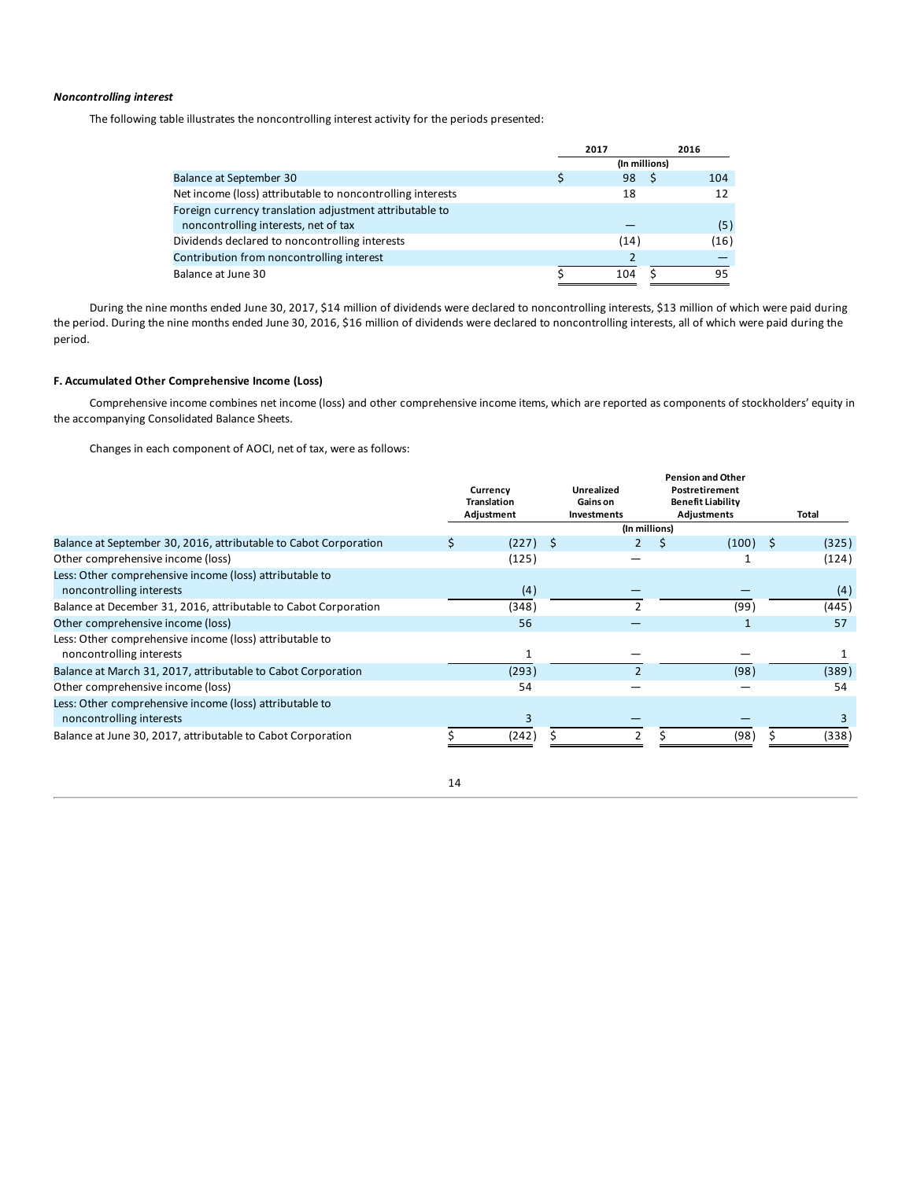## *Noncontrolling interest*

The following table illustrates the noncontrolling interest activity for the periods presented:

|                                                            | 2017 |               |              | 2016 |
|------------------------------------------------------------|------|---------------|--------------|------|
|                                                            |      | (In millions) |              |      |
| Balance at September 30                                    |      | 98            | <sub>S</sub> | 104  |
| Net income (loss) attributable to noncontrolling interests |      | 18            |              | 12   |
| Foreign currency translation adjustment attributable to    |      |               |              |      |
| noncontrolling interests, net of tax                       |      |               |              | (5)  |
| Dividends declared to noncontrolling interests             |      | (14)          |              | (16) |
| Contribution from noncontrolling interest                  |      |               |              |      |
| Balance at June 30                                         |      | 104           |              | 95   |

During the nine months ended June 30, 2017, \$14 million of dividends were declared to noncontrolling interests, \$13 million of which were paid during the period. During the nine months ended June 30, 2016, \$16 million of dividends were declared to noncontrolling interests, all of which were paid during the period.

#### **F. Accumulated Other Comprehensive Income (Loss)**

Comprehensive income combines net income (loss) and other comprehensive income items, which are reported as components of stockholders' equity in the accompanying Consolidated Balance Sheets.

Changes in each component of AOCI, net of tax, were as follows:

|                                                                  | Currency<br>Translation<br>Adjustment |            | <b>Unrealized</b><br>Gains on<br><b>Investments</b> |  | <b>Pension and Other</b><br>Postretirement<br><b>Benefit Liability</b><br>Adjustments | Total |
|------------------------------------------------------------------|---------------------------------------|------------|-----------------------------------------------------|--|---------------------------------------------------------------------------------------|-------|
|                                                                  |                                       |            | (In millions)                                       |  |                                                                                       |       |
| Balance at September 30, 2016, attributable to Cabot Corporation |                                       | $(227)$ \$ |                                                     |  | (100)                                                                                 | (325) |
| Other comprehensive income (loss)                                |                                       | (125)      |                                                     |  |                                                                                       | (124) |
| Less: Other comprehensive income (loss) attributable to          |                                       |            |                                                     |  |                                                                                       |       |
| noncontrolling interests                                         |                                       | (4)        |                                                     |  |                                                                                       | (4)   |
| Balance at December 31, 2016, attributable to Cabot Corporation  |                                       | (348)      |                                                     |  | (99)                                                                                  | (445) |
| Other comprehensive income (loss)                                |                                       | 56         |                                                     |  |                                                                                       | 57    |
| Less: Other comprehensive income (loss) attributable to          |                                       |            |                                                     |  |                                                                                       |       |
| noncontrolling interests                                         |                                       |            |                                                     |  |                                                                                       |       |
| Balance at March 31, 2017, attributable to Cabot Corporation     |                                       | (293)      | $\overline{\phantom{0}}$                            |  | (98)                                                                                  | (389) |
| Other comprehensive income (loss)                                |                                       | 54         |                                                     |  |                                                                                       | 54    |
| Less: Other comprehensive income (loss) attributable to          |                                       |            |                                                     |  |                                                                                       |       |
| noncontrolling interests                                         |                                       | 3          |                                                     |  |                                                                                       |       |
| Balance at June 30, 2017, attributable to Cabot Corporation      |                                       | (242)      | $\mathcal{P}$                                       |  | (98)                                                                                  | (338) |

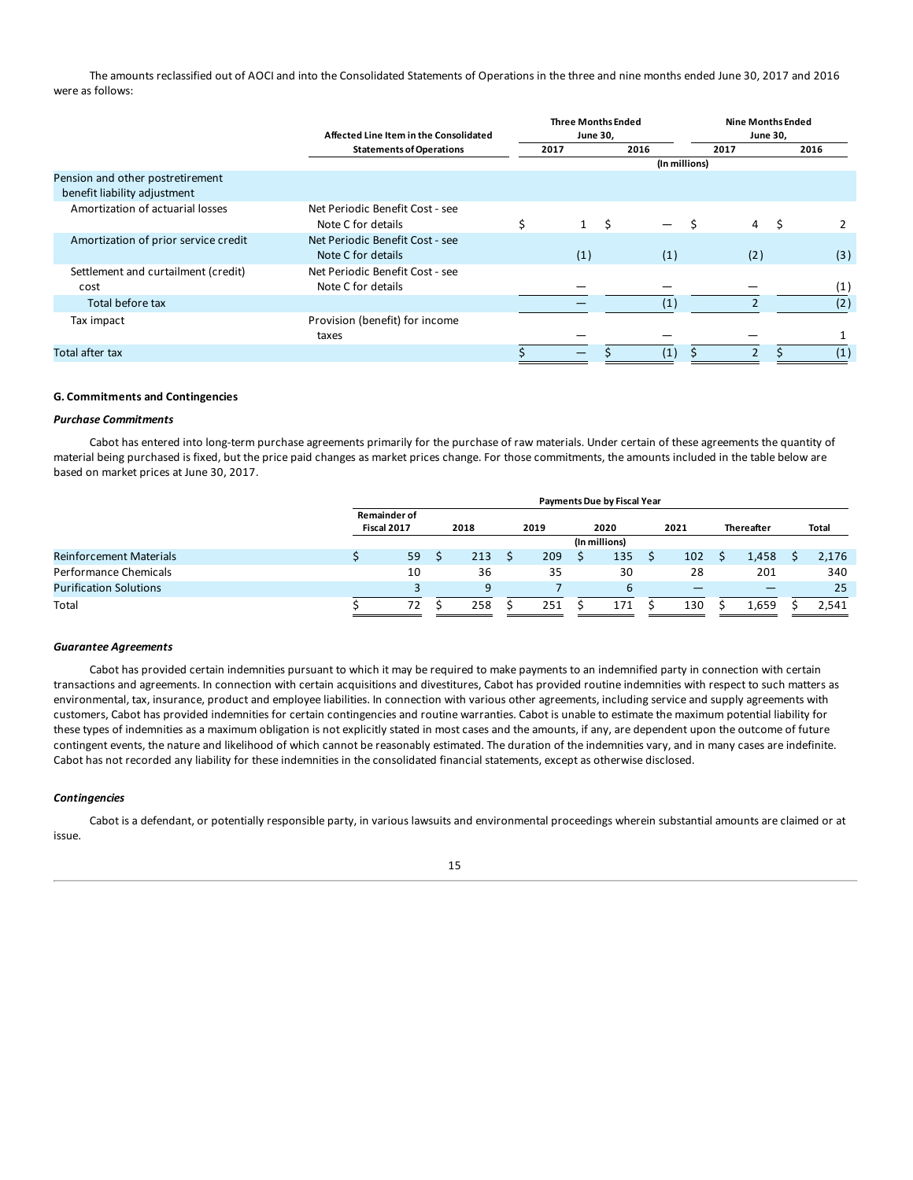The amounts reclassified out of AOCI and into the Consolidated Statements of Operations in the three and nine months ended June 30, 2017 and 2016 were as follows:

|                                      |                                        |                 | <b>Three Months Ended</b> |      |                          | <b>Nine Months Ended</b> |                          |    |      |  |
|--------------------------------------|----------------------------------------|-----------------|---------------------------|------|--------------------------|--------------------------|--------------------------|----|------|--|
|                                      | Affected Line Item in the Consolidated | <b>June 30,</b> |                           |      |                          | <b>June 30,</b>          |                          |    |      |  |
|                                      | <b>Statements of Operations</b>        |                 | 2017                      |      | 2016                     |                          | 2017                     |    | 2016 |  |
|                                      |                                        |                 |                           |      |                          | (In millions)            |                          |    |      |  |
| Pension and other postretirement     |                                        |                 |                           |      |                          |                          |                          |    |      |  |
| benefit liability adjustment         |                                        |                 |                           |      |                          |                          |                          |    |      |  |
| Amortization of actuarial losses     | Net Periodic Benefit Cost - see        |                 |                           |      |                          |                          |                          |    |      |  |
|                                      | Note C for details                     | Ś.              | $\mathbf{1}$              | - \$ | $\overline{\phantom{0}}$ | - \$                     | 4                        | Ŝ. | 2    |  |
| Amortization of prior service credit | Net Periodic Benefit Cost - see        |                 |                           |      |                          |                          |                          |    |      |  |
|                                      | Note C for details                     |                 | (1)                       |      | (1)                      |                          | (2)                      |    | (3)  |  |
| Settlement and curtailment (credit)  | Net Periodic Benefit Cost - see        |                 |                           |      |                          |                          |                          |    |      |  |
| cost                                 | Note C for details                     |                 |                           |      |                          |                          |                          |    | (1)  |  |
| Total before tax                     |                                        |                 |                           |      | (1)                      |                          |                          |    | (2)  |  |
| Tax impact                           | Provision (benefit) for income         |                 |                           |      |                          |                          |                          |    |      |  |
|                                      | taxes                                  |                 |                           |      |                          |                          |                          |    |      |  |
| Total after tax                      |                                        |                 |                           |      | (1)                      |                          | $\overline{\phantom{0}}$ |    | (1)  |  |
|                                      |                                        |                 |                           |      |                          |                          |                          |    |      |  |

#### **G. Commitments and Contingencies**

#### *Purchase Commitments*

Cabot has entered into long-term purchase agreements primarily for the purchase of raw materials. Under certain of these agreements the quantity of material being purchased is fixed, but the price paid changes as market prices change. For those commitments, the amounts included in the table below are based on market prices at June 30, 2017.

|                                |                             |      |      | <b>Payments Due by Fiscal Year</b> |      |                   |       |
|--------------------------------|-----------------------------|------|------|------------------------------------|------|-------------------|-------|
|                                | Remainder of<br>Fiscal 2017 | 2018 | 2019 | 2020                               | 2021 | <b>Thereafter</b> | Total |
|                                |                             |      |      | (In millions)                      |      |                   |       |
| <b>Reinforcement Materials</b> | 59                          | 213  | 209  | 135                                | 102  | 1,458             | 2,176 |
| Performance Chemicals          | 10                          | 36   | 35   | 30                                 | 28   | 201               | 340   |
| <b>Purification Solutions</b>  |                             | 9    |      | 6                                  |      |                   | 25    |
| Total                          | 72                          | 258  | 251  | 171                                | 130  | 1,659             | 2,541 |

#### *Guarantee Agreements*

Cabot has provided certain indemnities pursuant to which it may be required to make payments to an indemnified party in connection with certain transactions and agreements. In connection with certain acquisitions and divestitures, Cabot has provided routine indemnities with respect to such matters as environmental, tax, insurance, product and employee liabilities. In connection with various other agreements, including service and supply agreements with customers, Cabot has provided indemnities for certain contingencies and routine warranties. Cabot is unable to estimate the maximum potential liability for these types of indemnities as a maximum obligation is not explicitly stated in most cases and the amounts, if any, are dependent upon the outcome of future contingent events, the nature and likelihood of which cannot be reasonably estimated. The duration of the indemnities vary, and in many cases are indefinite. Cabot has not recorded any liability for these indemnities in the consolidated financial statements, except as otherwise disclosed.

## *Contingencies*

Cabot is a defendant, or potentially responsible party, in various lawsuits and environmental proceedings wherein substantial amounts are claimed or at issue.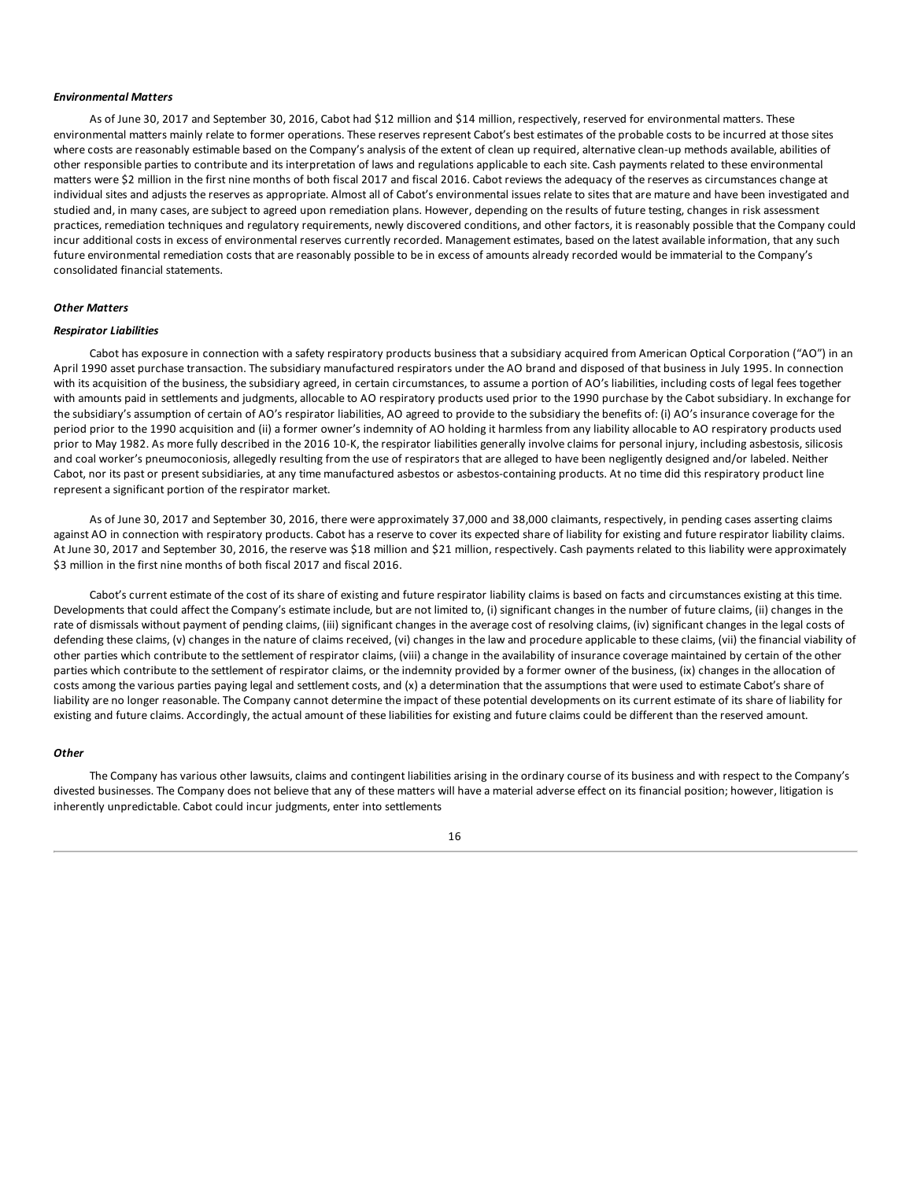#### *Environmental Matters*

As of June 30, 2017 and September 30, 2016, Cabot had \$12 million and \$14 million, respectively, reserved for environmental matters. These environmental matters mainly relate to former operations. These reserves represent Cabot's best estimates of the probable costs to be incurred at those sites where costs are reasonably estimable based on the Company's analysis of the extent of clean up required, alternative clean-up methods available, abilities of other responsible parties to contribute and its interpretation of laws and regulations applicable to each site. Cash payments related to these environmental matters were \$2 million in the first nine months of both fiscal 2017 and fiscal 2016. Cabot reviews the adequacy of the reserves as circumstances change at individual sites and adjusts the reserves as appropriate. Almost all of Cabot's environmental issues relate to sites that are mature and have been investigated and studied and, in many cases, are subject to agreed upon remediation plans. However, depending on the results of future testing, changes in risk assessment practices, remediation techniques and regulatory requirements, newly discovered conditions, and other factors, it is reasonably possible that the Company could incur additional costs in excess of environmental reserves currently recorded. Management estimates, based on the latest available information, that any such future environmental remediation costs that are reasonably possible to be in excess of amounts already recorded would be immaterial to the Company's consolidated financial statements.

#### *Other Matters*

#### *Respirator Liabilities*

Cabot has exposure in connection with a safety respiratory products business that a subsidiary acquired from American Optical Corporation ("AO") in an April 1990 asset purchase transaction. The subsidiary manufactured respirators under the AO brand and disposed of that business in July 1995. In connection with its acquisition of the business, the subsidiary agreed, in certain circumstances, to assume a portion of AO's liabilities, including costs of legal fees together with amounts paid in settlements and judgments, allocable to AO respiratory products used prior to the 1990 purchase by the Cabot subsidiary. In exchange for the subsidiary's assumption of certain of AO's respirator liabilities, AO agreed to provide to the subsidiary the benefits of: (i) AO's insurance coverage for the period prior to the 1990 acquisition and (ii) a former owner's indemnity of AO holding it harmless from any liability allocable to AO respiratory products used prior to May 1982. As more fully described in the 2016 10-K, the respirator liabilities generally involve claims for personal injury, including asbestosis, silicosis and coal worker's pneumoconiosis, allegedly resulting from the use of respirators that are alleged to have been negligently designed and/or labeled. Neither Cabot, nor its past or present subsidiaries, at any time manufactured asbestos or asbestos-containing products. At no time did this respiratory product line represent a significant portion of the respirator market.

As of June 30, 2017 and September 30, 2016, there were approximately 37,000 and 38,000 claimants, respectively, in pending cases asserting claims against AO in connection with respiratory products. Cabot has a reserve to cover its expected share of liability for existing and future respirator liability claims. At June 30, 2017 and September 30, 2016, the reserve was \$18 million and \$21 million, respectively. Cash payments related to this liability were approximately \$3 million in the first nine months of both fiscal 2017 and fiscal 2016.

Cabot's current estimate of the cost of its share of existing and future respirator liability claims is based on facts and circumstances existing at this time. Developments that could affect the Company's estimate include, but are not limited to, (i) significant changes in the number of future claims, (ii) changes in the rate of dismissals without payment of pending claims, (iii) significant changes in the average cost of resolving claims, (iv) significant changes in the legal costs of defending these claims, (v) changes in the nature of claims received, (vi) changes in the law and procedure applicable to these claims, (vii) the financial viability of other parties which contribute to the settlement of respirator claims, (viii) a change in the availability of insurance coverage maintained by certain of the other parties which contribute to the settlement of respirator claims, or the indemnity provided by a former owner of the business, (ix) changes in the allocation of costs among the various parties paying legal and settlement costs, and (x) a determination that the assumptions that were used to estimate Cabot's share of liability are no longer reasonable. The Company cannot determine the impact of these potential developments on its current estimate of its share of liability for existing and future claims. Accordingly, the actual amount of these liabilities for existing and future claims could be different than the reserved amount.

#### *Other*

The Company has various other lawsuits, claims and contingent liabilities arising in the ordinary course of its business and with respect to the Company's divested businesses. The Company does not believe that any of these matters will have a material adverse effect on its financial position; however, litigation is inherently unpredictable. Cabot could incur judgments, enter into settlements

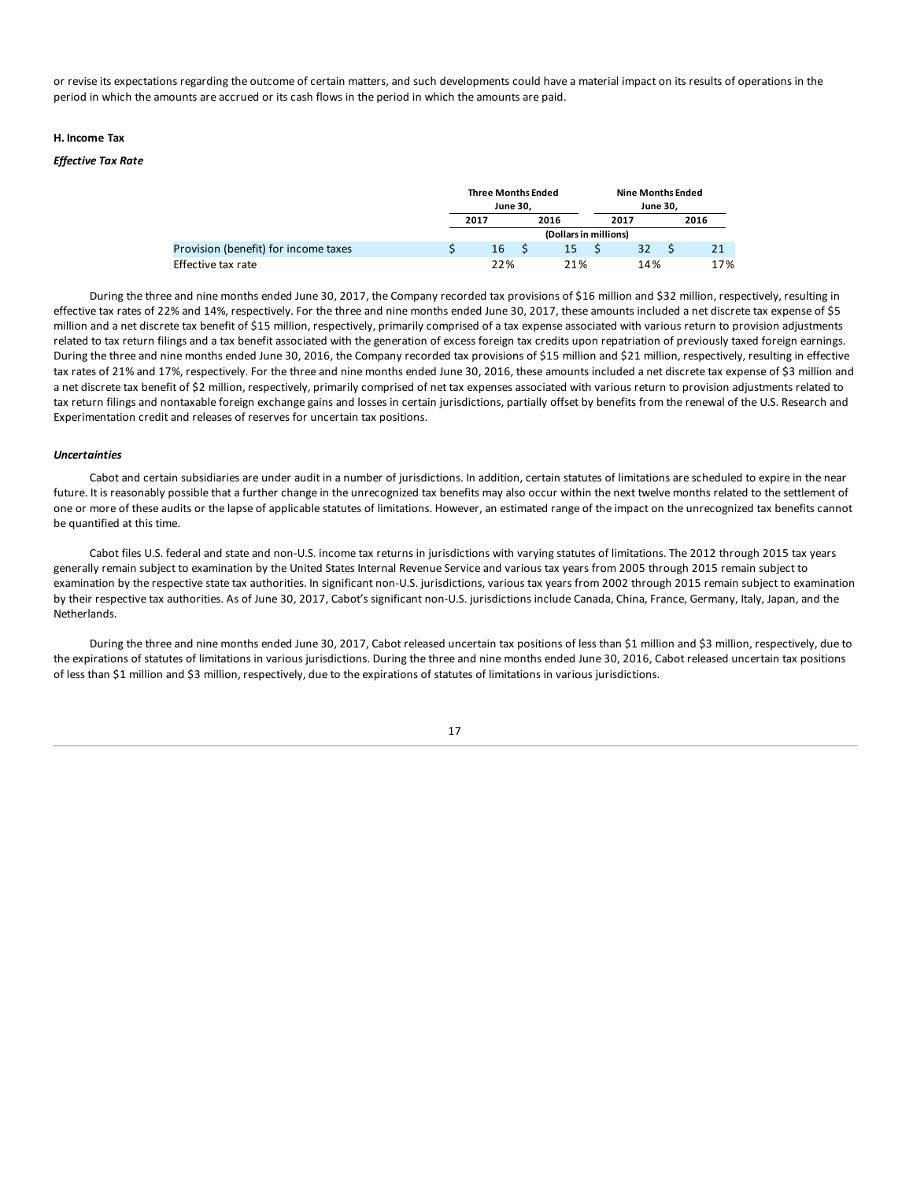or revise its expectations regarding the outcome of certain matters, and such developments could have a material impact on its results of operations in the period in which the amounts are accrued or its cash flows in the period in which the amounts are paid.

#### **H. Income Tax**

#### *Effective Tax Rate*

|                                      | <b>Three Months Ended</b><br><b>June 30.</b> |                       | <b>Nine Months Ended</b><br><b>June 30,</b> |      |
|--------------------------------------|----------------------------------------------|-----------------------|---------------------------------------------|------|
|                                      | 2017                                         | 2016                  | 2017                                        | 2016 |
|                                      |                                              | (Dollars in millions) |                                             |      |
| Provision (benefit) for income taxes | 16 <sub>5</sub>                              | 15                    | 32                                          | 21   |
| Effective tax rate                   | 22%                                          | 21%                   | 14%                                         | 17%  |

During the three and nine months ended June 30, 2017, the Company recorded tax provisions of \$16 million and \$32 million, respectively, resulting in effective tax rates of 22% and 14%, respectively. For the three and nine months ended June 30, 2017, these amounts included a net discrete tax expense of \$5 million and a net discrete tax benefit of \$15 million, respectively, primarily comprised of a tax expense associated with various return to provision adjustments related to tax return filings and a tax benefit associated with the generation of excess foreign tax credits upon repatriation of previously taxed foreign earnings. During the three and nine months ended June 30, 2016, the Company recorded tax provisions of \$15 million and \$21 million, respectively, resulting in effective tax rates of 21% and 17%, respectively. For the three and nine months ended June 30, 2016, these amounts included a net discrete tax expense of \$3 million and a net discrete tax benefit of \$2 million, respectively, primarily comprised of net tax expenses associated with various return to provision adjustments related to tax return filings and nontaxable foreign exchange gains and losses in certain jurisdictions, partially offset by benefits from the renewal of the U.S. Research and Experimentation credit and releases of reserves for uncertain tax positions.

#### *Uncertainties*

Cabot and certain subsidiaries are under audit in a number of jurisdictions. In addition, certain statutes of limitations are scheduled to expire in the near future. It is reasonably possible that a further change in the unrecognized tax benefits may also occur within the next twelve months related to the settlement of one or more of these audits or the lapse of applicable statutes of limitations. However, an estimated range of the impact on the unrecognized tax benefits cannot be quantified at this time.

Cabot files U.S. federal and state and non-U.S. income tax returns in jurisdictions with varying statutes of limitations. The 2012 through 2015 tax years generally remain subject to examination by the United States Internal Revenue Service and various tax years from 2005 through 2015 remain subject to examination by the respective state tax authorities. In significant non-U.S. jurisdictions, various tax years from 2002 through 2015 remain subject to examination by their respective tax authorities. As of June 30, 2017, Cabot's significant non-U.S. jurisdictions include Canada, China, France, Germany, Italy, Japan, and the Netherlands.

During the three and nine months ended June 30, 2017, Cabot released uncertain tax positions of less than \$1 million and \$3 million, respectively, due to the expirations of statutes of limitations in various jurisdictions. During the three and nine months ended June 30, 2016, Cabot released uncertain tax positions of less than \$1 million and \$3 million, respectively, due to the expirations of statutes of limitations in various jurisdictions.

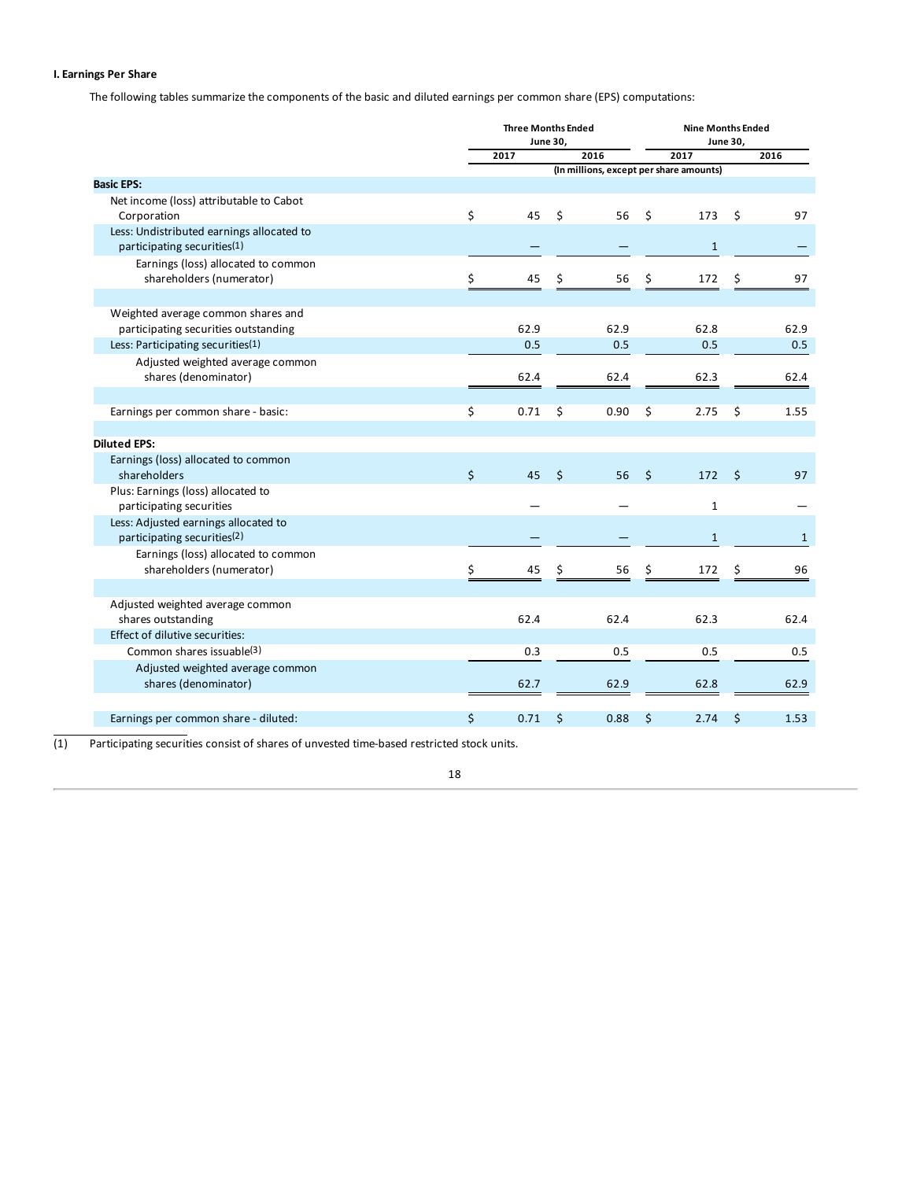## **I. Earnings Per Share**

The following tables summarize the components of the basic and diluted earnings per common share (EPS) computations:

|                                                                            | <b>Three Months Ended</b><br><b>June 30,</b> |      |         |      |    | <b>Nine Months Ended</b><br><b>June 30,</b> |    |              |  |
|----------------------------------------------------------------------------|----------------------------------------------|------|---------|------|----|---------------------------------------------|----|--------------|--|
|                                                                            |                                              | 2017 |         | 2016 |    | 2017                                        |    | 2016         |  |
|                                                                            |                                              |      |         |      |    | (In millions, except per share amounts)     |    |              |  |
| <b>Basic EPS:</b>                                                          |                                              |      |         |      |    |                                             |    |              |  |
| Net income (loss) attributable to Cabot<br>Corporation                     | \$                                           | 45   | Ś       | 56   | Ś  | 173                                         | Ś. | 97           |  |
| Less: Undistributed earnings allocated to<br>participating securities(1)   |                                              |      |         |      |    | $\mathbf{1}$                                |    |              |  |
| Earnings (loss) allocated to common<br>shareholders (numerator)            | Ś                                            | 45   | Ś       | 56   | \$ | 172                                         | Ś  | 97           |  |
|                                                                            |                                              |      |         |      |    |                                             |    |              |  |
| Weighted average common shares and<br>participating securities outstanding |                                              | 62.9 |         | 62.9 |    | 62.8                                        |    | 62.9         |  |
| Less: Participating securities(1)                                          |                                              | 0.5  |         | 0.5  |    | 0.5                                         |    | 0.5          |  |
| Adjusted weighted average common                                           |                                              |      |         |      |    |                                             |    |              |  |
| shares (denominator)                                                       |                                              | 62.4 |         | 62.4 |    | 62.3                                        |    | 62.4         |  |
|                                                                            |                                              |      |         |      |    |                                             |    |              |  |
| Earnings per common share - basic:                                         | \$                                           | 0.71 | \$      | 0.90 | \$ | 2.75                                        | \$ | 1.55         |  |
| <b>Diluted EPS:</b>                                                        |                                              |      |         |      |    |                                             |    |              |  |
| Earnings (loss) allocated to common<br>shareholders                        | \$                                           | 45   | $\zeta$ | 56   | \$ | 172                                         | \$ | 97           |  |
| Plus: Earnings (loss) allocated to<br>participating securities             |                                              |      |         |      |    | $\mathbf{1}$                                |    |              |  |
| Less: Adjusted earnings allocated to<br>participating securities(2)        |                                              |      |         |      |    | $\mathbf{1}$                                |    | $\mathbf{1}$ |  |
| Earnings (loss) allocated to common<br>shareholders (numerator)            | \$                                           | 45   | \$      | 56   | \$ | 172                                         | \$ | 96           |  |
|                                                                            |                                              |      |         |      |    |                                             |    |              |  |
| Adjusted weighted average common<br>shares outstanding                     |                                              | 62.4 |         | 62.4 |    | 62.3                                        |    | 62.4         |  |
| Effect of dilutive securities:                                             |                                              |      |         |      |    |                                             |    |              |  |
| Common shares issuable(3)                                                  |                                              | 0.3  |         | 0.5  |    | 0.5                                         |    | 0.5          |  |
| Adjusted weighted average common<br>shares (denominator)                   |                                              | 62.7 |         | 62.9 |    | 62.8                                        |    | 62.9         |  |
|                                                                            |                                              |      | Ś       |      |    | 2.74                                        | Ś  | 1.53         |  |
| Earnings per common share - diluted:                                       | \$                                           | 0.71 |         | 0.88 | \$ |                                             |    |              |  |

(1) Participating securities consist of shares of unvested time-based restricted stock units.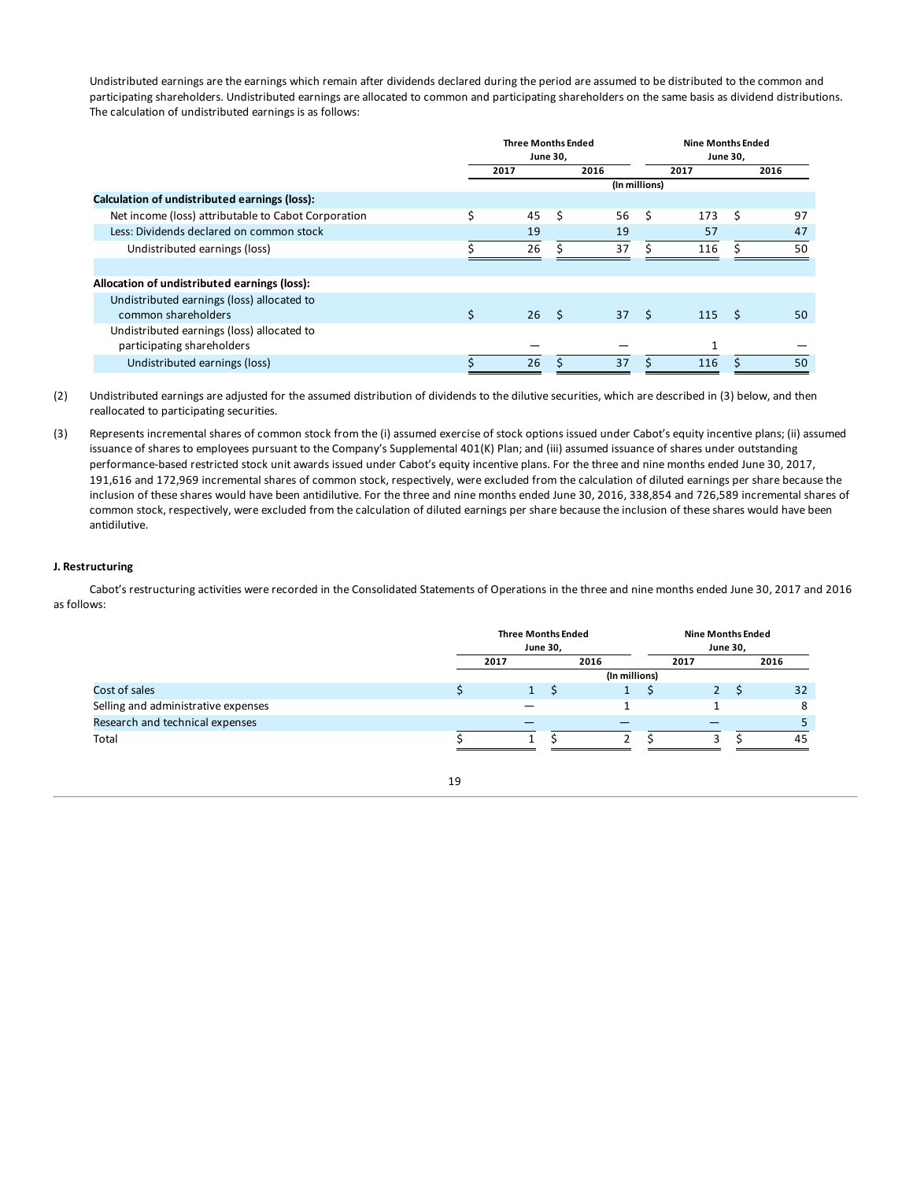Undistributed earnings are the earnings which remain after dividends declared during the period are assumed to be distributed to the common and participating shareholders. Undistributed earnings are allocated to common and participating shareholders on the same basis as dividend distributions. The calculation of undistributed earnings is as follows:

|   | <b>Nine Months Ended</b>                                    |
|---|-------------------------------------------------------------|
|   | 2016                                                        |
|   |                                                             |
|   |                                                             |
| S | 97                                                          |
|   | 47                                                          |
|   | 50                                                          |
|   |                                                             |
|   |                                                             |
|   |                                                             |
|   | 50                                                          |
|   |                                                             |
|   |                                                             |
|   | 50                                                          |
| 1 | <b>June 30.</b><br>173<br>57<br>116<br>$115 \quad S$<br>116 |

(2) Undistributed earnings are adjusted for the assumed distribution of dividends to the dilutive securities, which are described in (3) below, and then reallocated to participating securities.

(3) Represents incremental shares of common stock from the (i) assumed exercise of stock options issued under Cabot's equity incentive plans; (ii) assumed issuance of shares to employees pursuant to the Company's Supplemental 401(K) Plan; and (iii) assumed issuance of shares under outstanding performance-based restricted stock unit awards issued under Cabot's equity incentive plans. For the three and nine months ended June 30, 2017, 191,616 and 172,969 incremental shares of common stock, respectively, were excluded from the calculation of diluted earnings per share because the inclusion of these shares would have been antidilutive. For the three and nine months ended June 30, 2016, 338,854 and 726,589 incremental shares of common stock, respectively, were excluded from the calculation of diluted earnings per share because the inclusion of these shares would have been antidilutive.

## **J. Restructuring**

Cabot's restructuring activities were recorded in the Consolidated Statements of Operations in the three and nine months ended June 30, 2017 and 2016 as follows:

|                                     |      | <b>Three Months Ended</b><br><b>June 30,</b> |  | <b>Nine Months Ended</b><br><b>June 30,</b> |      |  |  |      |
|-------------------------------------|------|----------------------------------------------|--|---------------------------------------------|------|--|--|------|
|                                     | 2017 |                                              |  | 2016                                        | 2017 |  |  | 2016 |
|                                     |      |                                              |  | (In millions)                               |      |  |  |      |
| Cost of sales                       |      |                                              |  |                                             |      |  |  | 32   |
| Selling and administrative expenses |      |                                              |  |                                             |      |  |  | 8    |
| Research and technical expenses     |      |                                              |  |                                             |      |  |  |      |
| Total                               |      |                                              |  |                                             |      |  |  | 45   |

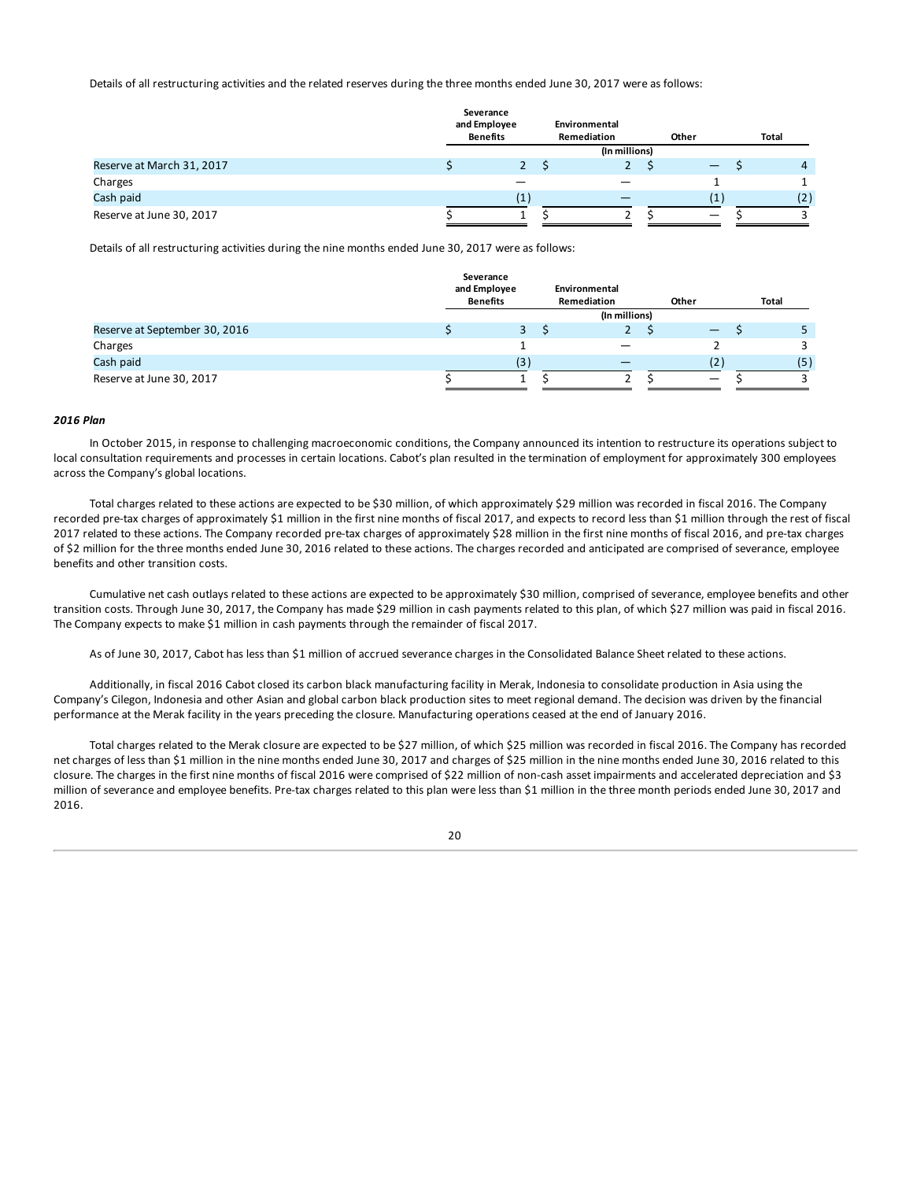Details of all restructuring activities and the related reserves during the three months ended June 30, 2017 were as follows:

|                           | Severance<br>and Employee<br><b>Benefits</b> |     | <b>Environmental</b><br>Remediation | Other |    | <b>Total</b>   |
|---------------------------|----------------------------------------------|-----|-------------------------------------|-------|----|----------------|
|                           |                                              |     | (In millions)                       |       |    |                |
| Reserve at March 31, 2017 |                                              |     | L                                   |       | —  | $\overline{a}$ |
| Charges                   |                                              |     |                                     |       |    |                |
| Cash paid                 |                                              | (1) |                                     |       | (1 | (2)            |
| Reserve at June 30, 2017  |                                              |     |                                     |       | -  |                |

Details of all restructuring activities during the nine months ended June 30, 2017 were as follows:

|                               | Severance<br>and Employee<br><b>Benefits</b> |     | Environmental<br>Remediation | Other | <b>Total</b> |
|-------------------------------|----------------------------------------------|-----|------------------------------|-------|--------------|
|                               |                                              |     | (In millions)                |       |              |
| Reserve at September 30, 2016 |                                              | 3   |                              | —     |              |
| Charges                       |                                              |     |                              |       |              |
| Cash paid                     |                                              | (3) |                              | (2)   | (5)          |
| Reserve at June 30, 2017      |                                              |     |                              | -     |              |

#### *2016 Plan*

In October 2015, in response to challenging macroeconomic conditions, the Company announced its intention to restructure its operations subject to local consultation requirements and processes in certain locations. Cabot's plan resulted in the termination of employment for approximately 300 employees across the Company's global locations.

Total charges related to these actions are expected to be \$30 million, of which approximately \$29 million was recorded in fiscal 2016. The Company recorded pre-tax charges of approximately \$1 million in the first nine months of fiscal 2017, and expects to record less than \$1 million through the rest of fiscal 2017 related to these actions. The Company recorded pre-tax charges of approximately \$28 million in the first nine months of fiscal 2016, and pre-tax charges of \$2 million for the three months ended June 30, 2016 related to these actions. The charges recorded and anticipated are comprised of severance, employee benefits and other transition costs.

Cumulative net cash outlays related to these actions are expected to be approximately \$30 million, comprised of severance, employee benefits and other transition costs. Through June 30, 2017, the Company has made \$29 million in cash payments related to this plan, of which \$27 million was paid in fiscal 2016. The Company expects to make \$1 million in cash payments through the remainder of fiscal 2017.

As of June 30, 2017, Cabot has less than \$1 million of accrued severance charges in the Consolidated Balance Sheet related to these actions.

Additionally, in fiscal 2016 Cabot closed its carbon black manufacturing facility in Merak, Indonesia to consolidate production in Asia using the Company's Cilegon, Indonesia and other Asian and global carbon black production sites to meet regional demand. The decision was driven by the financial performance at the Merak facility in the years preceding the closure. Manufacturing operations ceased at the end of January 2016.

Total charges related to the Merak closure are expected to be \$27 million, of which \$25 million was recorded in fiscal 2016. The Company has recorded net charges of less than \$1 million in the nine months ended June 30, 2017 and charges of \$25 million in the nine months ended June 30, 2016 related to this closure. The charges in the first nine months of fiscal 2016 were comprised of \$22 million of non-cash asset impairments and accelerated depreciation and \$3 million of severance and employee benefits. Pre-tax charges related to this plan were less than \$1 million in the three month periods ended June 30, 2017 and 2016.

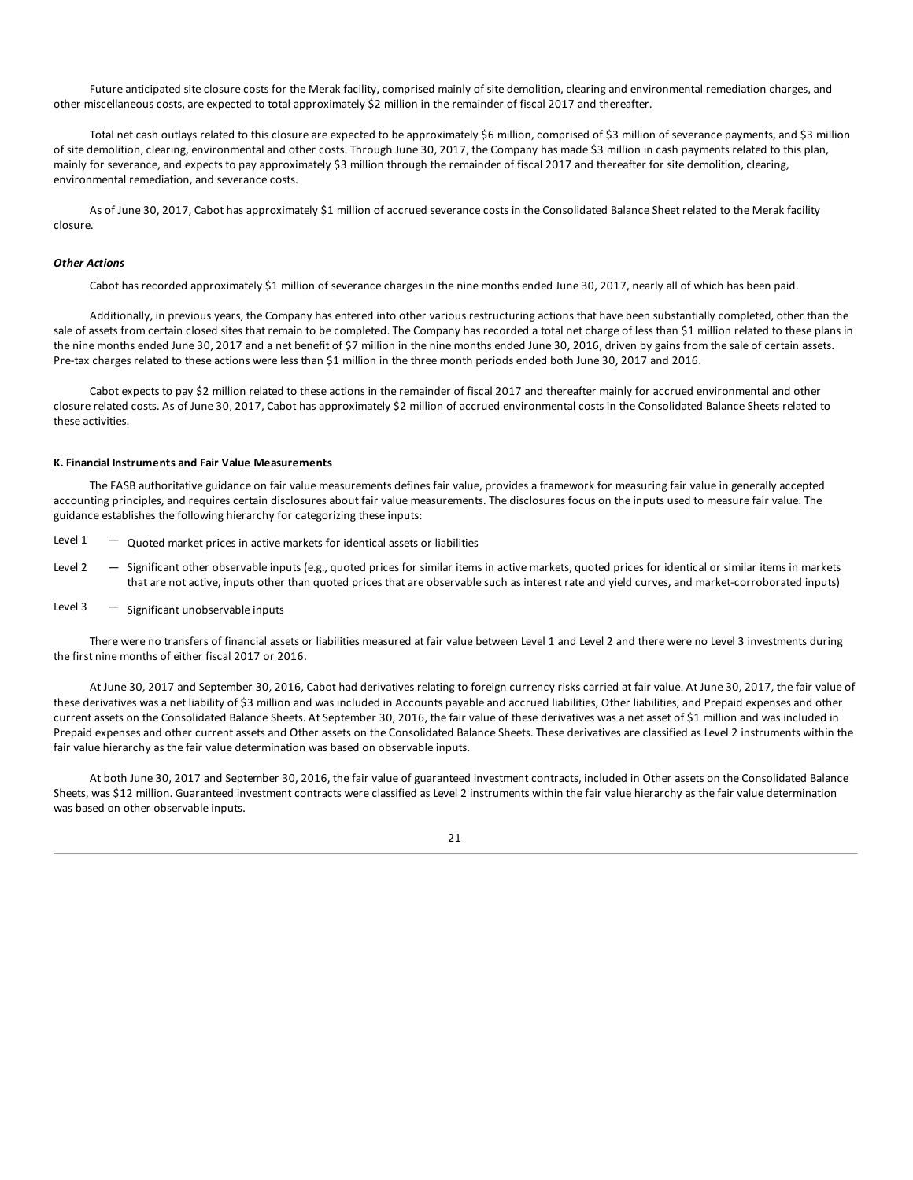Future anticipated site closure costs for the Merak facility, comprised mainly of site demolition, clearing and environmental remediation charges, and other miscellaneous costs, are expected to total approximately \$2 million in the remainder of fiscal 2017 and thereafter.

Total net cash outlays related to this closure are expected to be approximately \$6 million, comprised of \$3 million of severance payments, and \$3 million of site demolition, clearing, environmental and other costs. Through June 30, 2017, the Company has made \$3 million in cash payments related to this plan, mainly for severance, and expects to pay approximately \$3 million through the remainder of fiscal 2017 and thereafter for site demolition, clearing, environmental remediation, and severance costs.

As of June 30, 2017, Cabot has approximately \$1 million of accrued severance costs in the Consolidated Balance Sheet related to the Merak facility closure.

#### *Other Actions*

Cabot has recorded approximately \$1 million of severance charges in the nine months ended June 30, 2017, nearly all of which has been paid.

Additionally, in previous years, the Company has entered into other various restructuring actions that have been substantially completed, other than the sale of assets from certain closed sites that remain to be completed. The Company has recorded a total net charge of less than \$1 million related to these plans in the nine months ended June 30, 2017 and a net benefit of \$7 million in the nine months ended June 30, 2016, driven by gains from the sale of certain assets. Pre-tax charges related to these actions were less than \$1 million in the three month periods ended both June 30, 2017 and 2016.

Cabot expects to pay \$2 million related to these actions in the remainder of fiscal 2017 and thereafter mainly for accrued environmental and other closure related costs. As of June 30, 2017, Cabot has approximately \$2 million of accrued environmental costs in the Consolidated Balance Sheets related to these activities.

#### **K. Financial Instruments and Fair Value Measurements**

The FASB authoritative guidance on fair value measurements defines fair value, provides a framework for measuring fair value in generally accepted accounting principles, and requires certain disclosures about fair value measurements. The disclosures focus on the inputs used to measure fair value. The guidance establishes the following hierarchy for categorizing these inputs:

- Level  $1 -$  Quoted market prices in active markets for identical assets or liabilities
- Level 2 Significant other observable inputs (e.g., quoted prices for similar items in active markets, quoted prices for identical or similar items in markets that are not active, inputs other than quoted prices that are observable such as interest rate and yield curves, and market-corroborated inputs)
- Level  $3 -$  Significant unobservable inputs

There were no transfers of financial assets or liabilities measured at fair value between Level 1 and Level 2 and there were no Level 3 investments during the first nine months of either fiscal 2017 or 2016.

At June 30, 2017 and September 30, 2016, Cabot had derivatives relating to foreign currency risks carried at fair value. At June 30, 2017, the fair value of these derivatives was a net liability of \$3 million and was included in Accounts payable and accrued liabilities, Other liabilities, and Prepaid expenses and other current assets on the Consolidated Balance Sheets. At September 30, 2016, the fair value of these derivatives was a net asset of \$1 million and was included in Prepaid expenses and other current assets and Other assets on the Consolidated Balance Sheets. These derivatives are classified as Level 2 instruments within the fair value hierarchy as the fair value determination was based on observable inputs.

At both June 30, 2017 and September 30, 2016, the fair value of guaranteed investment contracts, included in Other assets on the Consolidated Balance Sheets, was \$12 million. Guaranteed investment contracts were classified as Level 2 instruments within the fair value hierarchy as the fair value determination was based on other observable inputs.

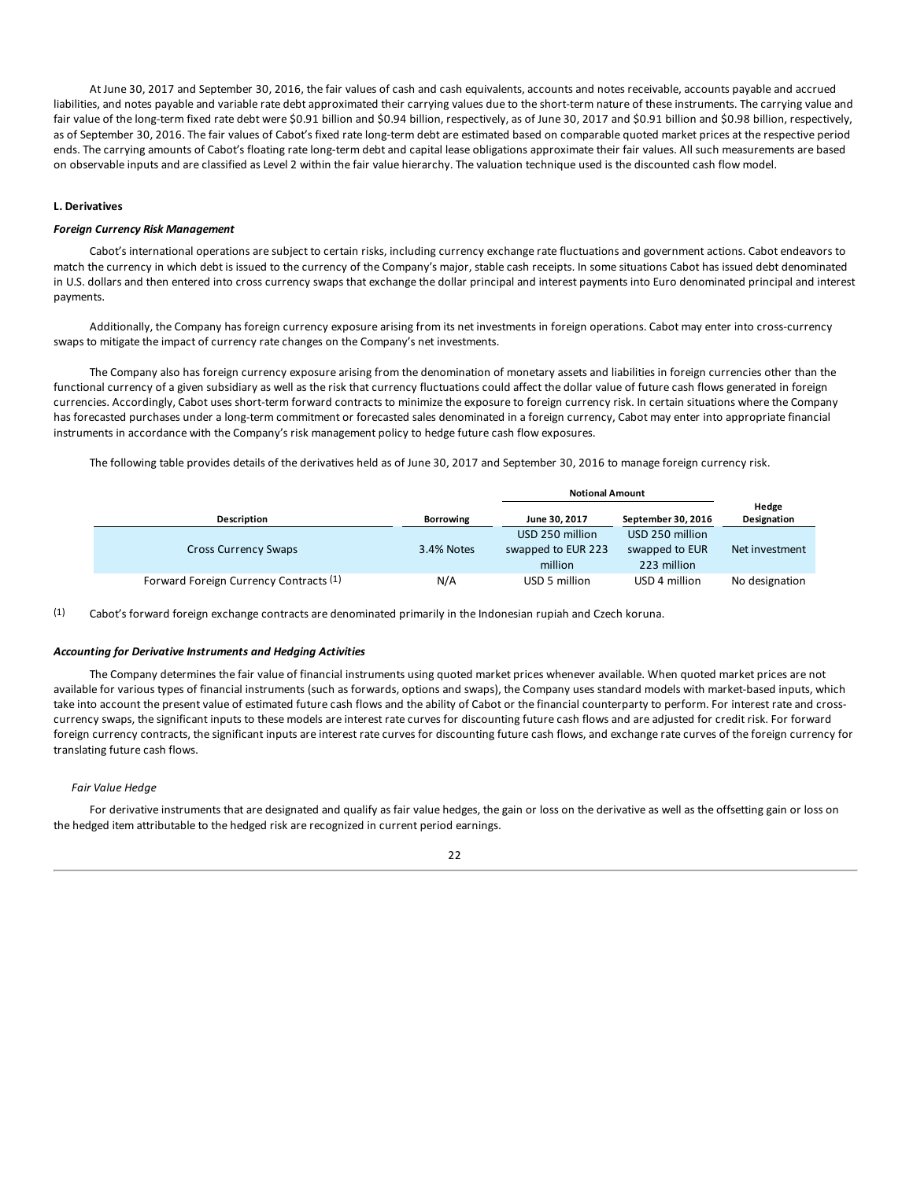At June 30, 2017 and September 30, 2016, the fair values of cash and cash equivalents, accounts and notes receivable, accounts payable and accrued liabilities, and notes payable and variable rate debt approximated their carrying values due to the short-term nature of these instruments. The carrying value and fair value of the long-term fixed rate debt were \$0.91 billion and \$0.94 billion, respectively, as of June 30, 2017 and \$0.91 billion and \$0.98 billion, respectively, as of September 30, 2016. The fair values of Cabot's fixed rate long-term debt are estimated based on comparable quoted market prices at the respective period ends. The carrying amounts of Cabot's floating rate long-term debt and capital lease obligations approximate their fair values. All such measurements are based on observable inputs and are classified as Level 2 within the fair value hierarchy. The valuation technique used is the discounted cash flow model.

#### **L. Derivatives**

#### *Foreign Currency Risk Management*

Cabot's international operations are subject to certain risks, including currency exchange rate fluctuations and government actions. Cabot endeavors to match the currency in which debt is issued to the currency of the Company's major, stable cash receipts. In some situations Cabot has issued debt denominated in U.S. dollars and then entered into cross currency swaps that exchange the dollar principal and interest payments into Euro denominated principal and interest payments.

Additionally, the Company has foreign currency exposure arising from its net investments in foreign operations. Cabot may enter into cross-currency swaps to mitigate the impact of currency rate changes on the Company's net investments.

The Company also has foreign currency exposure arising from the denomination of monetary assets and liabilities in foreign currencies other than the functional currency of a given subsidiary as well as the risk that currency fluctuations could affect the dollar value of future cash flows generated in foreign currencies. Accordingly, Cabot uses short-term forward contracts to minimize the exposure to foreign currency risk. In certain situations where the Company has forecasted purchases under a long-term commitment or forecasted sales denominated in a foreign currency, Cabot may enter into appropriate financial instruments in accordance with the Company's risk management policy to hedge future cash flow exposures.

The following table provides details of the derivatives held as of June 30, 2017 and September 30, 2016 to manage foreign currency risk.

|                                        |                  |                                                  | <b>Notional Amount</b>                           |                      |  |  |  |  |
|----------------------------------------|------------------|--------------------------------------------------|--------------------------------------------------|----------------------|--|--|--|--|
| <b>Description</b>                     | <b>Borrowing</b> | June 30, 2017                                    | September 30, 2016                               | Hedge<br>Designation |  |  |  |  |
| <b>Cross Currency Swaps</b>            | 3.4% Notes       | USD 250 million<br>swapped to EUR 223<br>million | USD 250 million<br>swapped to EUR<br>223 million | Net investment       |  |  |  |  |
| Forward Foreign Currency Contracts (1) | N/A              | USD 5 million                                    | USD 4 million                                    | No designation       |  |  |  |  |

(1) Cabot's forward foreign exchange contracts are denominated primarily in the Indonesian rupiah and Czech koruna.

#### *Accounting for Derivative Instruments and Hedging Activities*

The Company determines the fair value of financial instruments using quoted market prices whenever available. When quoted market prices are not available for various types of financial instruments (such as forwards, options and swaps), the Company uses standard models with market-based inputs, which take into account the present value of estimated future cash flows and the ability of Cabot or the financial counterparty to perform. For interest rate and crosscurrency swaps, the significant inputs to these models are interest rate curves for discounting future cash flows and are adjusted for credit risk. For forward foreign currency contracts, the significant inputs are interest rate curves for discounting future cash flows, and exchange rate curves of the foreign currency for translating future cash flows.

## *Fair Value Hedge*

For derivative instruments that are designated and qualify as fair value hedges, the gain or loss on the derivative as well as the offsetting gain or loss on the hedged item attributable to the hedged risk are recognized in current period earnings.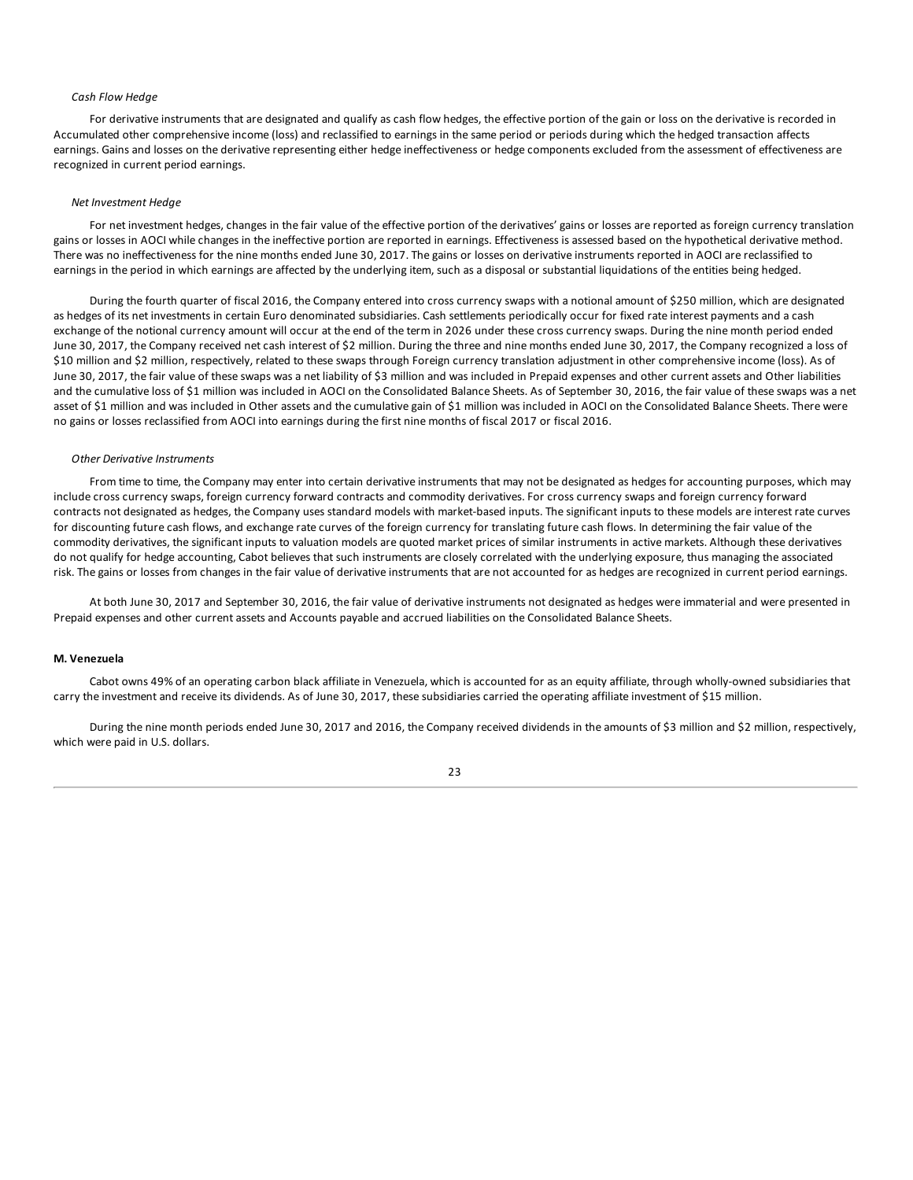#### *Cash Flow Hedge*

For derivative instruments that are designated and qualify as cash flow hedges, the effective portion of the gain or loss on the derivative is recorded in Accumulated other comprehensive income (loss) and reclassified to earnings in the same period or periods during which the hedged transaction affects earnings. Gains and losses on the derivative representing either hedge ineffectiveness or hedge components excluded from the assessment of effectiveness are recognized in current period earnings.

#### *Net Investment Hedge*

For net investment hedges, changes in the fair value of the effective portion of the derivatives' gains or losses are reported as foreign currency translation gains or losses in AOCI while changes in the ineffective portion are reported in earnings. Effectiveness is assessed based on the hypothetical derivative method. There was no ineffectiveness for the nine months ended June 30, 2017. The gains or losses on derivative instruments reported in AOCI are reclassified to earnings in the period in which earnings are affected by the underlying item, such as a disposal or substantial liquidations of the entities being hedged.

During the fourth quarter of fiscal 2016, the Company entered into cross currency swaps with a notional amount of \$250 million, which are designated as hedges of its net investments in certain Euro denominated subsidiaries. Cash settlements periodically occur for fixed rate interest payments and a cash exchange of the notional currency amount will occur at the end of the term in 2026 under these cross currency swaps. During the nine month period ended June 30, 2017, the Company received net cash interest of \$2 million. During the three and nine months ended June 30, 2017, the Company recognized a loss of \$10 million and \$2 million, respectively, related to these swaps through Foreign currency translation adjustment in other comprehensive income (loss). As of June 30, 2017, the fair value of these swaps was a net liability of \$3 million and was included in Prepaid expenses and other current assets and Other liabilities and the cumulative loss of \$1 million was included in AOCI on the Consolidated Balance Sheets. As of September 30, 2016, the fair value of these swaps was a net asset of \$1 million and was included in Other assets and the cumulative gain of \$1 million was included in AOCI on the Consolidated Balance Sheets. There were no gains or losses reclassified from AOCI into earnings during the first nine months of fiscal 2017 or fiscal 2016.

#### *Other Derivative Instruments*

From time to time, the Company may enter into certain derivative instruments that may not be designated as hedges for accounting purposes, which may include cross currency swaps, foreign currency forward contracts and commodity derivatives. For cross currency swaps and foreign currency forward contracts not designated as hedges, the Company uses standard models with market-based inputs. The significant inputs to these models are interest rate curves for discounting future cash flows, and exchange rate curves of the foreign currency for translating future cash flows. In determining the fair value of the commodity derivatives, the significant inputs to valuation models are quoted market prices of similar instruments in active markets. Although these derivatives do not qualify for hedge accounting, Cabot believes that such instruments are closely correlated with the underlying exposure, thus managing the associated risk. The gains or losses from changes in the fair value of derivative instruments that are not accounted for as hedges are recognized in current period earnings.

At both June 30, 2017 and September 30, 2016, the fair value of derivative instruments not designated as hedges were immaterial and were presented in Prepaid expenses and other current assets and Accounts payable and accrued liabilities on the Consolidated Balance Sheets.

#### **M. Venezuela**

Cabot owns 49% of an operating carbon black affiliate in Venezuela, which is accounted for as an equity affiliate, through wholly-owned subsidiaries that carry the investment and receive its dividends. As of June 30, 2017, these subsidiaries carried the operating affiliate investment of \$15 million.

During the nine month periods ended June 30, 2017 and 2016, the Company received dividends in the amounts of \$3 million and \$2 million, respectively, which were paid in U.S. dollars.

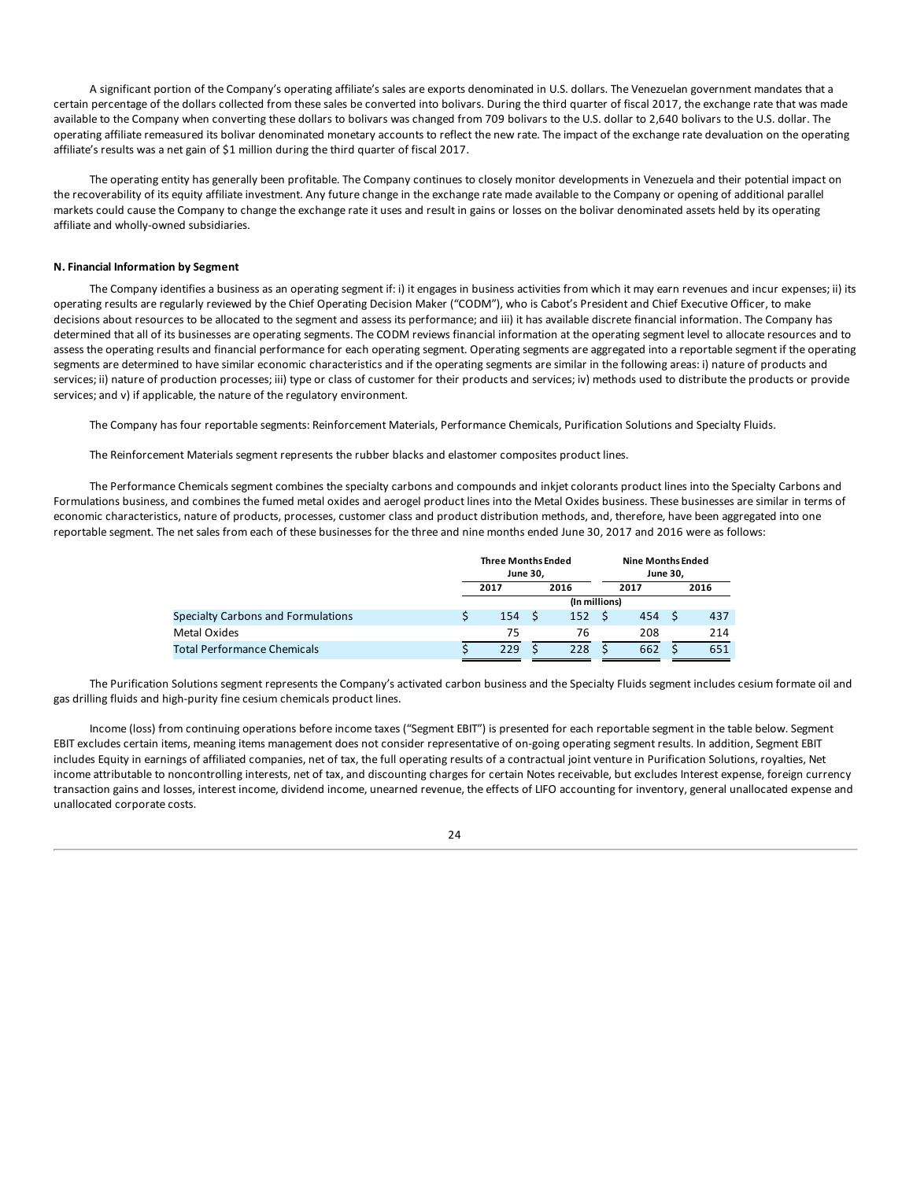A significant portion of the Company's operating affiliate's sales are exports denominated in U.S. dollars. The Venezuelan government mandates that a certain percentage of the dollars collected from these sales be converted into bolivars. During the third quarter of fiscal 2017, the exchange rate that was made available to the Company when converting these dollars to bolivars was changed from 709 bolivars to the U.S. dollar to 2,640 bolivars to the U.S. dollar. The operating affiliate remeasured its bolivar denominated monetary accounts to reflect the new rate. The impact of the exchange rate devaluation on the operating affiliate's results was a net gain of \$1 million during the third quarter of fiscal 2017.

The operating entity has generally been profitable. The Company continues to closely monitor developments in Venezuela and their potential impact on the recoverability of its equity affiliate investment. Any future change in the exchange rate made available to the Company or opening of additional parallel markets could cause the Company to change the exchange rate it uses and result in gains or losses on the bolivar denominated assets held by its operating affiliate and wholly-owned subsidiaries.

#### **N. Financial Information by Segment**

The Company identifies a business as an operating segment if: i) it engages in business activities from which it may earn revenues and incur expenses; ii) its operating results are regularly reviewed by the Chief Operating Decision Maker ("CODM"), who is Cabot's President and Chief Executive Officer, to make decisions about resources to be allocated to the segment and assess its performance; and iii) it has available discrete financial information. The Company has determined that all of its businesses are operating segments. The CODM reviews financial information at the operating segment level to allocate resources and to assess the operating results and financial performance for each operating segment. Operating segments are aggregated into a reportable segment if the operating segments are determined to have similar economic characteristics and if the operating segments are similar in the following areas: i) nature of products and services; ii) nature of production processes; iii) type or class of customer for their products and services; iv) methods used to distribute the products or provide services; and v) if applicable, the nature of the regulatory environment.

The Company has four reportable segments: Reinforcement Materials, Performance Chemicals, Purification Solutions and Specialty Fluids.

The Reinforcement Materials segment represents the rubber blacks and elastomer composites product lines.

The Performance Chemicals segment combines the specialty carbons and compounds and inkjet colorants product lines into the Specialty Carbons and Formulations business, and combines the fumed metal oxides and aerogel product lines into the Metal Oxides business. These businesses are similar in terms of economic characteristics, nature of products, processes, customer class and product distribution methods, and, therefore, have been aggregated into one reportable segment. The net sales from each of these businesses for the three and nine months ended June 30, 2017 and 2016 were as follows:

|                                    | <b>Three Months Ended</b> | <b>June 30.</b> |               |  | <b>Nine Months Ended</b> |  |      |
|------------------------------------|---------------------------|-----------------|---------------|--|--------------------------|--|------|
|                                    | 2017                      |                 | 2016          |  | 2017                     |  | 2016 |
|                                    |                           |                 | (In millions) |  |                          |  |      |
| Specialty Carbons and Formulations | 154                       |                 | 152           |  | 454 S                    |  | 437  |
| Metal Oxides                       | 75                        |                 | 76            |  | 208                      |  | 214  |
| <b>Total Performance Chemicals</b> | 229                       |                 | 228           |  | 662                      |  | 651  |

The Purification Solutions segment represents the Company's activated carbon business and the Specialty Fluids segment includes cesium formate oil and gas drilling fluids and high-purity fine cesium chemicals product lines.

Income (loss) from continuing operations before income taxes ("Segment EBIT") is presented for each reportable segment in the table below. Segment EBIT excludes certain items, meaning items management does not consider representative of on-going operating segment results. In addition, Segment EBIT includes Equity in earnings of affiliated companies, net of tax, the full operating results of a contractual joint venture in Purification Solutions, royalties, Net income attributable to noncontrolling interests, net of tax, and discounting charges for certain Notes receivable, but excludes Interest expense, foreign currency transaction gains and losses, interest income, dividend income, unearned revenue, the effects of LIFO accounting for inventory, general unallocated expense and unallocated corporate costs.

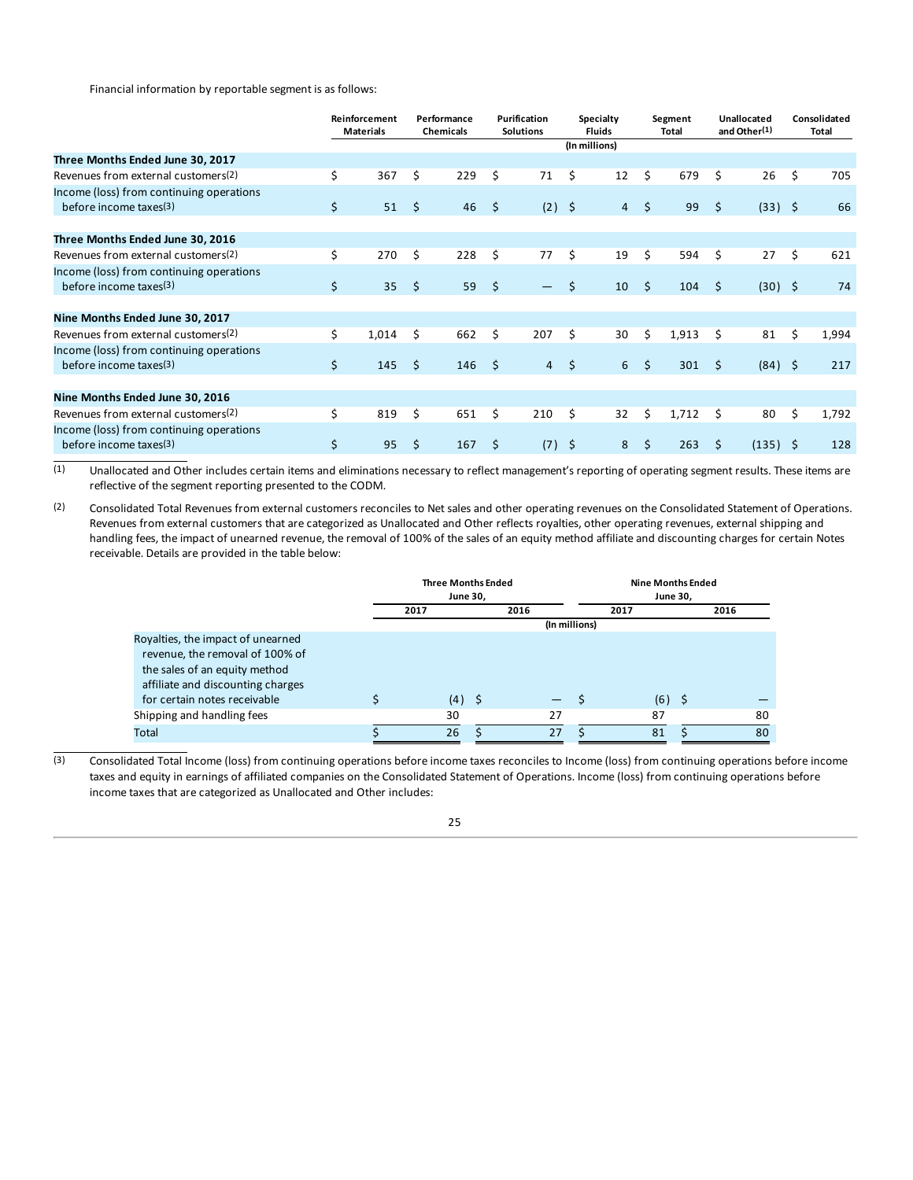## Financial information by reportable segment is as follows:

|                                                 | Reinforcement<br><b>Materials</b> |      | Performance<br><b>Chemicals</b> |    | Purification<br><b>Solutions</b> |    | <b>Specialty</b><br><b>Fluids</b> |    | Segment<br><b>Total</b> |      | Unallocated<br>and Other(1) |    | Consolidated<br><b>Total</b> |
|-------------------------------------------------|-----------------------------------|------|---------------------------------|----|----------------------------------|----|-----------------------------------|----|-------------------------|------|-----------------------------|----|------------------------------|
|                                                 |                                   |      |                                 |    |                                  |    | (In millions)                     |    |                         |      |                             |    |                              |
| Three Months Ended June 30, 2017                |                                   |      |                                 |    |                                  |    |                                   |    |                         |      |                             |    |                              |
| Revenues from external customers(2)             | \$<br>367                         | Ś.   | 229                             | \$ | 71                               | \$ | 12                                | \$ | 679                     | \$   | 26                          | \$ | 705                          |
| Income (loss) from continuing operations        |                                   |      |                                 |    |                                  |    |                                   |    |                         |      |                             |    |                              |
| before income taxes(3)                          | \$<br>51                          | - \$ | 46                              | \$ | $(2)$ \$                         |    | $\overline{4}$                    | \$ | 99                      | - \$ | $(33)$ \$                   |    | 66                           |
|                                                 |                                   |      |                                 |    |                                  |    |                                   |    |                         |      |                             |    |                              |
| Three Months Ended June 30, 2016                |                                   |      |                                 |    |                                  |    |                                   |    |                         |      |                             |    |                              |
| Revenues from external customers(2)             | \$<br>270                         | Ś.   | 228                             | \$ | 77                               | \$ | 19                                | \$ | 594                     | \$   | 27                          | \$ | 621                          |
| Income (loss) from continuing operations        |                                   |      |                                 |    |                                  |    |                                   |    |                         |      |                             |    |                              |
| before income taxes $(3)$                       | \$<br>35                          | Ŝ.   | 59                              | \$ |                                  | \$ | 10                                | Ŝ. | 104                     | \$   | $(30)$ \$                   |    | 74                           |
|                                                 |                                   |      |                                 |    |                                  |    |                                   |    |                         |      |                             |    |                              |
| Nine Months Ended June 30, 2017                 |                                   |      |                                 |    |                                  |    |                                   |    |                         |      |                             |    |                              |
| Revenues from external customers(2)             | \$<br>1,014                       | \$   | 662                             | Ś. | 207                              | \$ | 30                                | \$ | 1,913                   | \$   | 81                          | \$ | 1,994                        |
| Income (loss) from continuing operations        |                                   |      |                                 |    |                                  |    |                                   |    |                         |      |                             |    |                              |
| before income taxes $(3)$                       | \$<br>145                         | Ŝ.   | 146                             | \$ | $4 \quad$                        | Ŝ. | 6                                 | \$ | 301                     | - \$ | $(84)$ \$                   |    | 217                          |
|                                                 |                                   |      |                                 |    |                                  |    |                                   |    |                         |      |                             |    |                              |
| Nine Months Ended June 30, 2016                 |                                   |      |                                 |    |                                  |    |                                   |    |                         |      |                             |    |                              |
| Revenues from external customers <sup>(2)</sup> | \$<br>819                         | Ś.   | 651                             | Ś  | 210                              | \$ | 32                                | \$ | 1,712                   | \$   | 80                          | \$ | 1,792                        |
| Income (loss) from continuing operations        |                                   |      |                                 |    |                                  |    |                                   |    |                         |      |                             |    |                              |
| before income taxes $(3)$                       | \$<br>95                          | S    | 167                             | Ś. | $(7)$ \$                         |    | 8                                 | \$ | 263                     | Ś.   | (135)                       | Ŝ. | 128                          |

 $\overline{a}$  Unallocated and Other includes certain items and eliminations necessary to reflect management's reporting of operating segment results. These items are reflective of the segment reporting presented to the CODM.

(2) Consolidated Total Revenues from external customers reconciles to Net sales and other operating revenues on the Consolidated Statement of Operations. Revenues from external customers that are categorized as Unallocated and Other reflects royalties, other operating revenues, external shipping and handling fees, the impact of unearned revenue, the removal of 100% of the sales of an equity method affiliate and discounting charges for certain Notes receivable. Details are provided in the table below:

|                                   | <b>Three Months Ended</b><br>June 30, |  |      |               | <b>Nine Months Ended</b><br>June 30, |      |      |  |  |  |
|-----------------------------------|---------------------------------------|--|------|---------------|--------------------------------------|------|------|--|--|--|
|                                   | 2017                                  |  | 2016 |               | 2017                                 |      | 2016 |  |  |  |
|                                   |                                       |  |      | (In millions) |                                      |      |      |  |  |  |
| Royalties, the impact of unearned |                                       |  |      |               |                                      |      |      |  |  |  |
| revenue, the removal of 100% of   |                                       |  |      |               |                                      |      |      |  |  |  |
| the sales of an equity method     |                                       |  |      |               |                                      |      |      |  |  |  |
| affiliate and discounting charges |                                       |  |      |               |                                      |      |      |  |  |  |
| for certain notes receivable      | $(4)$ \$                              |  |      |               | (6)                                  | - \$ |      |  |  |  |
| Shipping and handling fees        | 30                                    |  | 27   |               | 87                                   |      | 80   |  |  |  |
| <b>Total</b>                      | 26                                    |  | 27   |               | 81                                   |      | 80   |  |  |  |

(3) Consolidated Total Income (loss) from continuing operations before income taxes reconciles to Income (loss) from continuing operations before income taxes and equity in earnings of affiliated companies on the Consolidated Statement of Operations. Income (loss) from continuing operations before income taxes that are categorized as Unallocated and Other includes: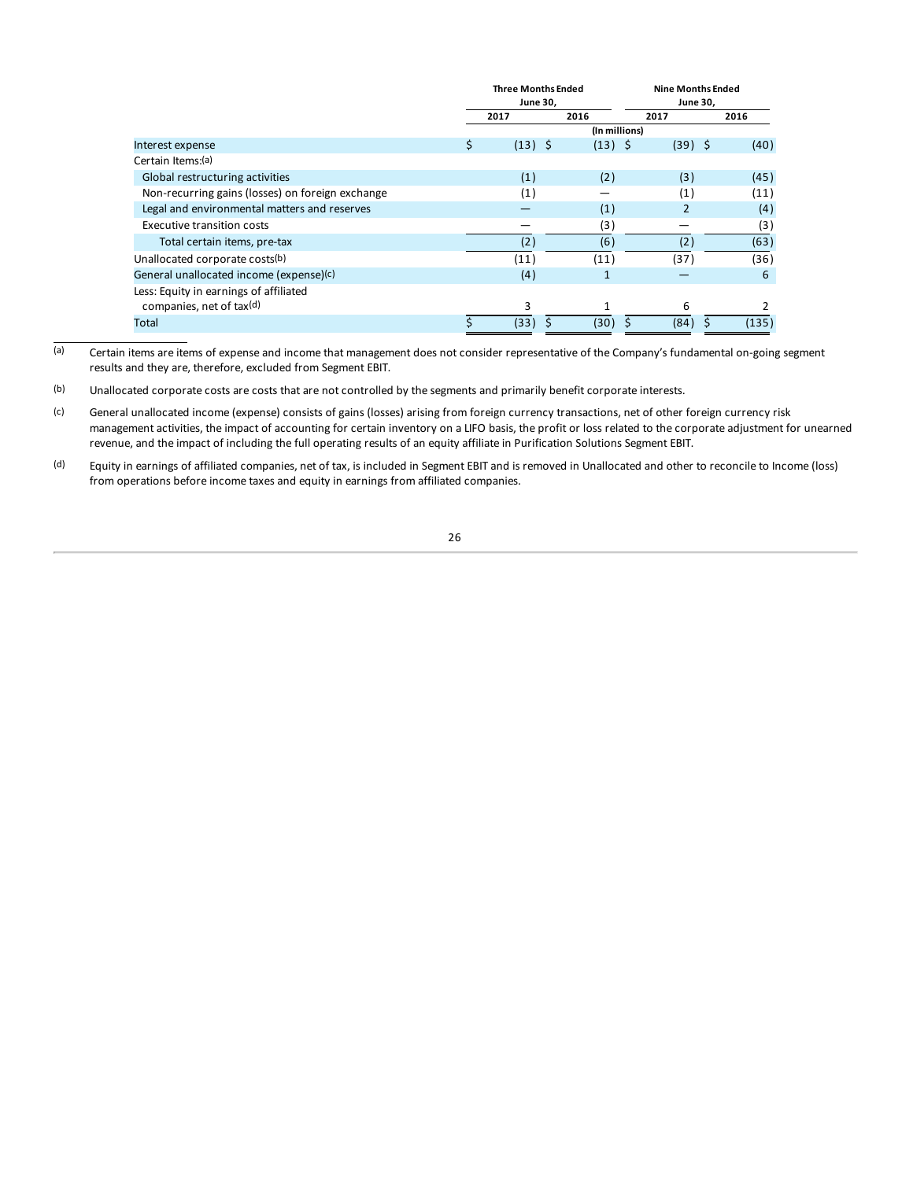|                                                  | <b>Three Months Ended</b><br><b>June 30,</b> |           |      |               |  | <b>Nine Months Ended</b><br>June 30, |  |       |
|--------------------------------------------------|----------------------------------------------|-----------|------|---------------|--|--------------------------------------|--|-------|
|                                                  |                                              | 2017      | 2016 |               |  | 2017                                 |  | 2016  |
|                                                  |                                              |           |      | (In millions) |  |                                      |  |       |
| Interest expense                                 | \$                                           | $(13)$ \$ |      | $(13)$ \$     |  | $(39)$ \$                            |  | (40)  |
| Certain Items:(a)                                |                                              |           |      |               |  |                                      |  |       |
| Global restructuring activities                  |                                              | (1)       |      | (2)           |  | (3)                                  |  | (45)  |
| Non-recurring gains (losses) on foreign exchange |                                              | (1)       |      |               |  | (1)                                  |  | (11)  |
| Legal and environmental matters and reserves     |                                              |           |      | (1)           |  | $\overline{2}$                       |  | (4)   |
| <b>Executive transition costs</b>                |                                              |           |      | (3)           |  |                                      |  | (3)   |
| Total certain items, pre-tax                     |                                              | (2)       |      | (6)           |  | (2)                                  |  | (63)  |
| Unallocated corporate costs(b)                   |                                              | (11)      |      | (11)          |  | (37)                                 |  | (36)  |
| General unallocated income (expense)(c)          |                                              | (4)       |      | 1             |  |                                      |  | 6     |
| Less: Equity in earnings of affiliated           |                                              |           |      |               |  |                                      |  |       |
| companies, net of tax(d)                         |                                              | 3         |      |               |  | 6                                    |  |       |
| Total                                            |                                              | (33)      |      | (30)          |  | (84)                                 |  | (135) |

 $\overline{a}$  Certain items are items of expense and income that management does not consider representative of the Company's fundamental on-going segment results and they are, therefore, excluded from Segment EBIT.

(b) Unallocated corporate costs are costs that are not controlled by the segments and primarily benefit corporate interests.

(c) General unallocated income (expense) consists of gains (losses) arising from foreign currency transactions, net of other foreign currency risk management activities, the impact of accounting for certain inventory on a LIFO basis, the profit or loss related to the corporate adjustment for unearned revenue, and the impact of including the full operating results of an equity affiliate in Purification Solutions Segment EBIT.

(d) Equity in earnings of affiliated companies, net of tax, is included in Segment EBIT and is removed in Unallocated and other to reconcile to Income (loss) from operations before income taxes and equity in earnings from affiliated companies.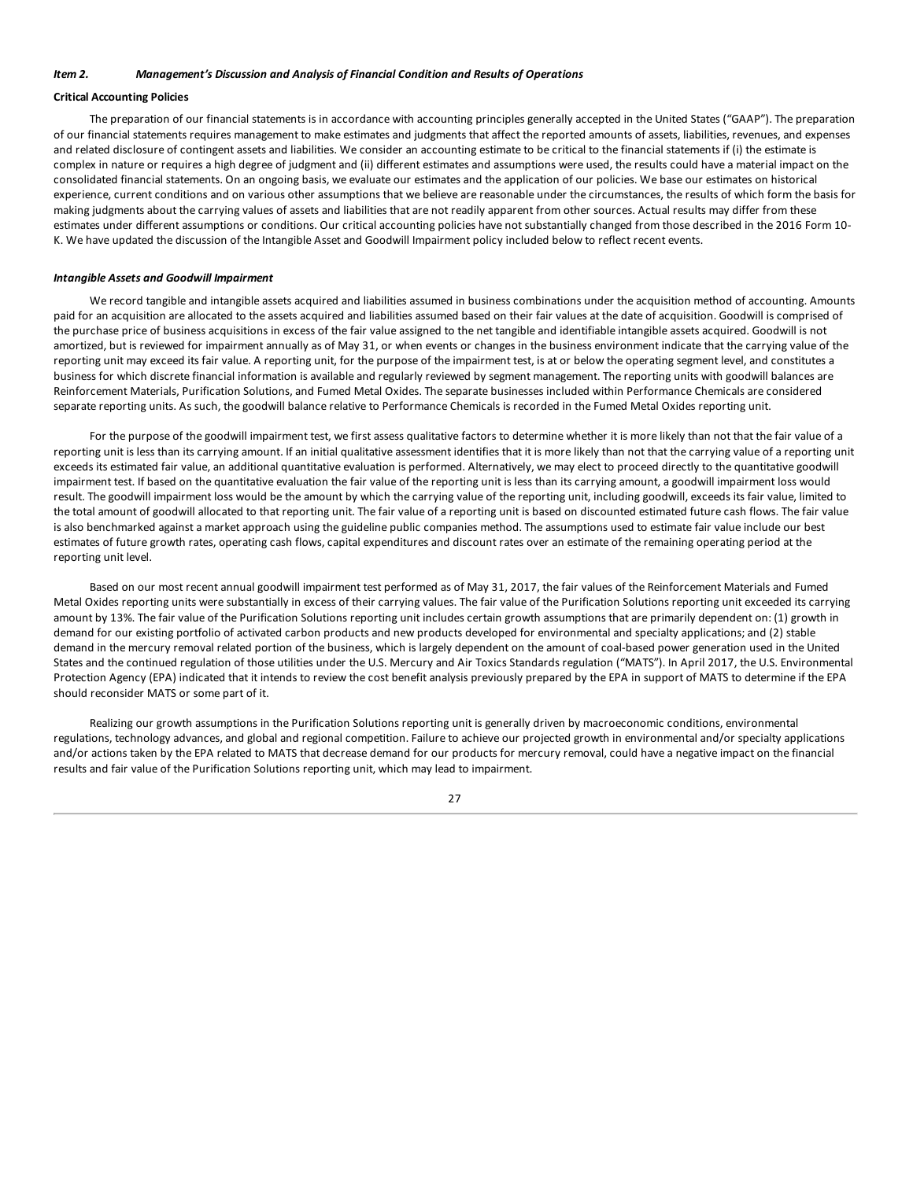#### <span id="page-26-0"></span>*Item 2. Management's Discussion and Analysis of Financial Condition and Results of Operations*

## **Critical Accounting Policies**

The preparation of our financial statements is in accordance with accounting principles generally accepted in the United States ("GAAP"). The preparation of our financial statements requires management to make estimates and judgments that affect the reported amounts of assets, liabilities, revenues, and expenses and related disclosure of contingent assets and liabilities. We consider an accounting estimate to be critical to the financial statements if (i) the estimate is complex in nature or requires a high degree of judgment and (ii) different estimates and assumptions were used, the results could have a material impact on the consolidated financial statements. On an ongoing basis, we evaluate our estimates and the application of our policies. We base our estimates on historical experience, current conditions and on various other assumptions that we believe are reasonable under the circumstances, the results of which form the basis for making judgments about the carrying values of assets and liabilities that are not readily apparent from other sources. Actual results may differ from these estimates under different assumptions or conditions. Our critical accounting policies have not substantially changed from those described in the 2016 Form 10- K. We have updated the discussion of the Intangible Asset and Goodwill Impairment policy included below to reflect recent events.

#### *Intangible Assets and Goodwill Impairment*

We record tangible and intangible assets acquired and liabilities assumed in business combinations under the acquisition method of accounting. Amounts paid for an acquisition are allocated to the assets acquired and liabilities assumed based on their fair values at the date of acquisition. Goodwill is comprised of the purchase price of business acquisitions in excess of the fair value assigned to the net tangible and identifiable intangible assets acquired. Goodwill is not amortized, but is reviewed for impairment annually as of May 31, or when events or changes in the business environment indicate that the carrying value of the reporting unit may exceed its fair value. A reporting unit, for the purpose of the impairment test, is at or below the operating segment level, and constitutes a business for which discrete financial information is available and regularly reviewed by segment management. The reporting units with goodwill balances are Reinforcement Materials, Purification Solutions, and Fumed Metal Oxides. The separate businesses included within Performance Chemicals are considered separate reporting units. As such, the goodwill balance relative to Performance Chemicals is recorded in the Fumed Metal Oxides reporting unit.

For the purpose of the goodwill impairment test, we first assess qualitative factors to determine whether it is more likely than not that the fair value of a reporting unit is less than its carrying amount. If an initial qualitative assessment identifies that it is more likely than not that the carrying value of a reporting unit exceeds its estimated fair value, an additional quantitative evaluation is performed. Alternatively, we may elect to proceed directly to the quantitative goodwill impairment test. If based on the quantitative evaluation the fair value of the reporting unit is less than its carrying amount, a goodwill impairment loss would result. The goodwill impairment loss would be the amount by which the carrying value of the reporting unit, including goodwill, exceeds its fair value, limited to the total amount of goodwill allocated to that reporting unit. The fair value of a reporting unit is based on discounted estimated future cash flows. The fair value is also benchmarked against a market approach using the guideline public companies method. The assumptions used to estimate fair value include our best estimates of future growth rates, operating cash flows, capital expenditures and discount rates over an estimate of the remaining operating period at the reporting unit level.

Based on our most recent annual goodwill impairment test performed as of May 31, 2017, the fair values of the Reinforcement Materials and Fumed Metal Oxides reporting units were substantially in excess of their carrying values. The fair value of the Purification Solutions reporting unit exceeded its carrying amount by 13%. The fair value of the Purification Solutions reporting unit includes certain growth assumptions that are primarily dependent on: (1) growth in demand for our existing portfolio of activated carbon products and new products developed for environmental and specialty applications; and (2) stable demand in the mercury removal related portion of the business, which is largely dependent on the amount of coal-based power generation used in the United States and the continued regulation of those utilities under the U.S. Mercury and Air Toxics Standards regulation ("MATS"). In April 2017, the U.S. Environmental Protection Agency (EPA) indicated that it intends to review the cost benefit analysis previously prepared by the EPA in support of MATS to determine if the EPA should reconsider MATS or some part of it.

Realizing our growth assumptions in the Purification Solutions reporting unit is generally driven by macroeconomic conditions, environmental regulations, technology advances, and global and regional competition. Failure to achieve our projected growth in environmental and/or specialty applications and/or actions taken by the EPA related to MATS that decrease demand for our products for mercury removal, could have a negative impact on the financial results and fair value of the Purification Solutions reporting unit, which may lead to impairment.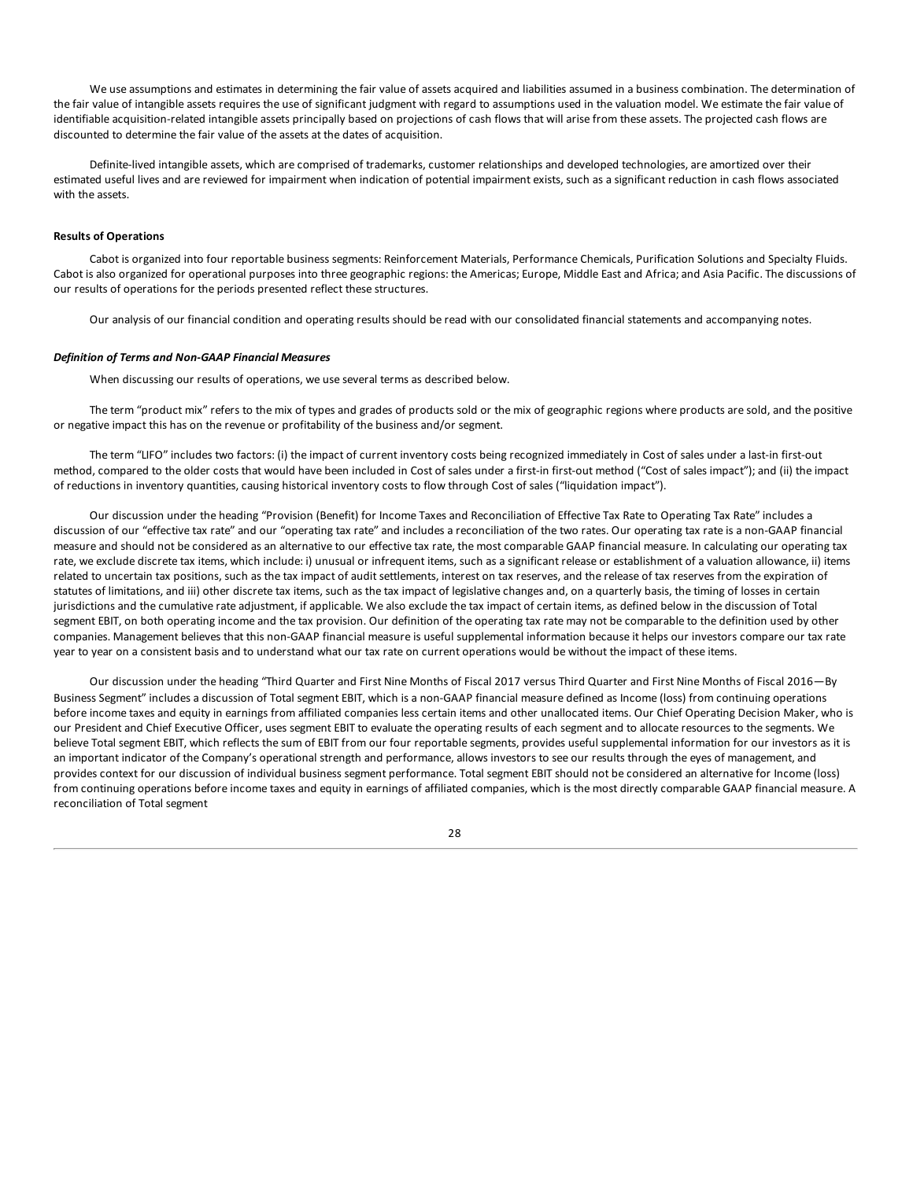We use assumptions and estimates in determining the fair value of assets acquired and liabilities assumed in a business combination. The determination of the fair value of intangible assets requires the use of significant judgment with regard to assumptions used in the valuation model. We estimate the fair value of identifiable acquisition-related intangible assets principally based on projections of cash flows that will arise from these assets. The projected cash flows are discounted to determine the fair value of the assets at the dates of acquisition.

Definite-lived intangible assets, which are comprised of trademarks, customer relationships and developed technologies, are amortized over their estimated useful lives and are reviewed for impairment when indication of potential impairment exists, such as a significant reduction in cash flows associated with the assets.

#### **Results of Operations**

Cabot is organized into four reportable business segments: Reinforcement Materials, Performance Chemicals, Purification Solutions and Specialty Fluids. Cabot is also organized for operational purposes into three geographic regions: the Americas; Europe, Middle East and Africa; and Asia Pacific. The discussions of our results of operations for the periods presented reflect these structures.

Our analysis of our financial condition and operating results should be read with our consolidated financial statements and accompanying notes.

#### *Definition of Terms and Non-GAAP Financial Measures*

When discussing our results of operations, we use several terms as described below.

The term "product mix" refers to the mix of types and grades of products sold or the mix of geographic regions where products are sold, and the positive or negative impact this has on the revenue or profitability of the business and/or segment.

The term "LIFO" includes two factors: (i) the impact of current inventory costs being recognized immediately in Cost of sales under a last-in first-out method, compared to the older costs that would have been included in Cost of sales under a first-in first-out method ("Cost of sales impact"); and (ii) the impact of reductions in inventory quantities, causing historical inventory costs to flow through Cost of sales ("liquidation impact").

Our discussion under the heading "Provision (Benefit) for Income Taxes and Reconciliation of Effective Tax Rate to Operating Tax Rate" includes a discussion of our "effective tax rate" and our "operating tax rate" and includes a reconciliation of the two rates. Our operating tax rate is a non-GAAP financial measure and should not be considered as an alternative to our effective tax rate, the most comparable GAAP financial measure. In calculating our operating tax rate, we exclude discrete tax items, which include: i) unusual or infrequent items, such as a significant release or establishment of a valuation allowance, ii) items related to uncertain tax positions, such as the tax impact of audit settlements, interest on tax reserves, and the release of tax reserves from the expiration of statutes of limitations, and iii) other discrete tax items, such as the tax impact of legislative changes and, on a quarterly basis, the timing of losses in certain jurisdictions and the cumulative rate adjustment, if applicable. We also exclude the tax impact of certain items, as defined below in the discussion of Total segment EBIT, on both operating income and the tax provision. Our definition of the operating tax rate may not be comparable to the definition used by other companies. Management believes that this non-GAAP financial measure is useful supplemental information because it helps our investors compare our tax rate year to year on a consistent basis and to understand what our tax rate on current operations would be without the impact of these items.

Our discussion under the heading "Third Quarter and First Nine Months of Fiscal 2017 versus Third Quarter and First Nine Months of Fiscal 2016—By Business Segment" includes a discussion of Total segment EBIT, which is a non-GAAP financial measure defined as Income (loss) from continuing operations before income taxes and equity in earnings from affiliated companies less certain items and other unallocated items. Our Chief Operating Decision Maker, who is our President and Chief Executive Officer, uses segment EBIT to evaluate the operating results of each segment and to allocate resources to the segments. We believe Total segment EBIT, which reflects the sum of EBIT from our four reportable segments, provides useful supplemental information for our investors as it is an important indicator of the Company's operational strength and performance, allows investors to see our results through the eyes of management, and provides context for our discussion of individual business segment performance. Total segment EBIT should not be considered an alternative for Income (loss) from continuing operations before income taxes and equity in earnings of affiliated companies, which is the most directly comparable GAAP financial measure. A reconciliation of Total segment

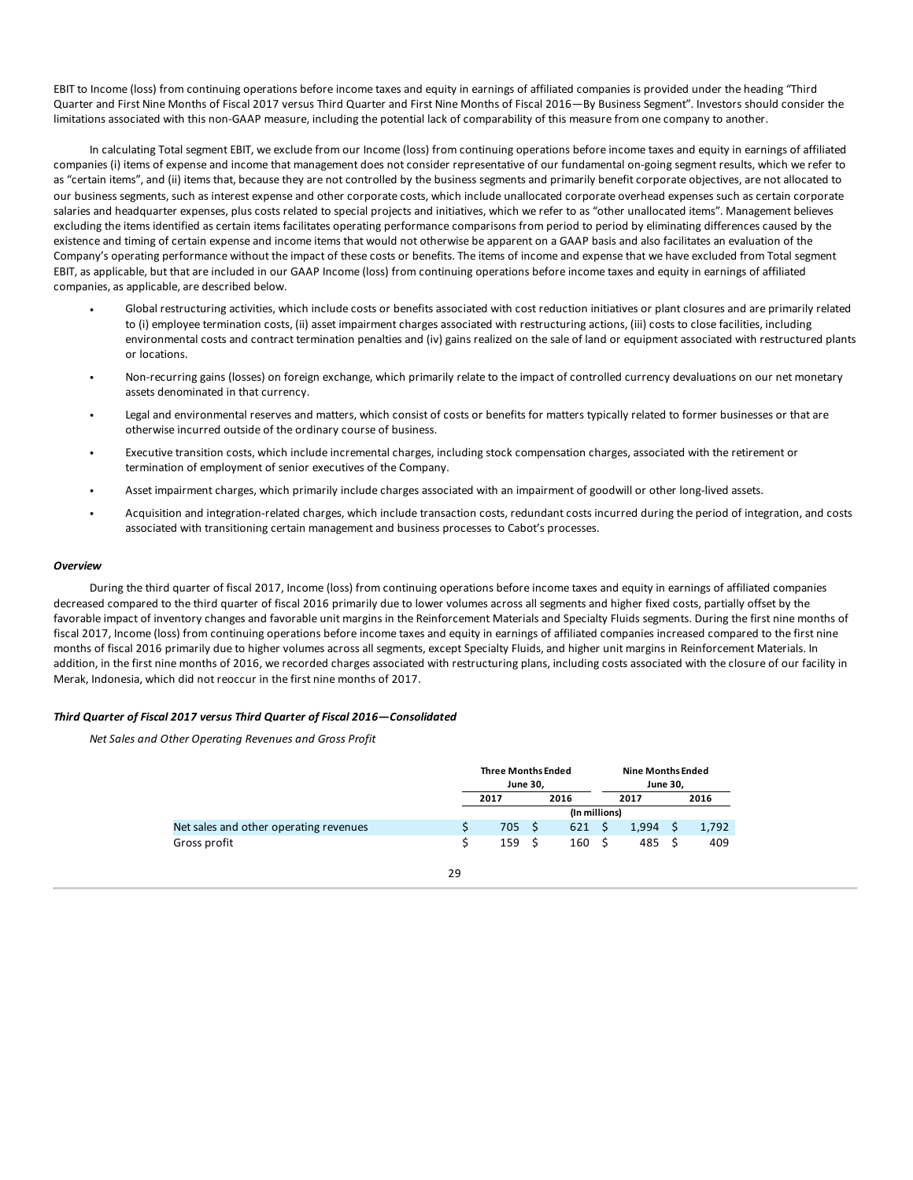EBIT to Income (loss) from continuing operations before income taxes and equity in earnings of affiliated companies is provided under the heading "Third Quarter and First Nine Months of Fiscal 2017 versus Third Quarter and First Nine Months of Fiscal 2016—By Business Segment". Investors should consider the limitations associated with this non-GAAP measure, including the potential lack of comparability of this measure from one company to another.

In calculating Total segment EBIT, we exclude from our Income (loss) from continuing operations before income taxes and equity in earnings of affiliated companies (i) items of expense and income that management does not consider representative of our fundamental on-going segment results, which we refer to as "certain items", and (ii) items that, because they are not controlled by the business segments and primarily benefit corporate objectives, are not allocated to our business segments, such as interest expense and other corporate costs, which include unallocated corporate overhead expenses such as certain corporate salaries and headquarter expenses, plus costs related to special projects and initiatives, which we refer to as "other unallocated items". Management believes excluding the items identified as certain items facilitates operating performance comparisons from period to period by eliminating differences caused by the existence and timing of certain expense and income items that would not otherwise be apparent on a GAAP basis and also facilitates an evaluation of the Company's operating performance without the impact of these costs or benefits. The items of income and expense that we have excluded from Total segment EBIT, as applicable, but that are included in our GAAP Income (loss) from continuing operations before income taxes and equity in earnings of affiliated companies, as applicable, are described below.

- Global restructuring activities, which include costs or benefits associated with cost reduction initiatives or plant closures and are primarily related to (i) employee termination costs, (ii) asset impairment charges associated with restructuring actions, (iii) costs to close facilities, including environmental costs and contract termination penalties and (iv) gains realized on the sale of land or equipment associated with restructured plants or locations.
- Non-recurring gains (losses) on foreign exchange, which primarily relate to the impact of controlled currency devaluations on our net monetary assets denominated in that currency.
- Legal and environmental reserves and matters, which consist of costs or benefits for matters typically related to former businesses or that are otherwise incurred outside of the ordinary course of business.
- Executive transition costs, which include incremental charges, including stock compensation charges, associated with the retirement or termination of employment of senior executives of the Company.
- Asset impairment charges, which primarily include charges associated with an impairment of goodwill or other long-lived assets.
- Acquisition and integration-related charges, which include transaction costs, redundant costs incurred during the period of integration, and costs associated with transitioning certain management and business processes to Cabot's processes.

#### *Overview*

During the third quarter of fiscal 2017, Income (loss) from continuing operations before income taxes and equity in earnings of affiliated companies decreased compared to the third quarter of fiscal 2016 primarily due to lower volumes across all segments and higher fixed costs, partially offset by the favorable impact of inventory changes and favorable unit margins in the Reinforcement Materials and Specialty Fluids segments. During the first nine months of fiscal 2017, Income (loss) from continuing operations before income taxes and equity in earnings of affiliated companies increased compared to the first nine months of fiscal 2016 primarily due to higher volumes across all segments, except Specialty Fluids, and higher unit margins in Reinforcement Materials. In addition, in the first nine months of 2016, we recorded charges associated with restructuring plans, including costs associated with the closure of our facility in Merak, Indonesia, which did not reoccur in the first nine months of 2017.

#### *Third Quarter of Fiscal 2017 versus Third Quarter of Fiscal 2016—Consolidated*

*Net Sales and Other Operating Revenues and Gross Profit*

|                                        | <b>Three Months Ended</b><br>June 30,<br>2017<br>2016<br>(In millions) |  |                  |  | <b>Nine Months Ended</b> |  |       |
|----------------------------------------|------------------------------------------------------------------------|--|------------------|--|--------------------------|--|-------|
|                                        |                                                                        |  |                  |  | 2017                     |  | 2016  |
|                                        |                                                                        |  |                  |  |                          |  |       |
| Net sales and other operating revenues | 705 <sub>5</sub>                                                       |  | 621 <sup>5</sup> |  | 1.994                    |  | 1,792 |
| Gross profit                           | 159                                                                    |  | 160              |  | 485                      |  | 409   |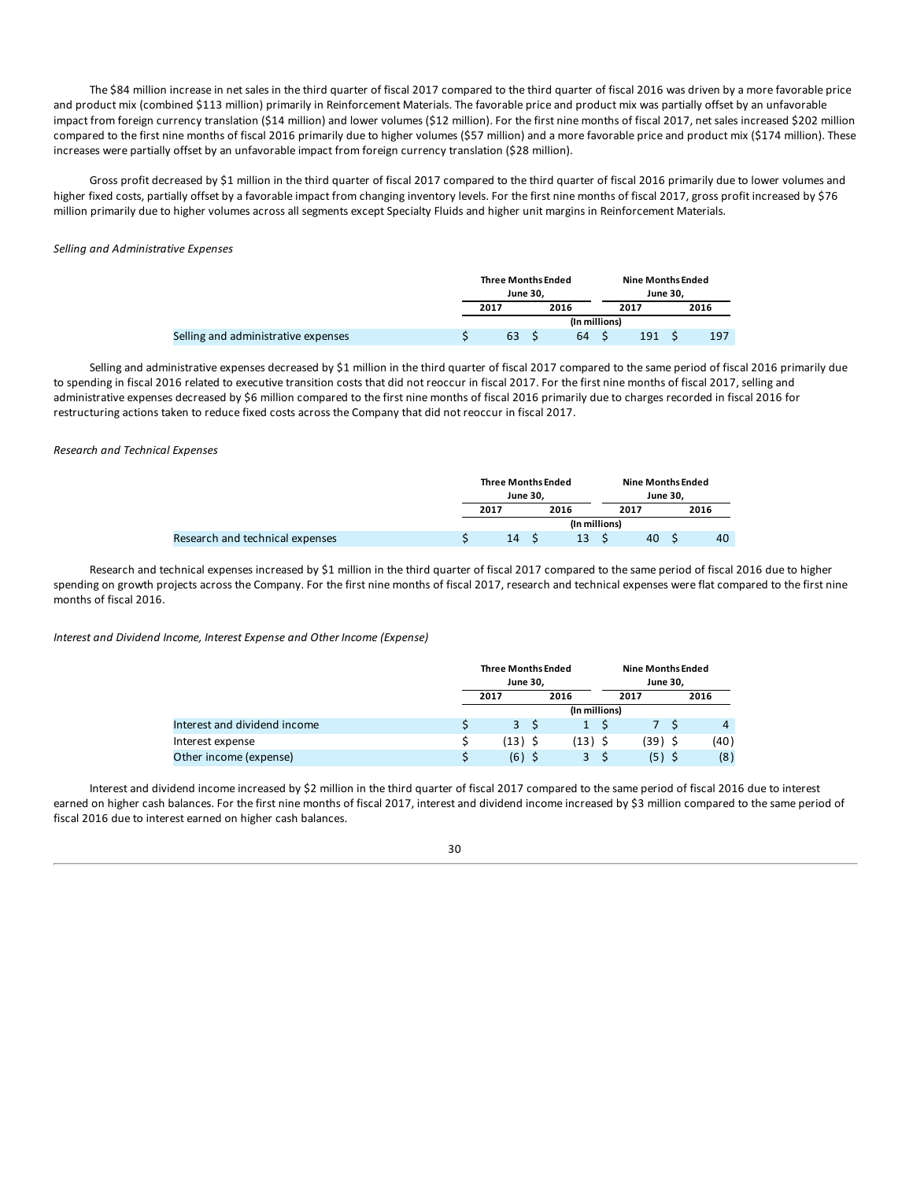The \$84 million increase in net sales in the third quarter of fiscal 2017 compared to the third quarter of fiscal 2016 was driven by a more favorable price and product mix (combined \$113 million) primarily in Reinforcement Materials. The favorable price and product mix was partially offset by an unfavorable impact from foreign currency translation (\$14 million) and lower volumes (\$12 million). For the first nine months of fiscal 2017, net sales increased \$202 million compared to the first nine months of fiscal 2016 primarily due to higher volumes (\$57 million) and a more favorable price and product mix (\$174 million). These increases were partially offset by an unfavorable impact from foreign currency translation (\$28 million).

Gross profit decreased by \$1 million in the third quarter of fiscal 2017 compared to the third quarter of fiscal 2016 primarily due to lower volumes and higher fixed costs, partially offset by a favorable impact from changing inventory levels. For the first nine months of fiscal 2017, gross profit increased by \$76 million primarily due to higher volumes across all segments except Specialty Fluids and higher unit margins in Reinforcement Materials.

#### *Selling and Administrative Expenses*

|                                     | <b>Three Months Ended</b> |  |               |  | <b>Nine Months Ended</b> |  |      |
|-------------------------------------|---------------------------|--|---------------|--|--------------------------|--|------|
|                                     | <b>June 30.</b>           |  |               |  |                          |  |      |
|                                     | 2017                      |  | 2016          |  | 2017                     |  | 2016 |
|                                     |                           |  | (In millions) |  |                          |  |      |
| Selling and administrative expenses | 63                        |  | 64            |  | 191                      |  | 197  |

Selling and administrative expenses decreased by \$1 million in the third quarter of fiscal 2017 compared to the same period of fiscal 2016 primarily due to spending in fiscal 2016 related to executive transition costs that did not reoccur in fiscal 2017. For the first nine months of fiscal 2017, selling and administrative expenses decreased by \$6 million compared to the first nine months of fiscal 2016 primarily due to charges recorded in fiscal 2016 for restructuring actions taken to reduce fixed costs across the Company that did not reoccur in fiscal 2017.

#### *Research and Technical Expenses*

|                                 | <b>Three Months Ended</b> |                 | <b>Nine Months Ended</b> |      |
|---------------------------------|---------------------------|-----------------|--------------------------|------|
|                                 | <b>June 30.</b>           |                 | June 30.                 |      |
|                                 | 2017                      | 2016            | 2017                     | 2016 |
|                                 |                           | (In millions)   |                          |      |
| Research and technical expenses | 14                        | 13 <sup>7</sup> | 40                       | 40   |

Research and technical expenses increased by \$1 million in the third quarter of fiscal 2017 compared to the same period of fiscal 2016 due to higher spending on growth projects across the Company. For the first nine months of fiscal 2017, research and technical expenses were flat compared to the first nine months of fiscal 2016.

#### *Interest and Dividend Income, Interest Expense and Other Income (Expense)*

|                              | <b>Three Months Ended</b><br><b>June 30,</b> |               |     | <b>Nine Months Ended</b><br><b>June 30,</b> |  |      |
|------------------------------|----------------------------------------------|---------------|-----|---------------------------------------------|--|------|
|                              | 2017                                         | 2016          |     | 2017                                        |  | 2016 |
|                              |                                              | (In millions) |     |                                             |  |      |
| Interest and dividend income | 3                                            |               |     |                                             |  | 4    |
| Interest expense             | (13) \$                                      | (13)          | - S | $(39)$ \$                                   |  | (40) |
| Other income (expense)       | $(6)$ \$                                     | 3             |     | (5)                                         |  | (8)  |

Interest and dividend income increased by \$2 million in the third quarter of fiscal 2017 compared to the same period of fiscal 2016 due to interest earned on higher cash balances. For the first nine months of fiscal 2017, interest and dividend income increased by \$3 million compared to the same period of fiscal 2016 due to interest earned on higher cash balances.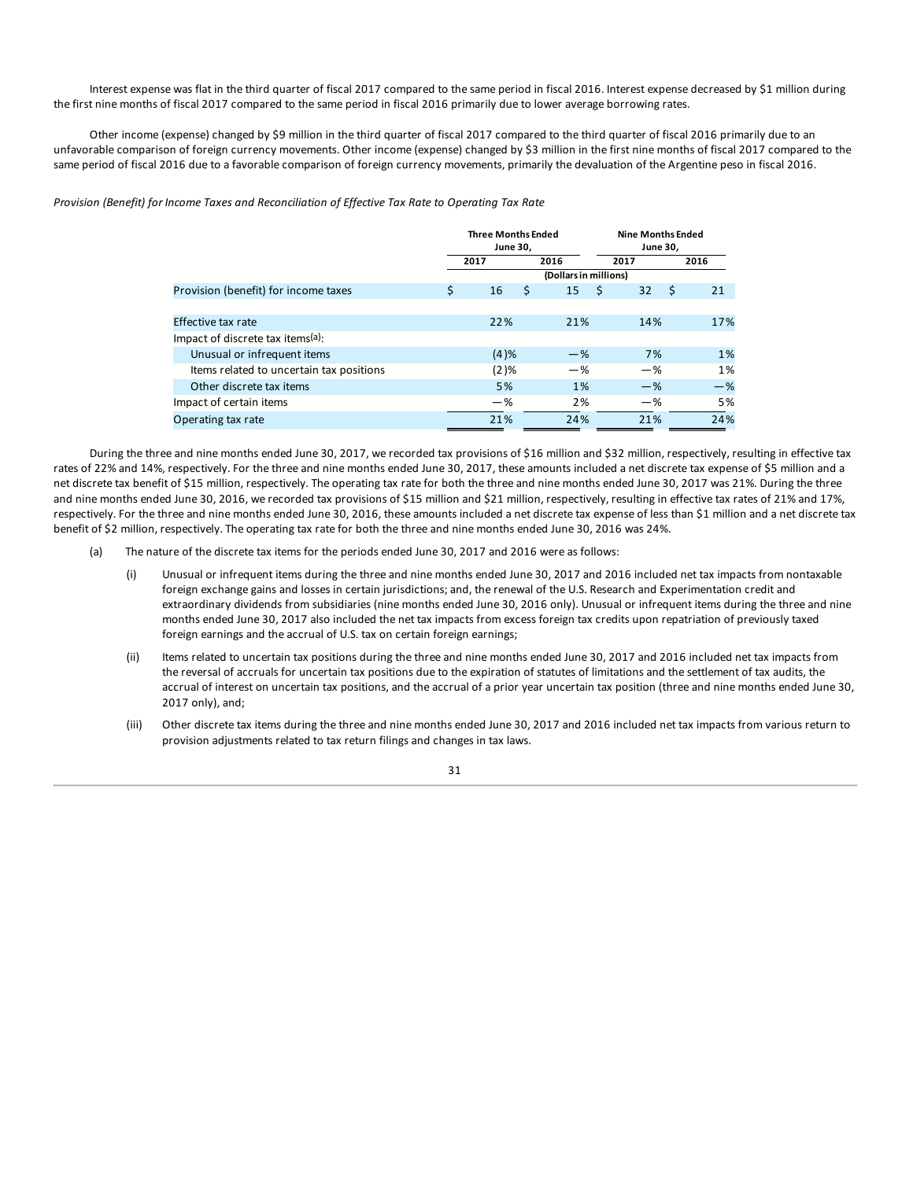Interest expense was flat in the third quarter of fiscal 2017 compared to the same period in fiscal 2016. Interest expense decreased by \$1 million during the first nine months of fiscal 2017 compared to the same period in fiscal 2016 primarily due to lower average borrowing rates.

Other income (expense) changed by \$9 million in the third quarter of fiscal 2017 compared to the third quarter of fiscal 2016 primarily due to an unfavorable comparison of foreign currency movements. Other income (expense) changed by \$3 million in the first nine months of fiscal 2017 compared to the same period of fiscal 2016 due to a favorable comparison of foreign currency movements, primarily the devaluation of the Argentine peso in fiscal 2016.

*Provision (Benefit) for Income Taxes and Reconciliation of Effective Tax Rate to Operating Tax Rate*

|                                          |      | <b>Three Months Ended</b><br>June 30, |                       |      | <b>Nine Months Ended</b><br><b>June 30,</b> |          |
|------------------------------------------|------|---------------------------------------|-----------------------|------|---------------------------------------------|----------|
|                                          | 2017 |                                       | 2016                  | 2017 |                                             | 2016     |
|                                          |      |                                       | (Dollars in millions) |      |                                             |          |
| Provision (benefit) for income taxes     | \$   | 16                                    | \$<br>15              | \$   | 32                                          | \$<br>21 |
|                                          |      |                                       |                       |      |                                             |          |
| Effective tax rate                       |      | 22%                                   | 21%                   |      | 14%                                         | 17%      |
| Impact of discrete tax items(a):         |      |                                       |                       |      |                                             |          |
| Unusual or infrequent items              |      | (4)%                                  | $-$ %                 |      | 7%                                          | 1%       |
| Items related to uncertain tax positions |      | (2)%                                  | $-$ %                 |      | $-$ %                                       | 1%       |
| Other discrete tax items                 |      | 5%                                    | 1%                    |      | $-$ %                                       | $-$ %    |
| Impact of certain items                  |      | $-$ %                                 | 2%                    |      | $-$ %                                       | 5%       |
| Operating tax rate                       |      | 21%                                   | 24%                   |      | 21%                                         | 24%      |

During the three and nine months ended June 30, 2017, we recorded tax provisions of \$16 million and \$32 million, respectively, resulting in effective tax rates of 22% and 14%, respectively. For the three and nine months ended June 30, 2017, these amounts included a net discrete tax expense of \$5 million and a net discrete tax benefit of \$15 million, respectively. The operating tax rate for both the three and nine months ended June 30, 2017 was 21%. During the three and nine months ended June 30, 2016, we recorded tax provisions of \$15 million and \$21 million, respectively, resulting in effective tax rates of 21% and 17%, respectively. For the three and nine months ended June 30, 2016, these amounts included a net discrete tax expense of less than \$1 million and a net discrete tax benefit of \$2 million, respectively. The operating tax rate for both the three and nine months ended June 30, 2016 was 24%.

- (a) The nature of the discrete tax items for the periods ended June 30, 2017 and 2016 were as follows:
	- (i) Unusual or infrequent items during the three and nine months ended June 30, 2017 and 2016 included net tax impacts from nontaxable foreign exchange gains and losses in certain jurisdictions; and, the renewal of the U.S. Research and Experimentation credit and extraordinary dividends from subsidiaries (nine months ended June 30, 2016 only). Unusual or infrequent items during the three and nine months ended June 30, 2017 also included the net tax impacts from excess foreign tax credits upon repatriation of previously taxed foreign earnings and the accrual of U.S. tax on certain foreign earnings;
	- (ii) Items related to uncertain tax positions during the three and nine months ended June 30, 2017 and 2016 included net tax impacts from the reversal of accruals for uncertain tax positions due to the expiration of statutes of limitations and the settlement of tax audits, the accrual of interest on uncertain tax positions, and the accrual of a prior year uncertain tax position (three and nine months ended June 30, 2017 only), and;
	- (iii) Other discrete tax items during the three and nine months ended June 30, 2017 and 2016 included net tax impacts from various return to provision adjustments related to tax return filings and changes in tax laws.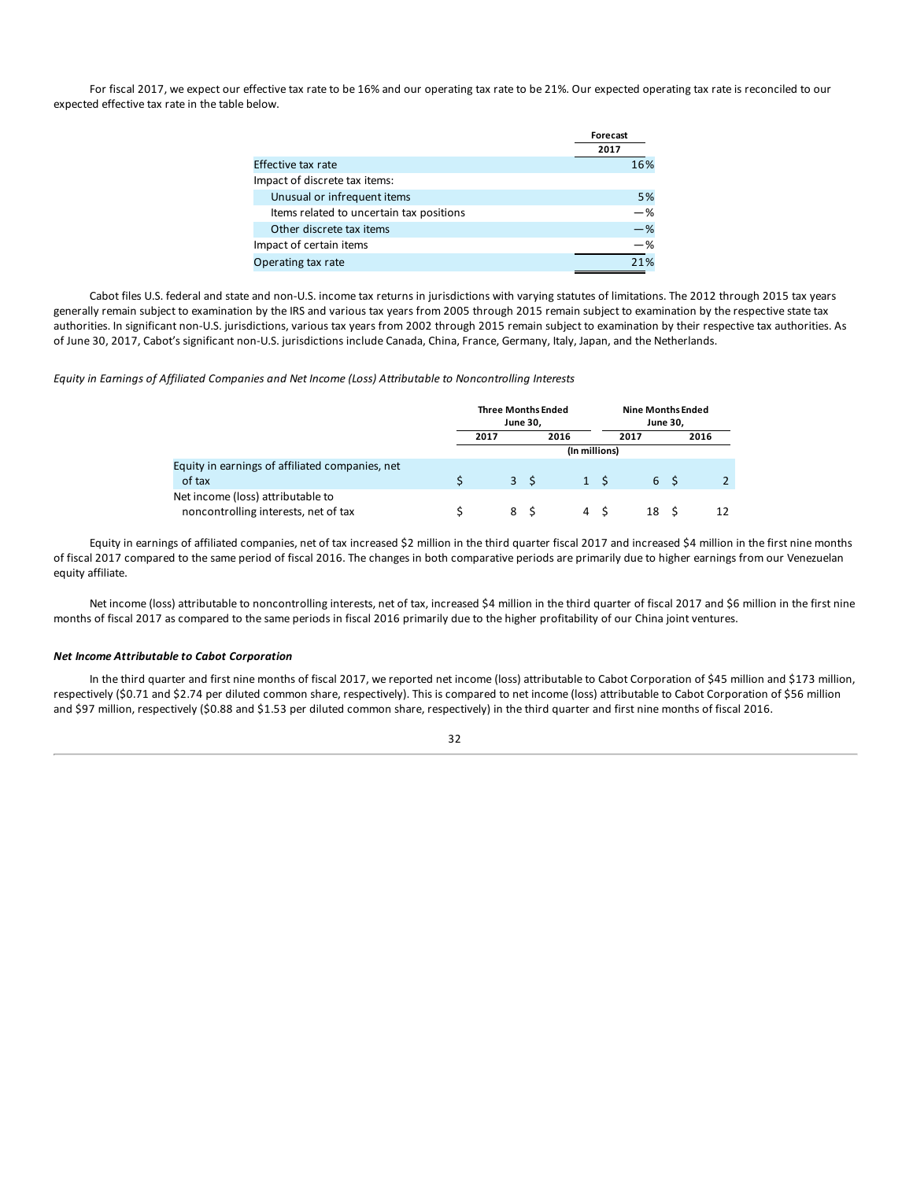For fiscal 2017, we expect our effective tax rate to be 16% and our operating tax rate to be 21%. Our expected operating tax rate is reconciled to our expected effective tax rate in the table below.

|                                          | Forecast |
|------------------------------------------|----------|
|                                          | 2017     |
| Effective tax rate                       | 16%      |
| Impact of discrete tax items:            |          |
| Unusual or infrequent items              | 5%       |
| Items related to uncertain tax positions | $-$ %    |
| Other discrete tax items                 | $-$ %    |
| Impact of certain items                  | $-$ %    |
| Operating tax rate                       | 21%      |

Cabot files U.S. federal and state and non-U.S. income tax returns in jurisdictions with varying statutes of limitations. The 2012 through 2015 tax years generally remain subject to examination by the IRS and various tax years from 2005 through 2015 remain subject to examination by the respective state tax authorities. In significant non-U.S. jurisdictions, various tax years from 2002 through 2015 remain subject to examination by their respective tax authorities. As of June 30, 2017, Cabot's significant non-U.S. jurisdictions include Canada, China, France, Germany, Italy, Japan, and the Netherlands.

#### *Equity in Earnings of Affiliated Companies and Net Income (Loss) Attributable to Noncontrolling Interests*

|  |           | 2016                              |                           |                  |                             | 2016                                               |  |
|--|-----------|-----------------------------------|---------------------------|------------------|-----------------------------|----------------------------------------------------|--|
|  |           |                                   |                           |                  |                             |                                                    |  |
|  |           |                                   |                           |                  |                             |                                                    |  |
|  |           |                                   |                           |                  |                             |                                                    |  |
|  |           |                                   |                           |                  |                             | 12                                                 |  |
|  | 2017<br>8 | <b>June 30,</b><br>3 <sup>5</sup> | <b>Three Months Ended</b> | $1 \quad$<br>4 S | 2017<br>(In millions)<br>18 | <b>Nine Months Ended</b><br><b>June 30,</b><br>6 S |  |

Equity in earnings of affiliated companies, net of tax increased \$2 million in the third quarter fiscal 2017 and increased \$4 million in the first nine months of fiscal 2017 compared to the same period of fiscal 2016. The changes in both comparative periods are primarily due to higher earnings from our Venezuelan equity affiliate.

Net income (loss) attributable to noncontrolling interests, net of tax, increased \$4 million in the third quarter of fiscal 2017 and \$6 million in the first nine months of fiscal 2017 as compared to the same periods in fiscal 2016 primarily due to the higher profitability of our China joint ventures.

#### *Net Income Attributable to Cabot Corporation*

In the third quarter and first nine months of fiscal 2017, we reported net income (loss) attributable to Cabot Corporation of \$45 million and \$173 million, respectively (\$0.71 and \$2.74 per diluted common share, respectively). This is compared to net income (loss) attributable to Cabot Corporation of \$56 million and \$97 million, respectively (\$0.88 and \$1.53 per diluted common share, respectively) in the third quarter and first nine months of fiscal 2016.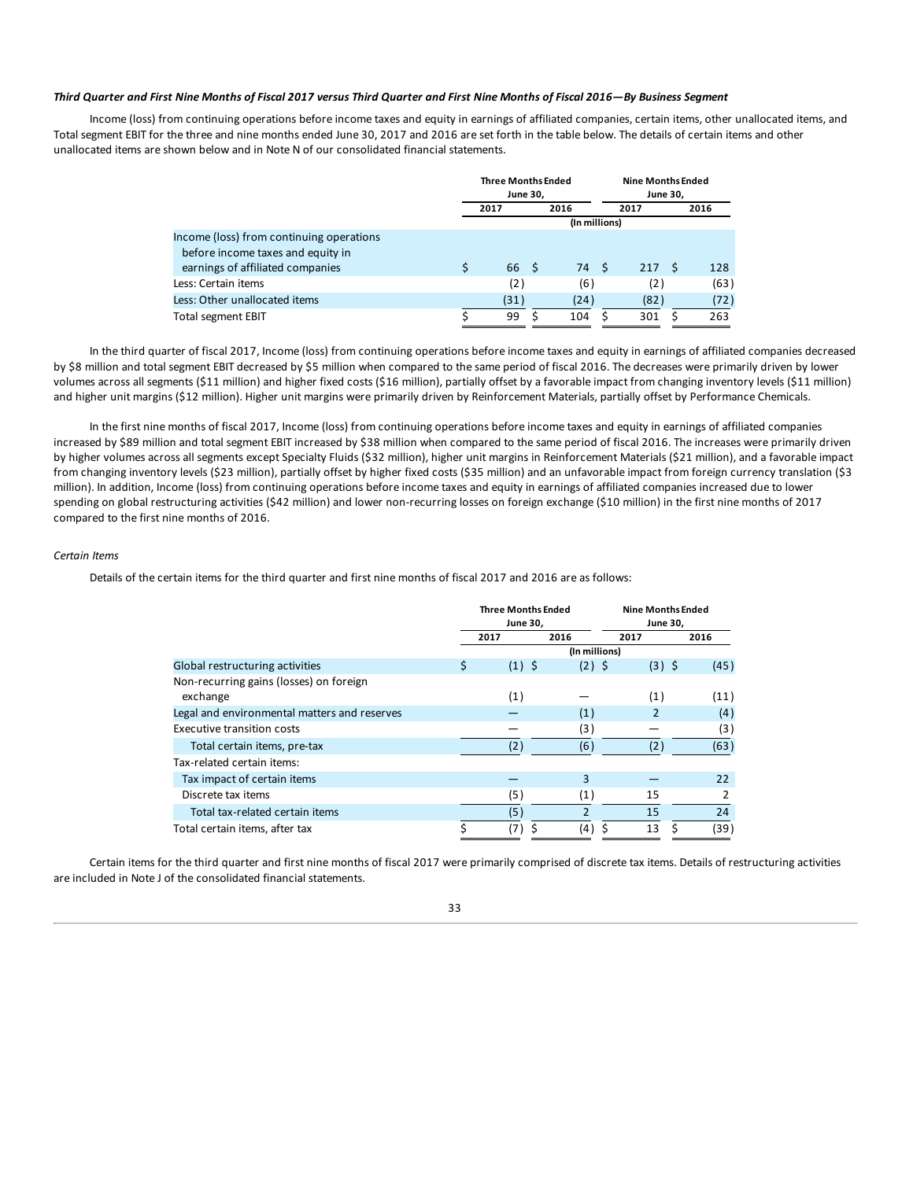#### Third Quarter and First Nine Months of Fiscal 2017 versus Third Quarter and First Nine Months of Fiscal 2016 - By Business Segment

Income (loss) from continuing operations before income taxes and equity in earnings of affiliated companies, certain items, other unallocated items, and Total segment EBIT for the three and nine months ended June 30, 2017 and 2016 are set forth in the table below. The details of certain items and other unallocated items are shown below and in Note N of our consolidated financial statements.

|                                          | <b>Three Months Ended</b><br>June 30, |               | Nine Months Ended<br><b>June 30,</b> |       |  |      |
|------------------------------------------|---------------------------------------|---------------|--------------------------------------|-------|--|------|
|                                          | 2017                                  | 2016          |                                      | 2017  |  | 2016 |
|                                          |                                       | (In millions) |                                      |       |  |      |
| Income (loss) from continuing operations |                                       |               |                                      |       |  |      |
| before income taxes and equity in        |                                       |               |                                      |       |  |      |
| earnings of affiliated companies         | 66 \$                                 | 74 S          |                                      | 217 S |  | 128  |
| Less: Certain items                      | (2)                                   | (6)           |                                      | (2)   |  | (63) |
| Less: Other unallocated items            | (31)                                  | (24)          |                                      | (82)  |  | (72) |
| <b>Total segment EBIT</b>                | 99                                    | 104           |                                      | 301   |  | 263  |

In the third quarter of fiscal 2017, Income (loss) from continuing operations before income taxes and equity in earnings of affiliated companies decreased by \$8 million and total segment EBIT decreased by \$5 million when compared to the same period of fiscal 2016. The decreases were primarily driven by lower volumes across all segments (\$11 million) and higher fixed costs (\$16 million), partially offset by a favorable impact from changing inventory levels (\$11 million) and higher unit margins (\$12 million). Higher unit margins were primarily driven by Reinforcement Materials, partially offset by Performance Chemicals.

In the first nine months of fiscal 2017, Income (loss) from continuing operations before income taxes and equity in earnings of affiliated companies increased by \$89 million and total segment EBIT increased by \$38 million when compared to the same period of fiscal 2016. The increases were primarily driven by higher volumes across all segments except Specialty Fluids (\$32 million), higher unit margins in Reinforcement Materials (\$21 million), and a favorable impact from changing inventory levels (\$23 million), partially offset by higher fixed costs (\$35 million) and an unfavorable impact from foreign currency translation (\$3 million). In addition, Income (loss) from continuing operations before income taxes and equity in earnings of affiliated companies increased due to lower spending on global restructuring activities (\$42 million) and lower non-recurring losses on foreign exchange (\$10 million) in the first nine months of 2017 compared to the first nine months of 2016.

## *Certain Items*

Details of the certain items for the third quarter and first nine months of fiscal 2017 and 2016 are as follows:

|                                              | <b>Three Months Ended</b><br><b>June 30,</b> |                |          | <b>Nine Months Ended</b><br><b>June 30,</b> |
|----------------------------------------------|----------------------------------------------|----------------|----------|---------------------------------------------|
|                                              | 2017                                         | 2016           | 2017     | 2016                                        |
|                                              |                                              | (In millions)  |          |                                             |
| Global restructuring activities              | \$<br>$(1)$ \$                               | $(2)$ \$       | $(3)$ \$ | (45)                                        |
| Non-recurring gains (losses) on foreign      |                                              |                |          |                                             |
| exchange                                     | (1)                                          |                | (1)      | (11)                                        |
| Legal and environmental matters and reserves |                                              | (1)            |          | (4)                                         |
| <b>Executive transition costs</b>            |                                              | (3)            |          | (3)                                         |
| Total certain items, pre-tax                 | (2)                                          | (6)            | (2)      | (63)                                        |
| Tax-related certain items:                   |                                              |                |          |                                             |
| Tax impact of certain items                  |                                              | 3              |          | 22                                          |
| Discrete tax items                           | (5)                                          | (1)            | 15       | 2                                           |
| Total tax-related certain items              | (5)                                          | $\overline{2}$ | 15       | 24                                          |
| Total certain items, after tax               | (7)                                          | (4)            | 13<br>\$ | (39)                                        |

Certain items for the third quarter and first nine months of fiscal 2017 were primarily comprised of discrete tax items. Details of restructuring activities are included in Note J of the consolidated financial statements.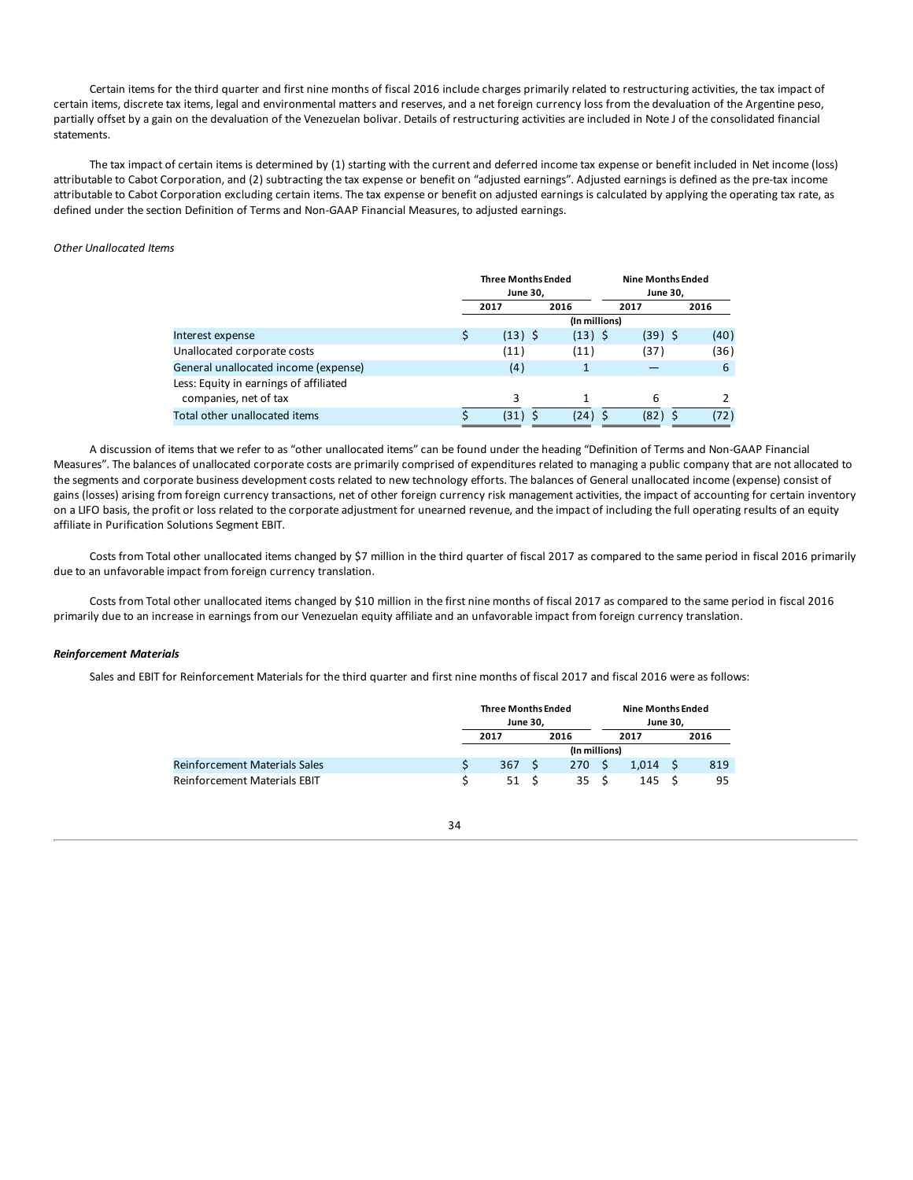Certain items for the third quarter and first nine months of fiscal 2016 include charges primarily related to restructuring activities, the tax impact of certain items, discrete tax items, legal and environmental matters and reserves, and a net foreign currency loss from the devaluation of the Argentine peso, partially offset by a gain on the devaluation of the Venezuelan bolivar. Details of restructuring activities are included in Note J of the consolidated financial statements.

The tax impact of certain items is determined by (1) starting with the current and deferred income tax expense or benefit included in Net income (loss) attributable to Cabot Corporation, and (2) subtracting the tax expense or benefit on "adjusted earnings". Adjusted earnings is defined as the pre-tax income attributable to Cabot Corporation excluding certain items. The tax expense or benefit on adjusted earnings is calculated by applying the operating tax rate, as defined under the section Definition of Terms and Non-GAAP Financial Measures, to adjusted earnings.

#### *Other Unallocated Items*

|                                        | <b>Three Months Ended</b><br><b>June 30,</b> |  |               |  | <b>Nine Months Ended</b><br><b>June 30,</b> |      |  |
|----------------------------------------|----------------------------------------------|--|---------------|--|---------------------------------------------|------|--|
|                                        | 2017                                         |  | 2016          |  | 2017                                        | 2016 |  |
|                                        |                                              |  | (In millions) |  |                                             |      |  |
| Interest expense                       | $(13)$ \$                                    |  | $(13)$ \$     |  | $(39)$ \$                                   | (40) |  |
| Unallocated corporate costs            | (11)                                         |  | (11)          |  | (37)                                        | (36) |  |
| General unallocated income (expense)   | (4)                                          |  |               |  |                                             | 6    |  |
| Less: Equity in earnings of affiliated |                                              |  |               |  |                                             |      |  |
| companies, net of tax                  | 3                                            |  |               |  | 6                                           |      |  |
| Total other unallocated items          | (31)                                         |  | (24)          |  | (82)                                        | (72) |  |

A discussion of items that we refer to as "other unallocated items" can be found under the heading "Definition of Terms and Non-GAAP Financial Measures". The balances of unallocated corporate costs are primarily comprised of expenditures related to managing a public company that are not allocated to the segments and corporate business development costs related to new technology efforts. The balances of General unallocated income (expense) consist of gains (losses) arising from foreign currency transactions, net of other foreign currency risk management activities, the impact of accounting for certain inventory on a LIFO basis, the profit or loss related to the corporate adjustment for unearned revenue, and the impact of including the full operating results of an equity affiliate in Purification Solutions Segment EBIT.

Costs from Total other unallocated items changed by \$7 million in the third quarter of fiscal 2017 as compared to the same period in fiscal 2016 primarily due to an unfavorable impact from foreign currency translation.

Costs from Total other unallocated items changed by \$10 million in the first nine months of fiscal 2017 as compared to the same period in fiscal 2016 primarily due to an increase in earnings from our Venezuelan equity affiliate and an unfavorable impact from foreign currency translation.

#### *Reinforcement Materials*

Sales and EBIT for Reinforcement Materials for the third quarter and first nine months of fiscal 2017 and fiscal 2016 were as follows:

|                                      | <b>Three Months Ended</b><br><b>June 30.</b> |  |               | <b>Nine Months Ended</b><br><b>June 30.</b> |  |      |
|--------------------------------------|----------------------------------------------|--|---------------|---------------------------------------------|--|------|
|                                      | 2017                                         |  | 2016          | 2017                                        |  | 2016 |
|                                      |                                              |  | (In millions) |                                             |  |      |
| <b>Reinforcement Materials Sales</b> | 367 <sub>5</sub>                             |  | 270           | 1.014                                       |  | 819  |
| <b>Reinforcement Materials EBIT</b>  | 51S                                          |  | 35            | 145                                         |  | 95   |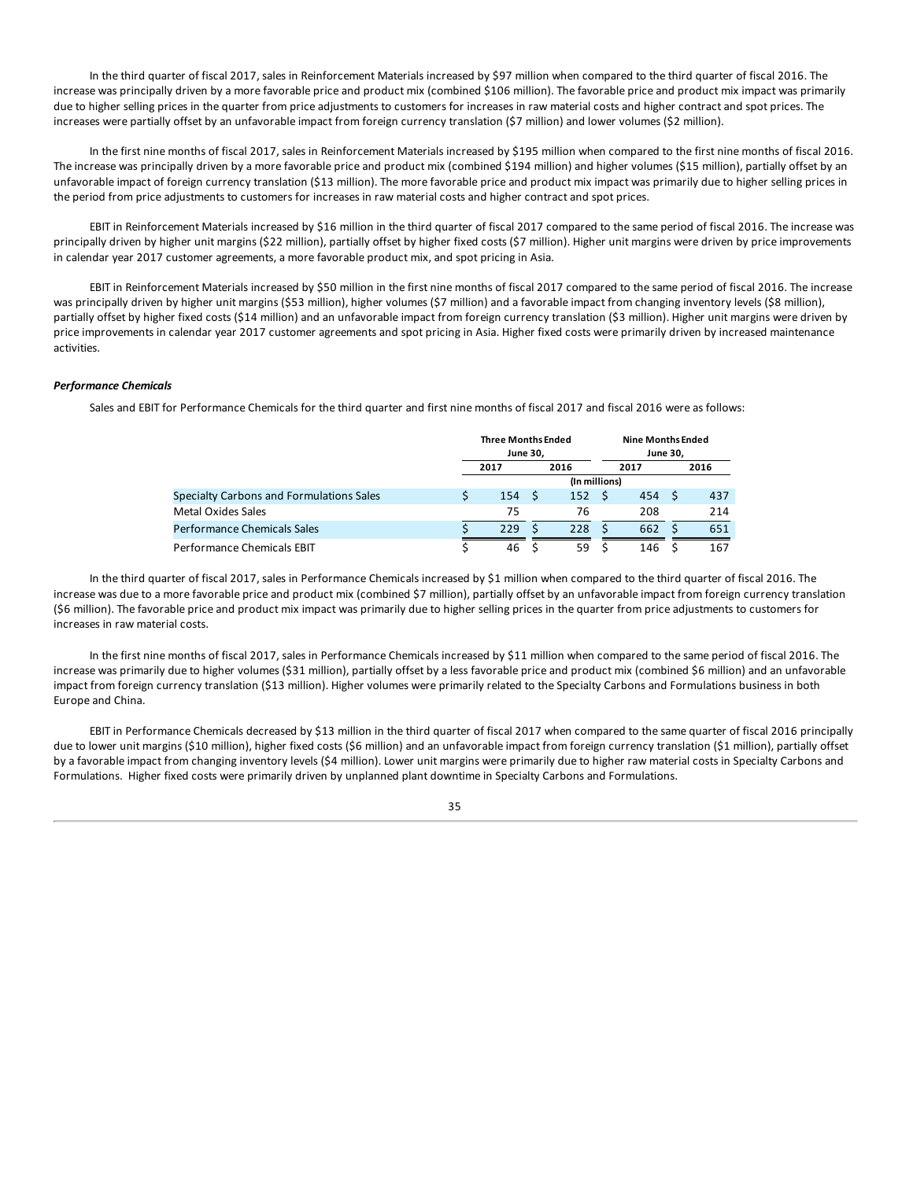In the third quarter of fiscal 2017, sales in Reinforcement Materials increased by \$97 million when compared to the third quarter of fiscal 2016. The increase was principally driven by a more favorable price and product mix (combined \$106 million). The favorable price and product mix impact was primarily due to higher selling prices in the quarter from price adjustments to customers for increases in raw material costs and higher contract and spot prices. The increases were partially offset by an unfavorable impact from foreign currency translation (\$7 million) and lower volumes (\$2 million).

In the first nine months of fiscal 2017, sales in Reinforcement Materials increased by \$195 million when compared to the first nine months of fiscal 2016. The increase was principally driven by a more favorable price and product mix (combined \$194 million) and higher volumes (\$15 million), partially offset by an unfavorable impact of foreign currency translation (\$13 million). The more favorable price and product mix impact was primarily due to higher selling prices in the period from price adjustments to customers for increases in raw material costs and higher contract and spot prices.

EBIT in Reinforcement Materials increased by \$16 million in the third quarter of fiscal 2017 compared to the same period of fiscal 2016. The increase was principally driven by higher unit margins (\$22 million), partially offset by higher fixed costs (\$7 million). Higher unit margins were driven by price improvements in calendar year 2017 customer agreements, a more favorable product mix, and spot pricing in Asia.

EBIT in Reinforcement Materials increased by \$50 million in the first nine months of fiscal 2017 compared to the same period of fiscal 2016. The increase was principally driven by higher unit margins (\$53 million), higher volumes (\$7 million) and a favorable impact from changing inventory levels (\$8 million), partially offset by higher fixed costs (\$14 million) and an unfavorable impact from foreign currency translation (\$3 million). Higher unit margins were driven by price improvements in calendar year 2017 customer agreements and spot pricing in Asia. Higher fixed costs were primarily driven by increased maintenance activities.

#### *Performance Chemicals*

Sales and EBIT for Performance Chemicals for the third quarter and first nine months of fiscal 2017 and fiscal 2016 were as follows:

|                                          | <b>Three Months Ended</b><br><b>June 30.</b> |       |  |               | <b>Nine Months Ended</b><br><b>June 30,</b> |  |      |
|------------------------------------------|----------------------------------------------|-------|--|---------------|---------------------------------------------|--|------|
|                                          |                                              | 2017  |  | 2016          | 2017                                        |  | 2016 |
|                                          |                                              |       |  | (In millions) |                                             |  |      |
| Specialty Carbons and Formulations Sales |                                              | 154 S |  | 152           | 454                                         |  | 437  |
| <b>Metal Oxides Sales</b>                |                                              | 75    |  | 76            | 208                                         |  | 214  |
| Performance Chemicals Sales              |                                              | 229   |  | 228           | 662                                         |  | 651  |
| Performance Chemicals EBIT               |                                              | 46    |  | 59            | 146                                         |  | 167  |

In the third quarter of fiscal 2017, sales in Performance Chemicals increased by \$1 million when compared to the third quarter of fiscal 2016. The increase was due to a more favorable price and product mix (combined \$7 million), partially offset by an unfavorable impact from foreign currency translation (\$6 million). The favorable price and product mix impact was primarily due to higher selling prices in the quarter from price adjustments to customers for increases in raw material costs.

In the first nine months of fiscal 2017, sales in Performance Chemicals increased by \$11 million when compared to the same period of fiscal 2016. The increase was primarily due to higher volumes (\$31 million), partially offset by a less favorable price and product mix (combined \$6 million) and an unfavorable impact from foreign currency translation (\$13 million). Higher volumes were primarily related to the Specialty Carbons and Formulations business in both Europe and China.

EBIT in Performance Chemicals decreased by \$13 million in the third quarter of fiscal 2017 when compared to the same quarter of fiscal 2016 principally due to lower unit margins (\$10 million), higher fixed costs (\$6 million) and an unfavorable impact from foreign currency translation (\$1 million), partially offset by a favorable impact from changing inventory levels (\$4 million). Lower unit margins were primarily due to higher raw material costs in Specialty Carbons and Formulations. Higher fixed costs were primarily driven by unplanned plant downtime in Specialty Carbons and Formulations.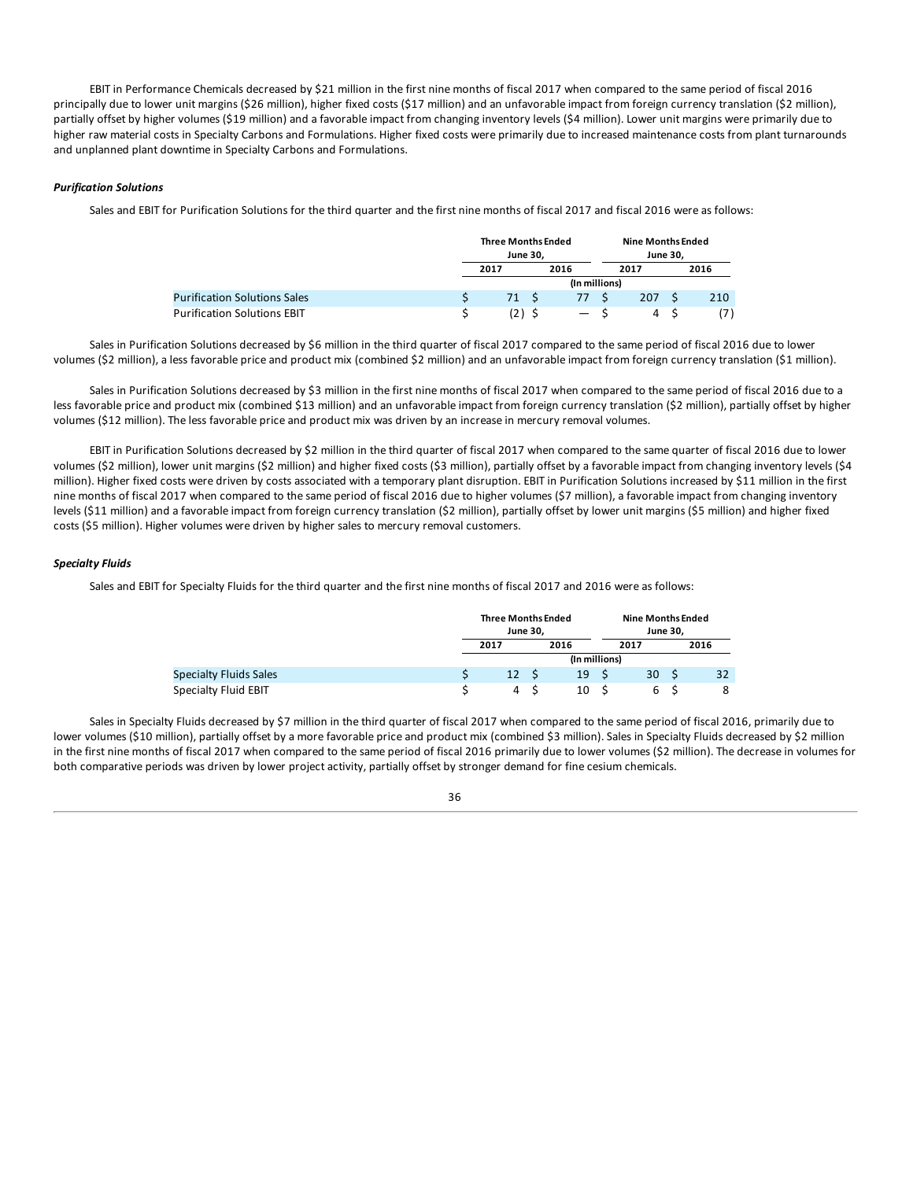EBIT in Performance Chemicals decreased by \$21 million in the first nine months of fiscal 2017 when compared to the same period of fiscal 2016 principally due to lower unit margins (\$26 million), higher fixed costs (\$17 million) and an unfavorable impact from foreign currency translation (\$2 million), partially offset by higher volumes (\$19 million) and a favorable impact from changing inventory levels (\$4 million). Lower unit margins were primarily due to higher raw material costs in Specialty Carbons and Formulations. Higher fixed costs were primarily due to increased maintenance costs from plant turnarounds and unplanned plant downtime in Specialty Carbons and Formulations.

#### *Purification Solutions*

Sales and EBIT for Purification Solutions for the third quarter and the first nine months of fiscal 2017 and fiscal 2016 were as follows:

|                                     | <b>Three Months Ended</b><br><b>June 30.</b> |  | <b>Nine Months Ended</b><br><b>June 30.</b> |      |  |      |
|-------------------------------------|----------------------------------------------|--|---------------------------------------------|------|--|------|
|                                     | 2017                                         |  | 2016                                        | 2017 |  | 2016 |
|                                     |                                              |  | (In millions)                               |      |  |      |
| <b>Purification Solutions Sales</b> | 71 S                                         |  | 77                                          | 207  |  | 210  |
| <b>Purification Solutions EBIT</b>  | $\overline{2}$                               |  | —                                           | 4    |  |      |

Sales in Purification Solutions decreased by \$6 million in the third quarter of fiscal 2017 compared to the same period of fiscal 2016 due to lower volumes (\$2 million), a less favorable price and product mix (combined \$2 million) and an unfavorable impact from foreign currency translation (\$1 million).

Sales in Purification Solutions decreased by \$3 million in the first nine months of fiscal 2017 when compared to the same period of fiscal 2016 due to a less favorable price and product mix (combined \$13 million) and an unfavorable impact from foreign currency translation (\$2 million), partially offset by higher volumes (\$12 million). The less favorable price and product mix was driven by an increase in mercury removal volumes.

EBIT in Purification Solutions decreased by \$2 million in the third quarter of fiscal 2017 when compared to the same quarter of fiscal 2016 due to lower volumes (\$2 million), lower unit margins (\$2 million) and higher fixed costs (\$3 million), partially offset by a favorable impact from changing inventory levels (\$4 million). Higher fixed costs were driven by costs associated with a temporary plant disruption. EBIT in Purification Solutions increased by \$11 million in the first nine months of fiscal 2017 when compared to the same period of fiscal 2016 due to higher volumes (\$7 million), a favorable impact from changing inventory levels (\$11 million) and a favorable impact from foreign currency translation (\$2 million), partially offset by lower unit margins (\$5 million) and higher fixed costs (\$5 million). Higher volumes were driven by higher sales to mercury removal customers.

#### *Specialty Fluids*

Sales and EBIT for Specialty Fluids for the third quarter and the first nine months of fiscal 2017 and 2016 were as follows:

|                               | <b>Three Months Ended</b><br><b>June 30.</b> |  |               | <b>Nine Months Ended</b><br><b>June 30,</b> |      |  |      |
|-------------------------------|----------------------------------------------|--|---------------|---------------------------------------------|------|--|------|
|                               | 2017                                         |  | 2016          |                                             | 2017 |  | 2016 |
|                               |                                              |  | (In millions) |                                             |      |  |      |
| <b>Specialty Fluids Sales</b> | 12 <sup>5</sup>                              |  | 19            |                                             | 30   |  | 32   |
| Specialty Fluid EBIT          | 4                                            |  | 10            |                                             | 6    |  | 8    |

Sales in Specialty Fluids decreased by \$7 million in the third quarter of fiscal 2017 when compared to the same period of fiscal 2016, primarily due to lower volumes (\$10 million), partially offset by a more favorable price and product mix (combined \$3 million). Sales in Specialty Fluids decreased by \$2 million in the first nine months of fiscal 2017 when compared to the same period of fiscal 2016 primarily due to lower volumes (\$2 million). The decrease in volumes for both comparative periods was driven by lower project activity, partially offset by stronger demand for fine cesium chemicals.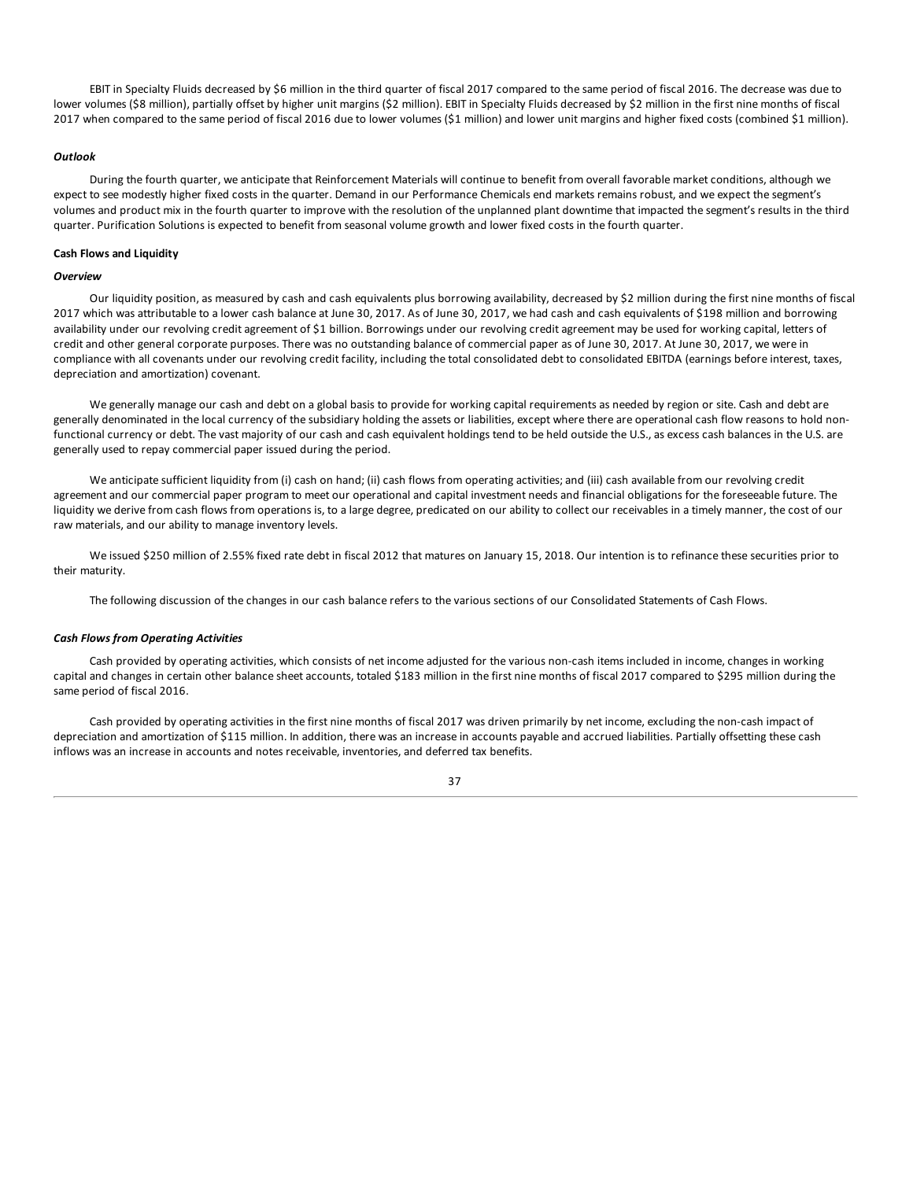EBIT in Specialty Fluids decreased by \$6 million in the third quarter of fiscal 2017 compared to the same period of fiscal 2016. The decrease was due to lower volumes (\$8 million), partially offset by higher unit margins (\$2 million). EBIT in Specialty Fluids decreased by \$2 million in the first nine months of fiscal 2017 when compared to the same period of fiscal 2016 due to lower volumes (\$1 million) and lower unit margins and higher fixed costs (combined \$1 million).

#### *Outlook*

During the fourth quarter, we anticipate that Reinforcement Materials will continue to benefit from overall favorable market conditions, although we expect to see modestly higher fixed costs in the quarter. Demand in our Performance Chemicals end markets remains robust, and we expect the segment's volumes and product mix in the fourth quarter to improve with the resolution of the unplanned plant downtime that impacted the segment's results in the third quarter. Purification Solutions is expected to benefit from seasonal volume growth and lower fixed costs in the fourth quarter.

#### **Cash Flows and Liquidity**

#### *Overview*

Our liquidity position, as measured by cash and cash equivalents plus borrowing availability, decreased by \$2 million during the first nine months of fiscal 2017 which was attributable to a lower cash balance at June 30, 2017. As of June 30, 2017, we had cash and cash equivalents of \$198 million and borrowing availability under our revolving credit agreement of \$1 billion. Borrowings under our revolving credit agreement may be used for working capital, letters of credit and other general corporate purposes. There was no outstanding balance of commercial paper as of June 30, 2017. At June 30, 2017, we were in compliance with all covenants under our revolving credit facility, including the total consolidated debt to consolidated EBITDA (earnings before interest, taxes, depreciation and amortization) covenant.

We generally manage our cash and debt on a global basis to provide for working capital requirements as needed by region or site. Cash and debt are generally denominated in the local currency of the subsidiary holding the assets or liabilities, except where there are operational cash flow reasons to hold nonfunctional currency or debt. The vast majority of our cash and cash equivalent holdings tend to be held outside the U.S., as excess cash balances in the U.S. are generally used to repay commercial paper issued during the period.

We anticipate sufficient liquidity from (i) cash on hand; (ii) cash flows from operating activities; and (iii) cash available from our revolving credit agreement and our commercial paper program to meet our operational and capital investment needs and financial obligations for the foreseeable future. The liquidity we derive from cash flows from operations is, to a large degree, predicated on our ability to collect our receivables in a timely manner, the cost of our raw materials, and our ability to manage inventory levels.

We issued \$250 million of 2.55% fixed rate debt in fiscal 2012 that matures on January 15, 2018. Our intention is to refinance these securities prior to their maturity.

The following discussion of the changes in our cash balance refers to the various sections of our Consolidated Statements of Cash Flows.

#### *Cash Flows from Operating Activities*

Cash provided by operating activities, which consists of net income adjusted for the various non-cash items included in income, changes in working capital and changes in certain other balance sheet accounts, totaled \$183 million in the first nine months of fiscal 2017 compared to \$295 million during the same period of fiscal 2016.

Cash provided by operating activities in the first nine months of fiscal 2017 was driven primarily by net income, excluding the non-cash impact of depreciation and amortization of \$115 million. In addition, there was an increase in accounts payable and accrued liabilities. Partially offsetting these cash inflows was an increase in accounts and notes receivable, inventories, and deferred tax benefits.

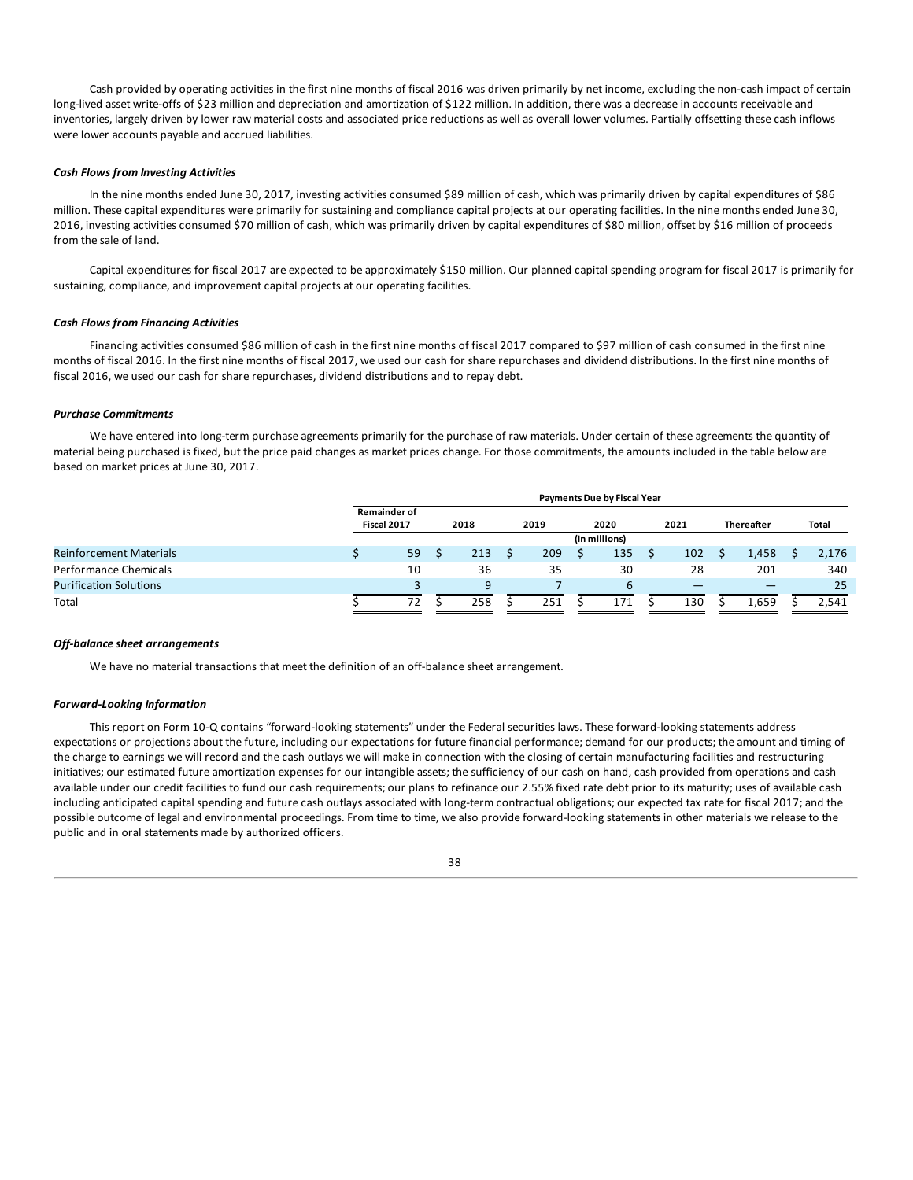Cash provided by operating activities in the first nine months of fiscal 2016 was driven primarily by net income, excluding the non-cash impact of certain long-lived asset write-offs of \$23 million and depreciation and amortization of \$122 million. In addition, there was a decrease in accounts receivable and inventories, largely driven by lower raw material costs and associated price reductions as well as overall lower volumes. Partially offsetting these cash inflows were lower accounts payable and accrued liabilities.

#### *Cash Flows from Investing Activities*

In the nine months ended June 30, 2017, investing activities consumed \$89 million of cash, which was primarily driven by capital expenditures of \$86 million. These capital expenditures were primarily for sustaining and compliance capital projects at our operating facilities. In the nine months ended June 30, 2016, investing activities consumed \$70 million of cash, which was primarily driven by capital expenditures of \$80 million, offset by \$16 million of proceeds from the sale of land.

Capital expenditures for fiscal 2017 are expected to be approximately \$150 million. Our planned capital spending program for fiscal 2017 is primarily for sustaining, compliance, and improvement capital projects at our operating facilities.

#### *Cash Flows from Financing Activities*

Financing activities consumed \$86 million of cash in the first nine months of fiscal 2017 compared to \$97 million of cash consumed in the first nine months of fiscal 2016. In the first nine months of fiscal 2017, we used our cash for share repurchases and dividend distributions. In the first nine months of fiscal 2016, we used our cash for share repurchases, dividend distributions and to repay debt.

#### *Purchase Commitments*

We have entered into long-term purchase agreements primarily for the purchase of raw materials. Under certain of these agreements the quantity of material being purchased is fixed, but the price paid changes as market prices change. For those commitments, the amounts included in the table below are based on market prices at June 30, 2017.

|                                |                             |      |      | <b>Payments Due by Fiscal Year</b> |      |                   |       |
|--------------------------------|-----------------------------|------|------|------------------------------------|------|-------------------|-------|
|                                | Remainder of<br>Fiscal 2017 | 2018 | 2019 | 2020                               | 2021 | <b>Thereafter</b> | Total |
|                                |                             |      |      | (In millions)                      |      |                   |       |
| <b>Reinforcement Materials</b> | 59                          | 213  | 209  | 135                                | 102  | 1,458             | 2,176 |
| Performance Chemicals          | 10                          | 36   | 35   | 30                                 | 28   | 201               | 340   |
| <b>Purification Solutions</b>  |                             | 9    |      | 6                                  |      |                   | 25    |
| Total                          | 72                          | 258  | 251  | 171                                | 130  | 1,659             | 2.541 |

#### *Off-balance sheet arrangements*

We have no material transactions that meet the definition of an off-balance sheet arrangement.

## *Forward-Looking Information*

This report on Form 10-Q contains "forward-looking statements" under the Federal securities laws. These forward-looking statements address expectations or projections about the future, including our expectations for future financial performance; demand for our products; the amount and timing of the charge to earnings we will record and the cash outlays we will make in connection with the closing of certain manufacturing facilities and restructuring initiatives; our estimated future amortization expenses for our intangible assets; the sufficiency of our cash on hand, cash provided from operations and cash available under our credit facilities to fund our cash requirements; our plans to refinance our 2.55% fixed rate debt prior to its maturity; uses of available cash including anticipated capital spending and future cash outlays associated with long-term contractual obligations; our expected tax rate for fiscal 2017; and the possible outcome of legal and environmental proceedings. From time to time, we also provide forward-looking statements in other materials we release to the public and in oral statements made by authorized officers.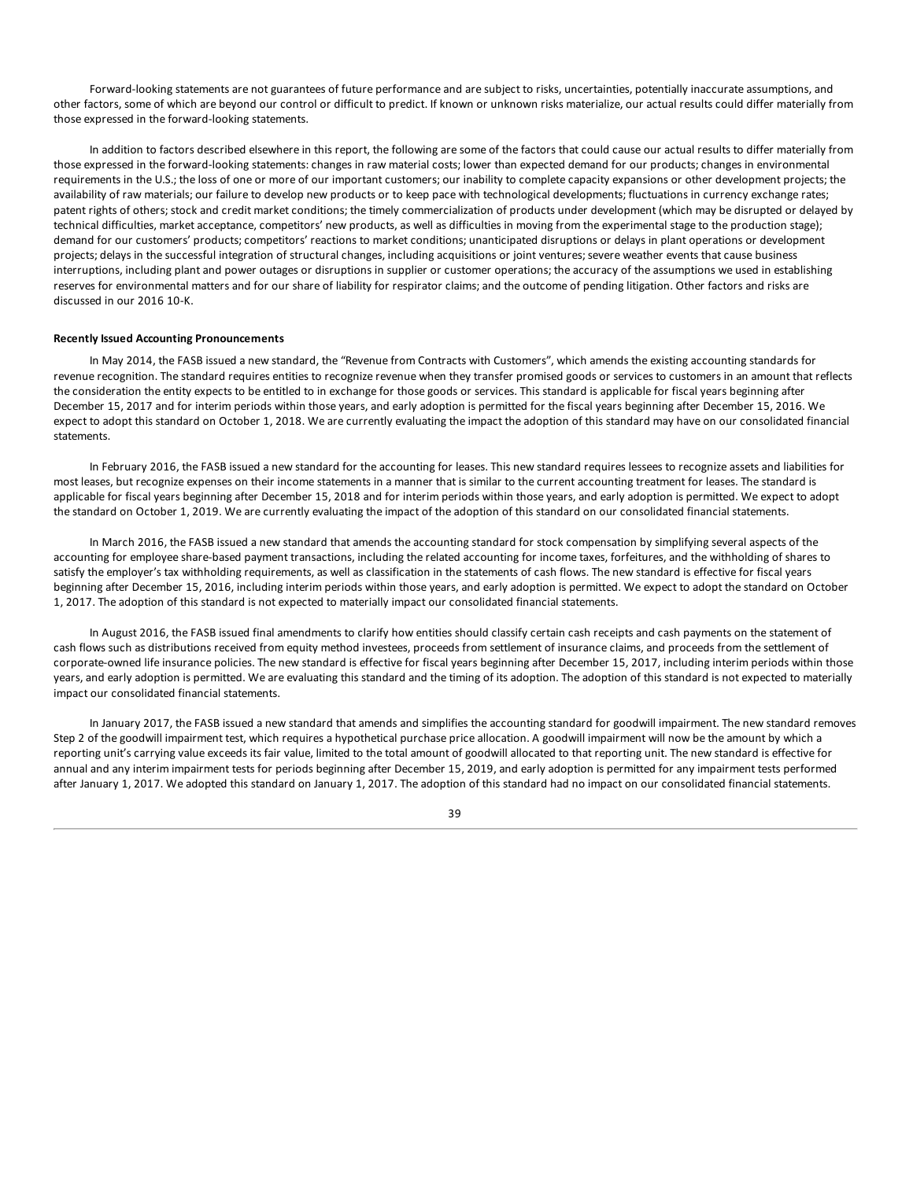Forward-looking statements are not guarantees of future performance and are subject to risks, uncertainties, potentially inaccurate assumptions, and other factors, some of which are beyond our control or difficult to predict. If known or unknown risks materialize, our actual results could differ materially from those expressed in the forward-looking statements.

In addition to factors described elsewhere in this report, the following are some of the factors that could cause our actual results to differ materially from those expressed in the forward-looking statements: changes in raw material costs; lower than expected demand for our products; changes in environmental requirements in the U.S.; the loss of one or more of our important customers; our inability to complete capacity expansions or other development projects; the availability of raw materials; our failure to develop new products or to keep pace with technological developments; fluctuations in currency exchange rates; patent rights of others; stock and credit market conditions; the timely commercialization of products under development (which may be disrupted or delayed by technical difficulties, market acceptance, competitors' new products, as well as difficulties in moving from the experimental stage to the production stage); demand for our customers' products; competitors' reactions to market conditions; unanticipated disruptions or delays in plant operations or development projects; delays in the successful integration of structural changes, including acquisitions or joint ventures; severe weather events that cause business interruptions, including plant and power outages or disruptions in supplier or customer operations; the accuracy of the assumptions we used in establishing reserves for environmental matters and for our share of liability for respirator claims; and the outcome of pending litigation. Other factors and risks are discussed in our 2016 10-K.

#### **Recently Issued Accounting Pronouncements**

In May 2014, the FASB issued a new standard, the "Revenue from Contracts with Customers", which amends the existing accounting standards for revenue recognition. The standard requires entities to recognize revenue when they transfer promised goods or services to customers in an amount that reflects the consideration the entity expects to be entitled to in exchange for those goods or services. This standard is applicable for fiscal years beginning after December 15, 2017 and for interim periods within those years, and early adoption is permitted for the fiscal years beginning after December 15, 2016. We expect to adopt this standard on October 1, 2018. We are currently evaluating the impact the adoption of this standard may have on our consolidated financial statements.

In February 2016, the FASB issued a new standard for the accounting for leases. This new standard requires lessees to recognize assets and liabilities for most leases, but recognize expenses on their income statements in a manner that is similar to the current accounting treatment for leases. The standard is applicable for fiscal years beginning after December 15, 2018 and for interim periods within those years, and early adoption is permitted. We expect to adopt the standard on October 1, 2019. We are currently evaluating the impact of the adoption of this standard on our consolidated financial statements.

In March 2016, the FASB issued a new standard that amends the accounting standard for stock compensation by simplifying several aspects of the accounting for employee share-based payment transactions, including the related accounting for income taxes, forfeitures, and the withholding of shares to satisfy the employer's tax withholding requirements, as well as classification in the statements of cash flows. The new standard is effective for fiscal years beginning after December 15, 2016, including interim periods within those years, and early adoption is permitted. We expect to adopt the standard on October 1, 2017. The adoption of this standard is not expected to materially impact our consolidated financial statements.

In August 2016, the FASB issued final amendments to clarify how entities should classify certain cash receipts and cash payments on the statement of cash flows such as distributions received from equity method investees, proceeds from settlement of insurance claims, and proceeds from the settlement of corporate-owned life insurance policies. The new standard is effective for fiscal years beginning after December 15, 2017, including interim periods within those years, and early adoption is permitted. We are evaluating this standard and the timing of its adoption. The adoption of this standard is not expected to materially impact our consolidated financial statements.

In January 2017, the FASB issued a new standard that amends and simplifies the accounting standard for goodwill impairment. The new standard removes Step 2 of the goodwill impairment test, which requires a hypothetical purchase price allocation. A goodwill impairment will now be the amount by which a reporting unit's carrying value exceeds its fair value, limited to the total amount of goodwill allocated to that reporting unit. The new standard is effective for annual and any interim impairment tests for periods beginning after December 15, 2019, and early adoption is permitted for any impairment tests performed after January 1, 2017. We adopted this standard on January 1, 2017. The adoption of this standard had no impact on our consolidated financial statements.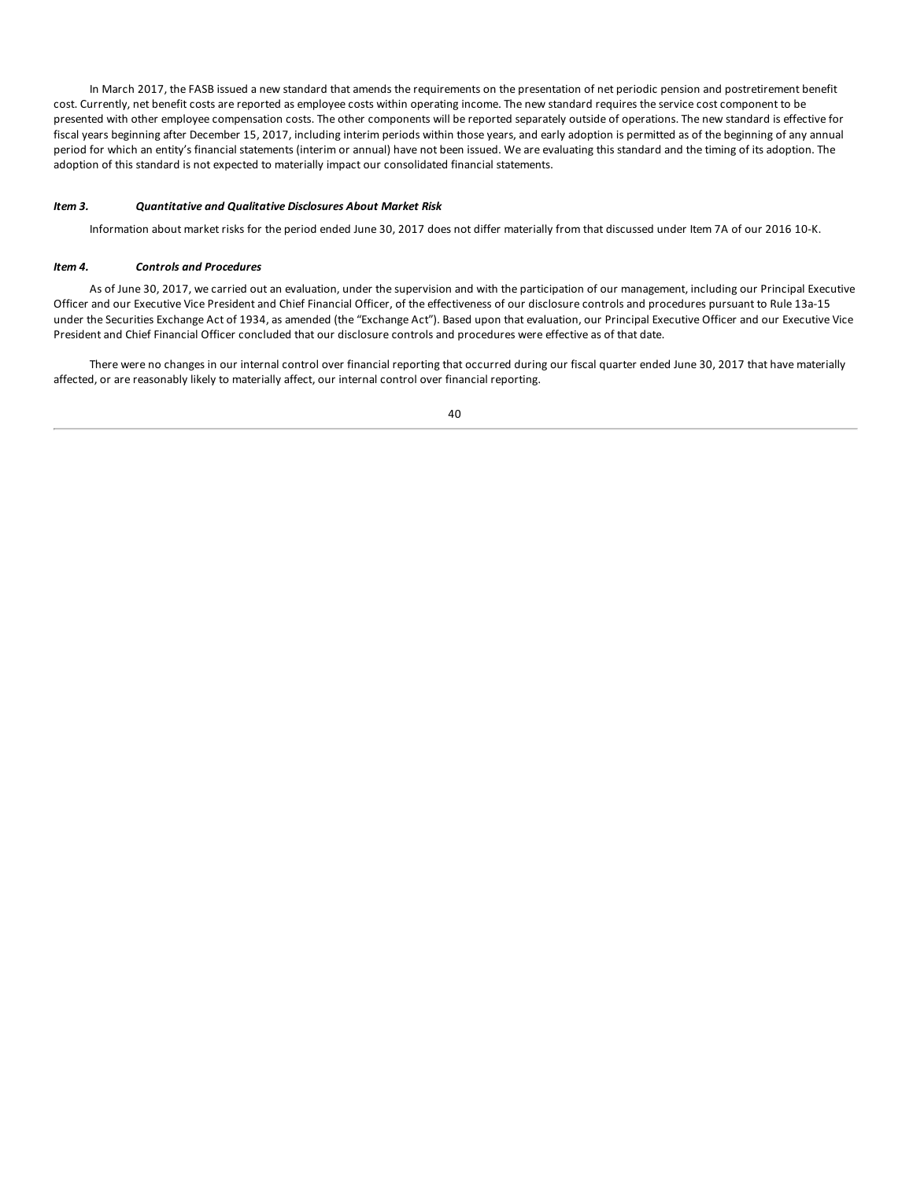<span id="page-39-0"></span>In March 2017, the FASB issued a new standard that amends the requirements on the presentation of net periodic pension and postretirement benefit cost. Currently, net benefit costs are reported as employee costs within operating income. The new standard requires the service cost component to be presented with other employee compensation costs. The other components will be reported separately outside of operations. The new standard is effective for fiscal years beginning after December 15, 2017, including interim periods within those years, and early adoption is permitted as of the beginning of any annual period for which an entity's financial statements (interim or annual) have not been issued. We are evaluating this standard and the timing of its adoption. The adoption of this standard is not expected to materially impact our consolidated financial statements.

## *Item 3. Quantitative and Qualitative Disclosures About Market Risk*

Information about market risks for the period ended June 30, 2017 does not differ materially from that discussed under Item 7A of our 2016 10-K.

#### *Item 4. Controls and Procedures*

As of June 30, 2017, we carried out an evaluation, under the supervision and with the participation of our management, including our Principal Executive Officer and our Executive Vice President and Chief Financial Officer, of the effectiveness of our disclosure controls and procedures pursuant to Rule 13a-15 under the Securities Exchange Act of 1934, as amended (the "Exchange Act"). Based upon that evaluation, our Principal Executive Officer and our Executive Vice President and Chief Financial Officer concluded that our disclosure controls and procedures were effective as of that date.

There were no changes in our internal control over financial reporting that occurred during our fiscal quarter ended June 30, 2017 that have materially affected, or are reasonably likely to materially affect, our internal control over financial reporting.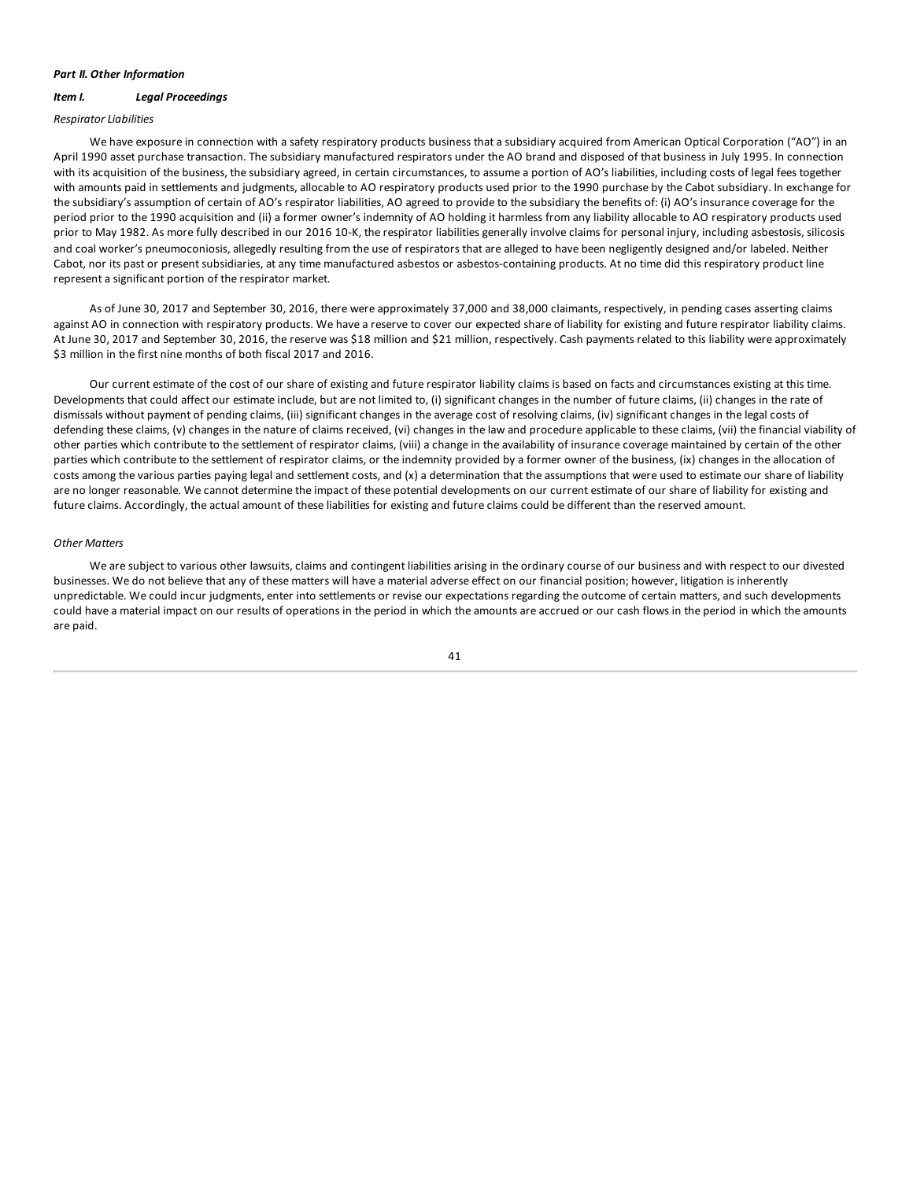#### <span id="page-40-0"></span>*Part II. Other Information*

## *Item I. Legal Proceedings*

#### *Respirator Liabilities*

We have exposure in connection with a safety respiratory products business that a subsidiary acquired from American Optical Corporation ("AO") in an April 1990 asset purchase transaction. The subsidiary manufactured respirators under the AO brand and disposed of that business in July 1995. In connection with its acquisition of the business, the subsidiary agreed, in certain circumstances, to assume a portion of AO's liabilities, including costs of legal fees together with amounts paid in settlements and judgments, allocable to AO respiratory products used prior to the 1990 purchase by the Cabot subsidiary. In exchange for the subsidiary's assumption of certain of AO's respirator liabilities, AO agreed to provide to the subsidiary the benefits of: (i) AO's insurance coverage for the period prior to the 1990 acquisition and (ii) a former owner's indemnity of AO holding it harmless from any liability allocable to AO respiratory products used prior to May 1982. As more fully described in our 2016 10-K, the respirator liabilities generally involve claims for personal injury, including asbestosis, silicosis and coal worker's pneumoconiosis, allegedly resulting from the use of respirators that are alleged to have been negligently designed and/or labeled. Neither Cabot, nor its past or present subsidiaries, at any time manufactured asbestos or asbestos-containing products. At no time did this respiratory product line represent a significant portion of the respirator market.

As of June 30, 2017 and September 30, 2016, there were approximately 37,000 and 38,000 claimants, respectively, in pending cases asserting claims against AO in connection with respiratory products. We have a reserve to cover our expected share of liability for existing and future respirator liability claims. At June 30, 2017 and September 30, 2016, the reserve was \$18 million and \$21 million, respectively. Cash payments related to this liability were approximately \$3 million in the first nine months of both fiscal 2017 and 2016.

Our current estimate of the cost of our share of existing and future respirator liability claims is based on facts and circumstances existing at this time. Developments that could affect our estimate include, but are not limited to, (i) significant changes in the number of future claims, (ii) changes in the rate of dismissals without payment of pending claims, (iii) significant changes in the average cost of resolving claims, (iv) significant changes in the legal costs of defending these claims, (v) changes in the nature of claims received, (vi) changes in the law and procedure applicable to these claims, (vii) the financial viability of other parties which contribute to the settlement of respirator claims, (viii) a change in the availability of insurance coverage maintained by certain of the other parties which contribute to the settlement of respirator claims, or the indemnity provided by a former owner of the business, (ix) changes in the allocation of costs among the various parties paying legal and settlement costs, and (x) a determination that the assumptions that were used to estimate our share of liability are no longer reasonable. We cannot determine the impact of these potential developments on our current estimate of our share of liability for existing and future claims. Accordingly, the actual amount of these liabilities for existing and future claims could be different than the reserved amount.

#### *Other Matters*

We are subject to various other lawsuits, claims and contingent liabilities arising in the ordinary course of our business and with respect to our divested businesses. We do not believe that any of these matters will have a material adverse effect on our financial position; however, litigation is inherently unpredictable. We could incur judgments, enter into settlements or revise our expectations regarding the outcome of certain matters, and such developments could have a material impact on our results of operations in the period in which the amounts are accrued or our cash flows in the period in which the amounts are paid.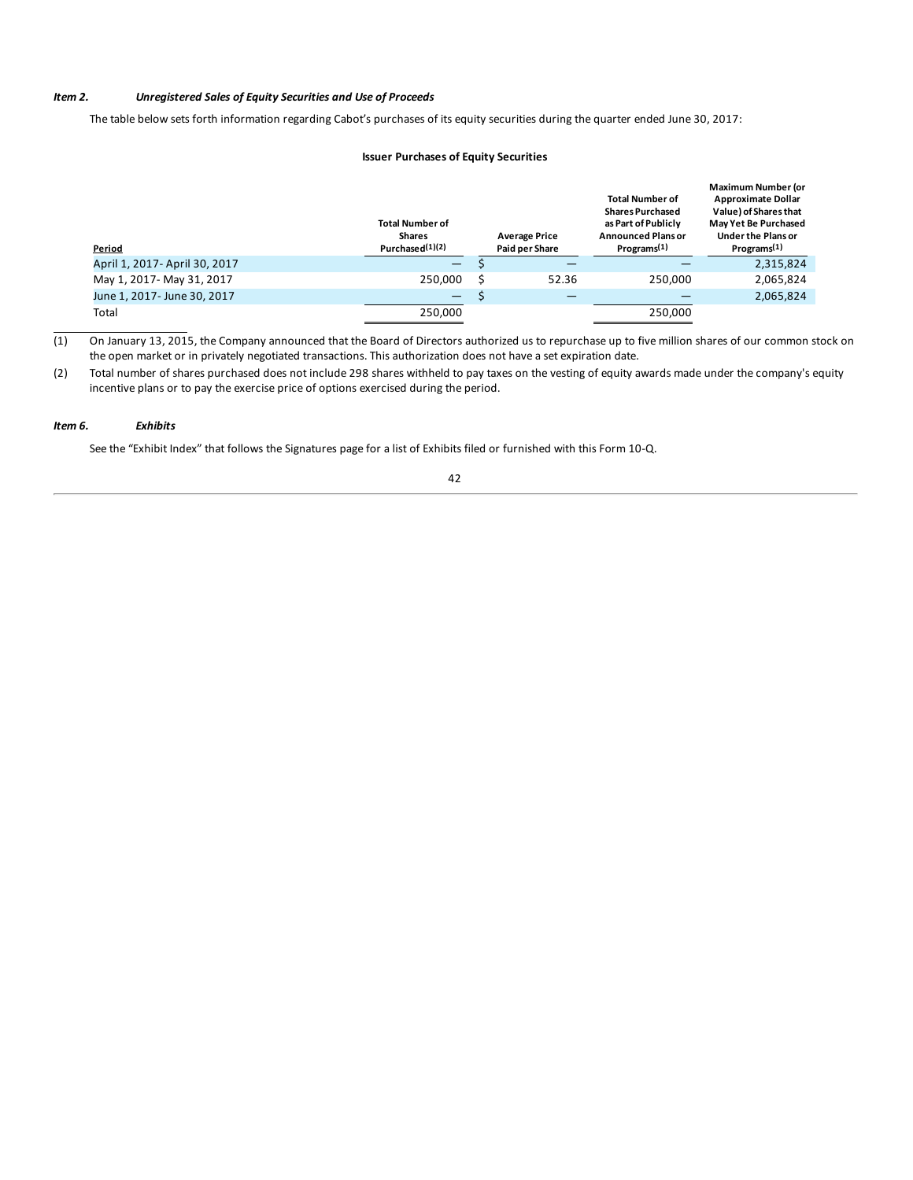## <span id="page-41-0"></span>*Item 2. Unregistered Sales of Equity Securities and Use of Proceeds*

The table below sets forth information regarding Cabot's purchases of its equity securities during the quarter ended June 30, 2017:

## **Issuer Purchases of Equity Securities**

| Period                        | <b>Total Number of</b><br><b>Shares</b><br>Purchased <sup>(1)</sup> (2) | <b>Average Price</b><br>Paid per Share | <b>Total Number of</b><br><b>Shares Purchased</b><br>as Part of Publicly<br><b>Announced Plans or</b><br>Programs <sup>(1)</sup> | <b>Maximum Number (or</b><br><b>Approximate Dollar</b><br>Value) of Shares that<br>May Yet Be Purchased<br>Under the Plans or<br>Programs <sup>(1)</sup> |
|-------------------------------|-------------------------------------------------------------------------|----------------------------------------|----------------------------------------------------------------------------------------------------------------------------------|----------------------------------------------------------------------------------------------------------------------------------------------------------|
| April 1, 2017- April 30, 2017 | $\overline{\phantom{0}}$                                                |                                        |                                                                                                                                  | 2,315,824                                                                                                                                                |
| May 1, 2017 - May 31, 2017    | 250.000                                                                 | 52.36                                  | 250,000                                                                                                                          | 2,065,824                                                                                                                                                |
| June 1, 2017 - June 30, 2017  | $\overline{\phantom{m}}$                                                |                                        |                                                                                                                                  | 2,065,824                                                                                                                                                |
| Total                         | 250.000                                                                 |                                        | 250,000                                                                                                                          |                                                                                                                                                          |

(1) On January 13, 2015, the Company announced that the Board of Directors authorized us to repurchase up to five million shares of our common stock on the open market or in privately negotiated transactions. This authorization does not have a set expiration date.

(2) Total number of shares purchased does not include 298 shares withheld to pay taxes on the vesting of equity awards made under the company's equity incentive plans or to pay the exercise price of options exercised during the period.

## *Item 6. Exhibits*

See the "Exhibit Index" that follows the Signatures page for a list of Exhibits filed or furnished with this Form 10-Q.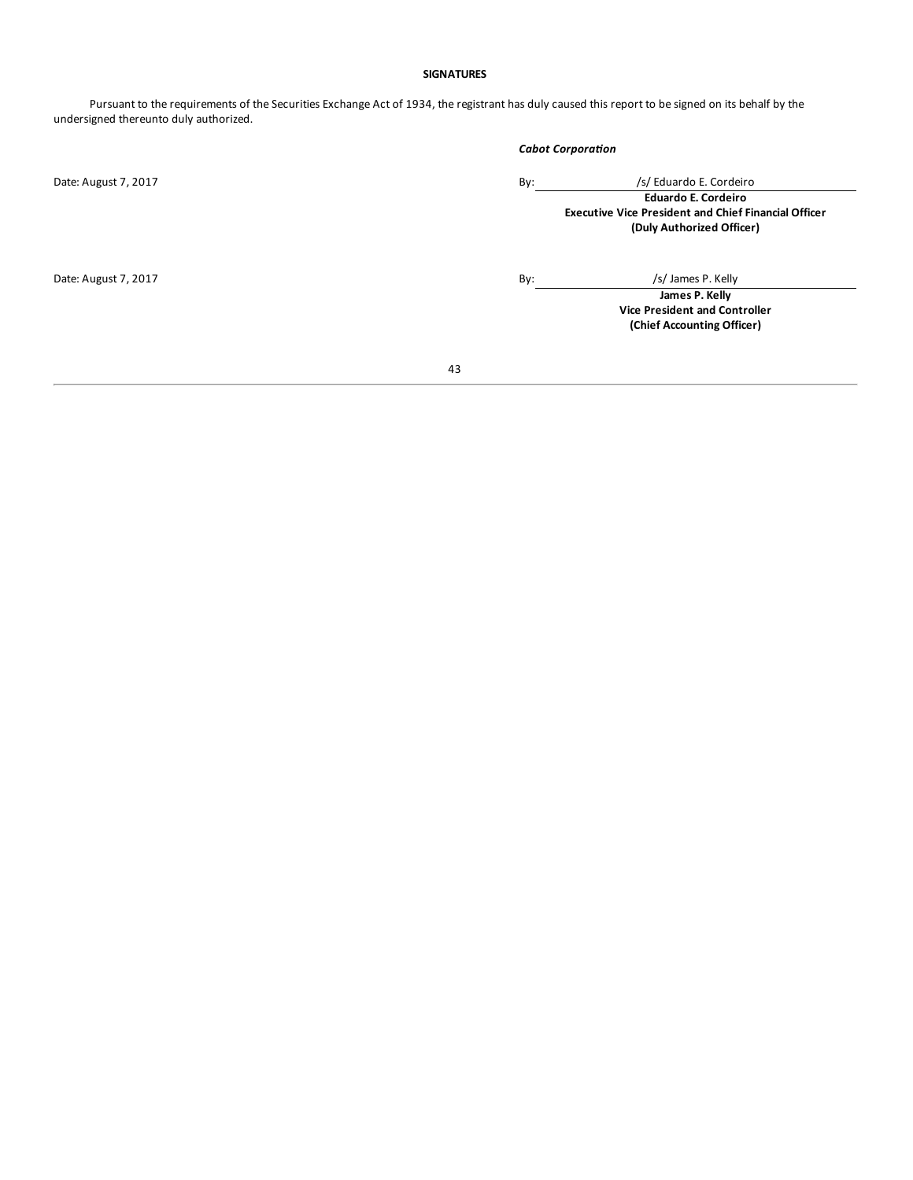## **SIGNATURES**

Pursuant to the requirements of the Securities Exchange Act of 1934, the registrant has duly caused this report to be signed on its behalf by the undersigned thereunto duly authorized.

|  |  | <b>Cabot Corporation</b> |
|--|--|--------------------------|
|--|--|--------------------------|

Date: August 7, 2017 <br>By: /s/ Eduardo E. Cordeiro **Eduardo E. Cordeiro Executive Vice President and Chief Financial Officer (Duly Authorized Officer)** Date: August 7, 2017 **By:** *Same By: By: S/ James P. Kelly* **James P. Kelly Vice President and Controller (Chief Accounting Officer)**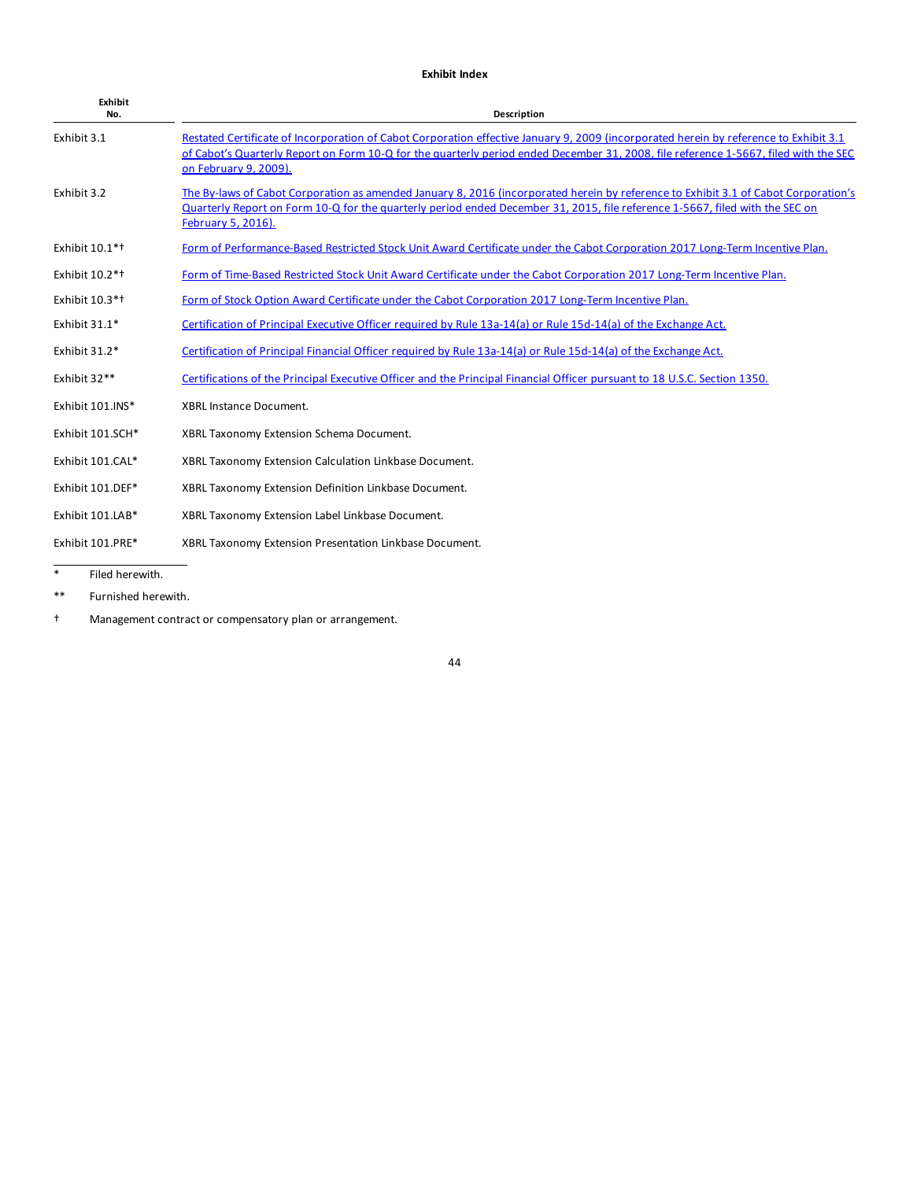## **Exhibit Index**

| Description                                                                                                                                                                                                                                                                                            |
|--------------------------------------------------------------------------------------------------------------------------------------------------------------------------------------------------------------------------------------------------------------------------------------------------------|
| Restated Certificate of Incorporation of Cabot Corporation effective January 9, 2009 (incorporated herein by reference to Exhibit 3.1<br>of Cabot's Quarterly Report on Form 10-Q for the quarterly period ended December 31, 2008, file reference 1-5667, filed with the SEC<br>on February 9, 2009). |
| The By-laws of Cabot Corporation as amended January 8, 2016 (incorporated herein by reference to Exhibit 3.1 of Cabot Corporation's<br>Quarterly Report on Form 10-Q for the quarterly period ended December 31, 2015, file reference 1-5667, filed with the SEC on<br>February 5, 2016).              |
| Form of Performance-Based Restricted Stock Unit Award Certificate under the Cabot Corporation 2017 Long-Term Incentive Plan.                                                                                                                                                                           |
| Form of Time-Based Restricted Stock Unit Award Certificate under the Cabot Corporation 2017 Long-Term Incentive Plan.                                                                                                                                                                                  |
| Form of Stock Option Award Certificate under the Cabot Corporation 2017 Long-Term Incentive Plan.                                                                                                                                                                                                      |
| Certification of Principal Executive Officer required by Rule 13a-14(a) or Rule 15d-14(a) of the Exchange Act.                                                                                                                                                                                         |
| Certification of Principal Financial Officer required by Rule 13a-14(a) or Rule 15d-14(a) of the Exchange Act.                                                                                                                                                                                         |
| Certifications of the Principal Executive Officer and the Principal Financial Officer pursuant to 18 U.S.C. Section 1350.                                                                                                                                                                              |
| <b>XBRL Instance Document.</b>                                                                                                                                                                                                                                                                         |
| XBRL Taxonomy Extension Schema Document.                                                                                                                                                                                                                                                               |
| XBRL Taxonomy Extension Calculation Linkbase Document.                                                                                                                                                                                                                                                 |
| XBRL Taxonomy Extension Definition Linkbase Document.                                                                                                                                                                                                                                                  |
| XBRL Taxonomy Extension Label Linkbase Document.                                                                                                                                                                                                                                                       |
| XBRL Taxonomy Extension Presentation Linkbase Document.                                                                                                                                                                                                                                                |
|                                                                                                                                                                                                                                                                                                        |

\* Filed herewith.

\*\* Furnished herewith.

† Management contract or compensatory plan or arrangement.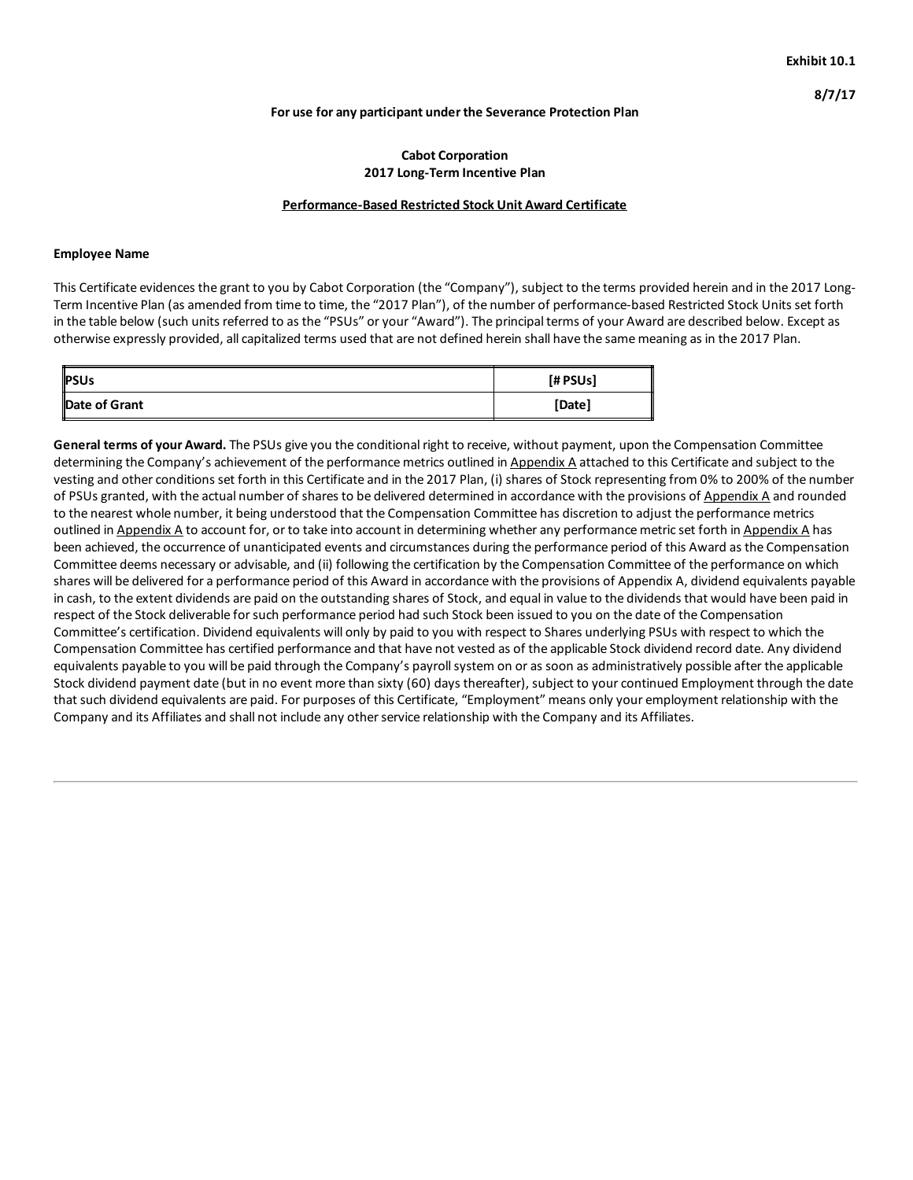## **For use for any participant under the Severance Protection Plan**

**8/7/17**

## **Cabot Corporation 2017 Long-Term Incentive Plan**

## **Performance-Based Restricted Stock Unit Award Certificate**

## **Employee Name**

This Certificate evidences the grant to you by Cabot Corporation (the "Company"), subject to the terms provided herein and in the 2017 Long-Term Incentive Plan (as amended from time to time, the "2017 Plan"), of the number of performance-based Restricted Stock Units set forth in the table below (such units referred to as the "PSUs" or your "Award"). The principal terms of your Award are described below. Except as otherwise expressly provided, all capitalized terms used that are not defined herein shall have the same meaning as in the 2017 Plan.

| PSUs          | [# PSUs] |
|---------------|----------|
| Date of Grant | [Date]   |

**General terms of your Award.** The PSUs give you the conditionalright to receive, without payment, upon the Compensation Committee determining the Company's achievement of the performance metrics outlined in Appendix A attached to this Certificate and subject to the vesting and other conditions set forth in this Certificate and in the 2017 Plan, (i) shares of Stock representing from 0% to 200% of the number of PSUs granted, with the actual number of shares to be delivered determined in accordance with the provisions of Appendix A and rounded to the nearest whole number, it being understood that the Compensation Committee has discretion to adjust the performance metrics outlined in Appendix A to account for, or to take into account in determining whether any performance metric set forth in Appendix A has been achieved, the occurrence of unanticipated events and circumstances during the performance period of this Award as the Compensation Committee deems necessary or advisable, and (ii) following the certification by the Compensation Committee of the performance on which shares will be delivered for a performance period of this Award in accordance with the provisions of Appendix A, dividend equivalents payable in cash, to the extent dividends are paid on the outstanding shares of Stock, and equal in value to the dividends that would have been paid in respect of the Stock deliverable forsuch performance period had such Stock been issued to you on the date of the Compensation Committee's certification. Dividend equivalents will only by paid to you with respect to Shares underlying PSUs with respect to which the Compensation Committee has certified performance and that have not vested as of the applicable Stock dividend record date. Any dividend equivalents payable to you will be paid through the Company's payrollsystem on or as soon as administratively possible after the applicable Stock dividend payment date (but in no event more than sixty (60) days thereafter), subject to your continued Employment through the date that such dividend equivalents are paid. For purposes of this Certificate, "Employment" means only your employment relationship with the Company and its Affiliates and shall not include any other service relationship with the Company and its Affiliates.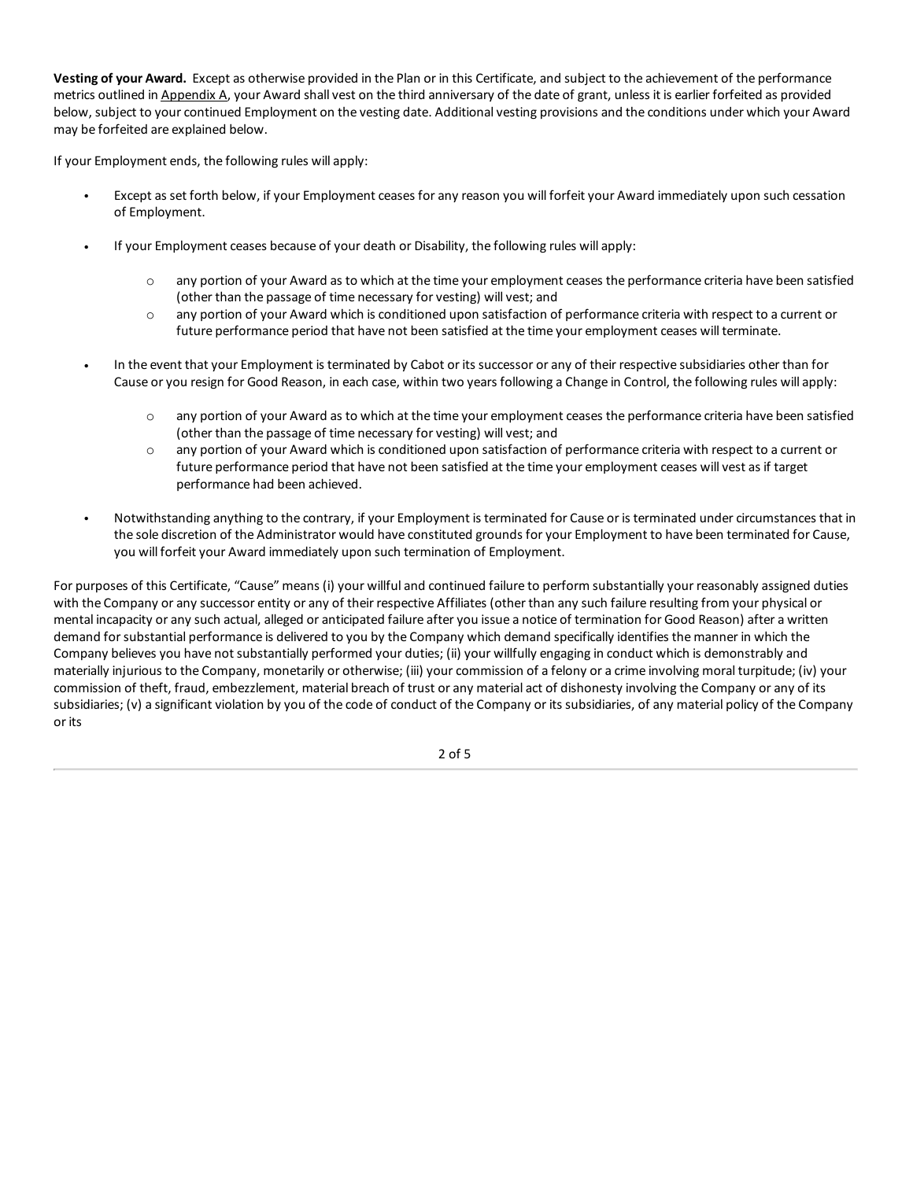**Vesting of your Award.** Except as otherwise provided in the Plan or in this Certificate, and subject to the achievement of the performance metrics outlined in Appendix A, your Award shall vest on the third anniversary of the date of grant, unless it is earlier forfeited as provided below, subject to your continued Employment on the vesting date. Additional vesting provisions and the conditions under which your Award may be [forfeited](#page-2-0) are explained below.

If your Employment ends, the [following](#page-2-0) rules will apply:

- Except as set forth below, if your [Employment](#page-3-0) ceases for any reason you will forfeit your Award immediately upon such cessation of Empl[oyment.](#page-4-0)
- If your [Employment](#page-7-0) ceases because of your death or Disability, the following rules will apply:
	- $\circ$  any portion of your Award as to which at the time your [employment](#page-26-0) ceases the performance criteria have been satisfied (other than the passage of time [necessary](#page-39-0) for vesting) will vest; and
	- $\circ$  any [portion](#page-39-0) of your Award which is conditioned upon satisfaction of performance criteria with respect to a current or [fu](#page-40-0)ture performance period that have not been satisfied at the time your employment ceases will terminate.
- In the event that your [Employment](#page-41-0) is terminated by Cabot or its successor or any of their respective subsidiaries other than for Cause or [you](#page-41-0) resign for Good Reason, in each case, within two years following a Change in Control, the following rules will apply:
	- $\circ$  any portion of your Award as to which at the time your employment ceases the performance criteria have been satisfied (other than the passage of time necessary for vesting) will vest; and
	- o any portion of your Award which is conditioned upon satisfaction of performance criteria with respect to a current or future performance period that have not been satisfied at the time your employment ceases will vest as if target performance had been achieved.
- Notwithstanding anything to the contrary, if your Employment is terminated for Cause or is terminated under circumstances that in the sole discretion of the Administrator would have constituted grounds for your Employment to have been terminated for Cause, you will forfeit your Award immediately upon such termination of Employment.

For purposes of this Certificate, "Cause" means (i) your willful and continued failure to perform substantially your reasonably assigned duties with the Company or any successor entity or any of their respective Affiliates (other than any such failure resulting from your physical or mental incapacity or any such actual, alleged or anticipated failure after you issue a notice of termination for Good Reason) after a written demand forsubstantial performance is delivered to you by the Company which demand specifically identifies the manner in which the Company believes you have not substantially performed your duties; (ii) your willfully engaging in conduct which is demonstrably and materially injurious to the Company, monetarily or otherwise; (iii) your commission of a felony or a crime involving moral turpitude; (iv) your commission of theft, fraud, embezzlement, material breach of trust or any material act of dishonesty involving the Company or any of its subsidiaries; (v) a significant violation by you of the code of conduct of the Company or its subsidiaries, of any material policy of the Company or its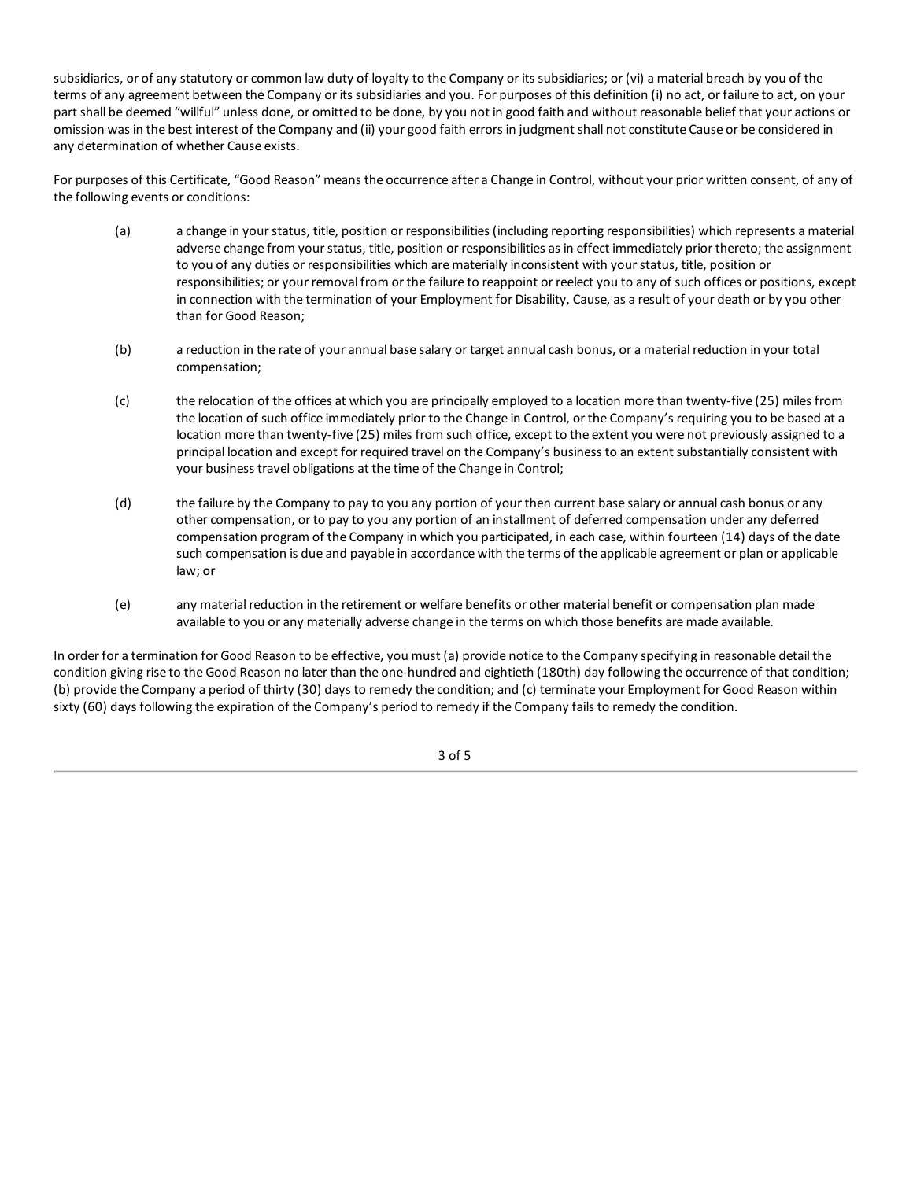subsidiaries, or of any statutory or common law duty of loyalty to the Company or its subsidiaries; or (vi) a material breach by you of the terms of any agreement between the Company or its subsidiaries and you. For purposes of this definition (i) no act, or failure to act, on your part shall be deemed "willful" unless done, or omitted to be done, by you not in good faith and without reasonable belief that your actions or omission was in the best interest of the Company and (ii) your good faith errors in judgment shall not constitute Cause or be considered in any determination of whether Cause exists.

For purposes of this Certificate, "Good Reason" means the occurrence after a Change in Control, without your prior written consent, of any of the following events or conditions:

- (a) a change in yourstatus, title, position or responsibilities (including reporting responsibilities) which represents a material adverse change from your status, title, position or responsibilities as in effect immediately prior thereto; the assignment to you of any duties or responsibilities which are materially inconsistent with yourstatus, title, position or responsibilities; or your removal from or the failure to reappoint or reelect you to any of such offices or positions, except in connection with the termination of your Employment for Disability, Cause, as a result of your death or by you other than for Good Reason;
- (b) a reduction in the rate of your annual base salary or target annual cash bonus, or a materialreduction in your total compensation;
- (c) the relocation of the offices at which you are principally employed to a location more than twenty-five (25) miles from the location of such office immediately prior to the Change in Control, or the Company's requiring you to be based at a location more than twenty-five (25) miles from such office, except to the extent you were not previously assigned to a principal location and except for required travel on the Company's business to an extent substantially consistent with your business travel obligations at the time of the Change in Control;
- (d) the failure by the Company to pay to you any portion of your then current base salary or annual cash bonus or any other compensation, or to pay to you any portion of an installment of deferred compensation under any deferred compensation program of the Company in which you participated, in each case, within fourteen (14) days of the date such compensation is due and payable in accordance with the terms of the applicable agreement or plan or applicable law; or
- (e) any material reduction in the retirement or welfare benefits or other material benefit or compensation plan made available to you or any materially adverse change in the terms on which those benefits are made available.

In order for a termination for Good Reason to be effective, you must (a) provide notice to the Company specifying in reasonable detail the condition giving rise to the Good Reason no later than the one-hundred and eightieth (180th) day following the occurrence of that condition; (b) provide the Company a period of thirty (30) days to remedy the condition; and (c) terminate your Employment for Good Reason within sixty (60) days following the expiration of the Company's period to remedy if the Company fails to remedy the condition.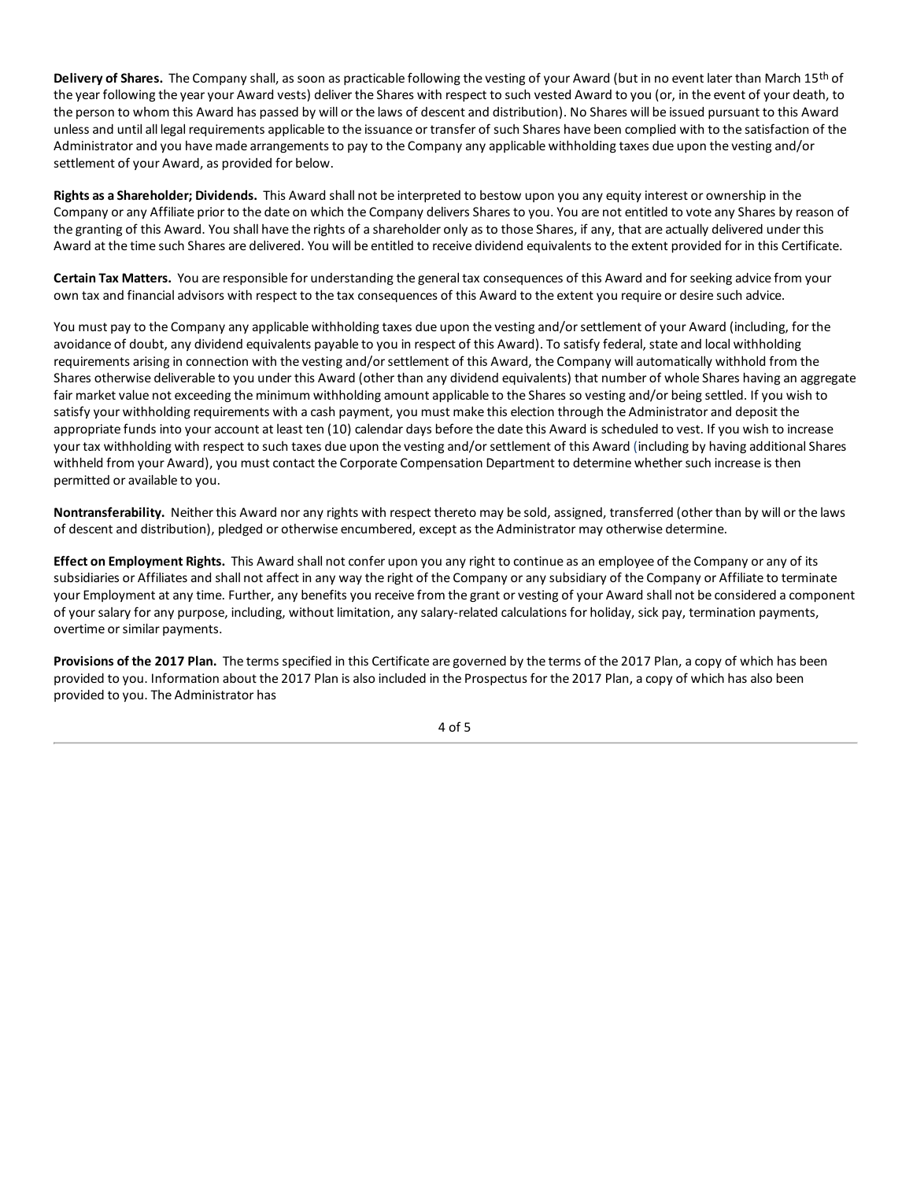**Delivery of Shares.** The Company shall, as soon as practicable following the vesting of your Award (but in no event later than March 15th of the year following the year your Award vests) deliver the Shares with respect to such vested Award to you (or, in the event of your death, to the person to whom this Award has passed by will or the laws of descent and distribution). No Shares will be issued pursuant to this Award unless and until all legal requirements applicable to the issuance or transfer of such Shares have been complied with to the satisfaction of the Administrator and you have made arrangements to pay to the Company any applicable withholding taxes due upon the vesting and/or settlement of your Award, as provided for below.

**Rights as a Shareholder; Dividends.** This Award shall not be interpreted to bestow upon you any equity interest or ownership in the Company or any Affiliate prior to the date on which the Company delivers Shares to you. You are not entitled to vote any Shares by reason of the granting of this Award. You shall have the rights of a shareholder only as to those Shares, if any, that are actually delivered under this Award at the time such Shares are delivered. You will be entitled to receive dividend equivalents to the extent provided for in this Certificate.

**Certain Tax Matters.** You are responsible for understanding the general tax consequences of this Award and forseeking advice from your own tax and financial advisors with respect to the tax consequences of this Award to the extent you require or desire such advice.

You must pay to the Company any applicable withholding taxes due upon the vesting and/orsettlement of your Award (including, for the avoidance of doubt, any dividend equivalents payable to you in respect of this Award). To satisfy federal, state and local withholding requirements arising in connection with the vesting and/orsettlement of this Award, the Company will automatically withhold from the Shares otherwise deliverable to you under this Award (other than any dividend equivalents) that number of whole Shares having an aggregate fair market value not exceeding the minimum withholding amount applicable to the Shares so vesting and/or being settled. If you wish to satisfy your withholding requirements with a cash payment, you must make this election through the Administrator and deposit the appropriate funds into your account at least ten (10) calendar days before the date this Award is scheduled to vest. If you wish to increase your tax withholding with respect to such taxes due upon the vesting and/or settlement of this Award (including by having additional Shares withheld from your Award), you must contact the Corporate Compensation Department to determine whether such increase is then permitted or available to you.

**Nontransferability.** Neither this Award nor any rights with respect thereto may be sold, assigned, transferred (other than by will or the laws of descent and distribution), pledged or otherwise encumbered, except as the Administrator may otherwise determine.

**Effect on Employment Rights.** This Award shall not confer upon you any right to continue as an employee of the Company or any of its subsidiaries or Affiliates and shall not affect in any way the right of the Company or any subsidiary of the Company or Affiliate to terminate your Employment at any time. Further, any benefits you receive from the grant or vesting of your Award shall not be considered a component of yoursalary for any purpose, including, without limitation, any salary-related calculations for holiday, sick pay, termination payments, overtime or similar payments.

**Provisions of the 2017 Plan.** The terms specified in this Certificate are governed by the terms of the 2017 Plan, a copy of which has been provided to you. Information about the 2017 Plan is also included in the Prospectus for the 2017 Plan, a copy of which has also been provided to you. The Administrator has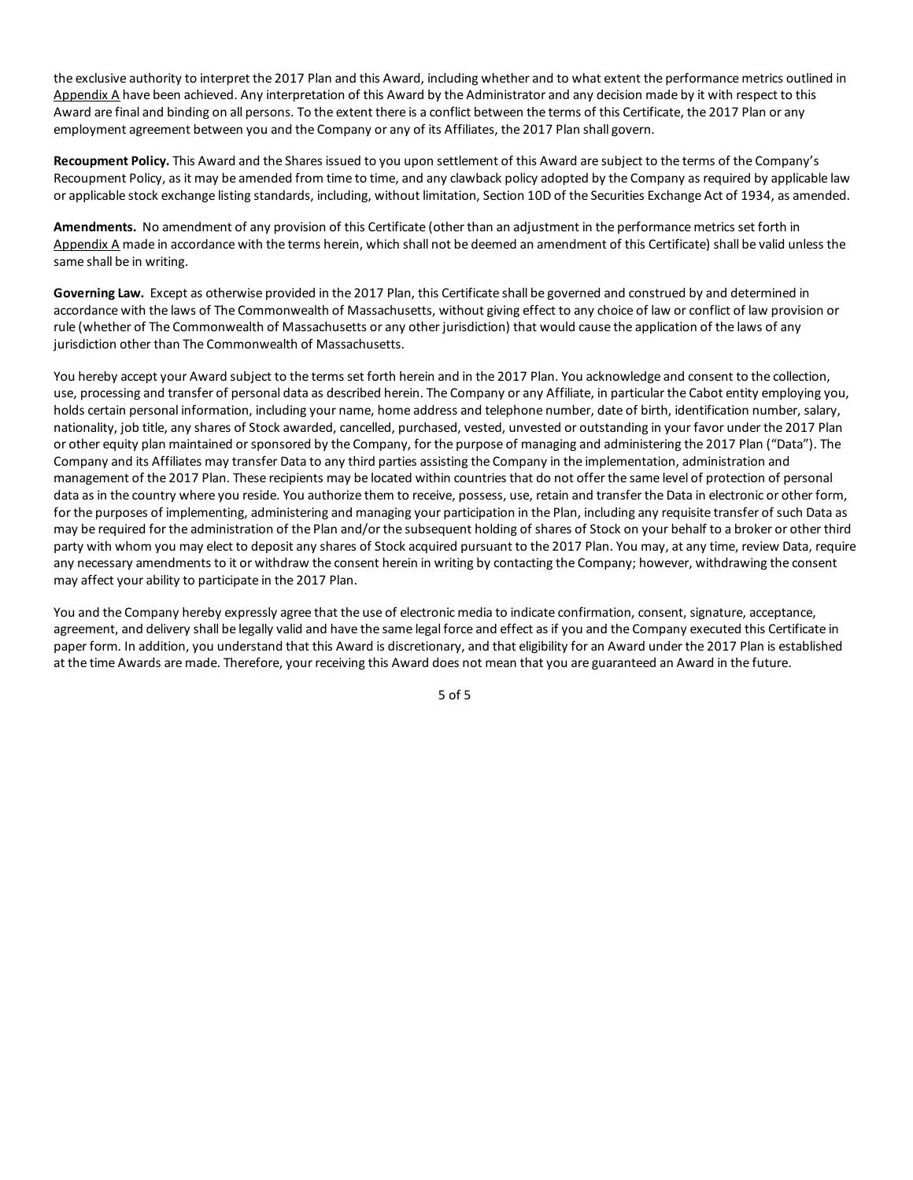the exclusive authority to interpret the 2017 Plan and this Award, including whether and to what extent the performance metrics outlined in Appendix A have been achieved. Any interpretation of this Award by the Administrator and any decision made by it with respect to this Award are final and binding on all persons. To the extent there is a conflict between the terms of this Certificate, the 2017 Plan or any employment agreement between you and the Company or any of its Affiliates, the 2017 Plan shall govern.

**Recoupment Policy.** This Award and the Shares issued to you upon settlement of this Award are subject to the terms of the Company's Recoupment Policy, as it may be amended from time to time, and any clawback policy adopted by the Company as required by applicable law or applicable stock exchange listing standards, including, without limitation, Section 10D of the Securities Exchange Act of 1934, as amended.

**Amendments.** No amendment of any provision of this Certificate (other than an adjustment in the performance metrics set forth in Appendix A made in accordance with the terms herein, which shall not be deemed an amendment of this Certificate) shall be valid unless the same shall be in writing.

**Governing Law.** Except as otherwise provided in the 2017 Plan, this Certificate shall be governed and construed by and determined in accordance with the laws of The Commonwealth of Massachusetts, without giving effect to any choice of law or conflict of law provision or rule (whether of The Commonwealth of Massachusetts or any other jurisdiction) that would cause the application of the laws of any jurisdiction other than The Commonwealth of Massachusetts.

You hereby accept your Award subject to the terms set forth herein and in the 2017 Plan. You acknowledge and consent to the collection, use, processing and transfer of personal data as described herein. The Company or any Affiliate, in particular the Cabot entity employing you, holds certain personal information, including your name, home address and telephone number, date of birth, identification number, salary, nationality, job title, any shares of Stock awarded, cancelled, purchased, vested, unvested or outstanding in your favor under the 2017 Plan or other equity plan maintained orsponsored by the Company, for the purpose of managing and administering the 2017 Plan ("Data"). The Company and its Affiliates may transfer Data to any third parties assisting the Company in the implementation, administration and management of the 2017 Plan. These recipients may be located within countries that do not offer the same level of protection of personal data as in the country where you reside. You authorize them to receive, possess, use, retain and transfer the Data in electronic or other form, for the purposes of implementing, administering and managing your participation in the Plan, including any requisite transfer of such Data as may be required for the administration of the Plan and/or the subsequent holding of shares of Stock on your behalf to a broker or other third party with whom you may elect to deposit any shares of Stock acquired pursuant to the 2017 Plan. You may, at any time, review Data, require any necessary amendments to it or withdraw the consent herein in writing by contacting the Company; however, withdrawing the consent may affect your ability to participate in the 2017 Plan.

You and the Company hereby expressly agree that the use of electronic media to indicate confirmation, consent, signature, acceptance, agreement, and delivery shall be legally valid and have the same legal force and effect as if you and the Company executed this Certificate in paper form. In addition, you understand that this Award is discretionary, and that eligibility for an Award under the 2017 Plan is established at the time Awards are made. Therefore, your receiving this Award does not mean that you are guaranteed an Award in the future.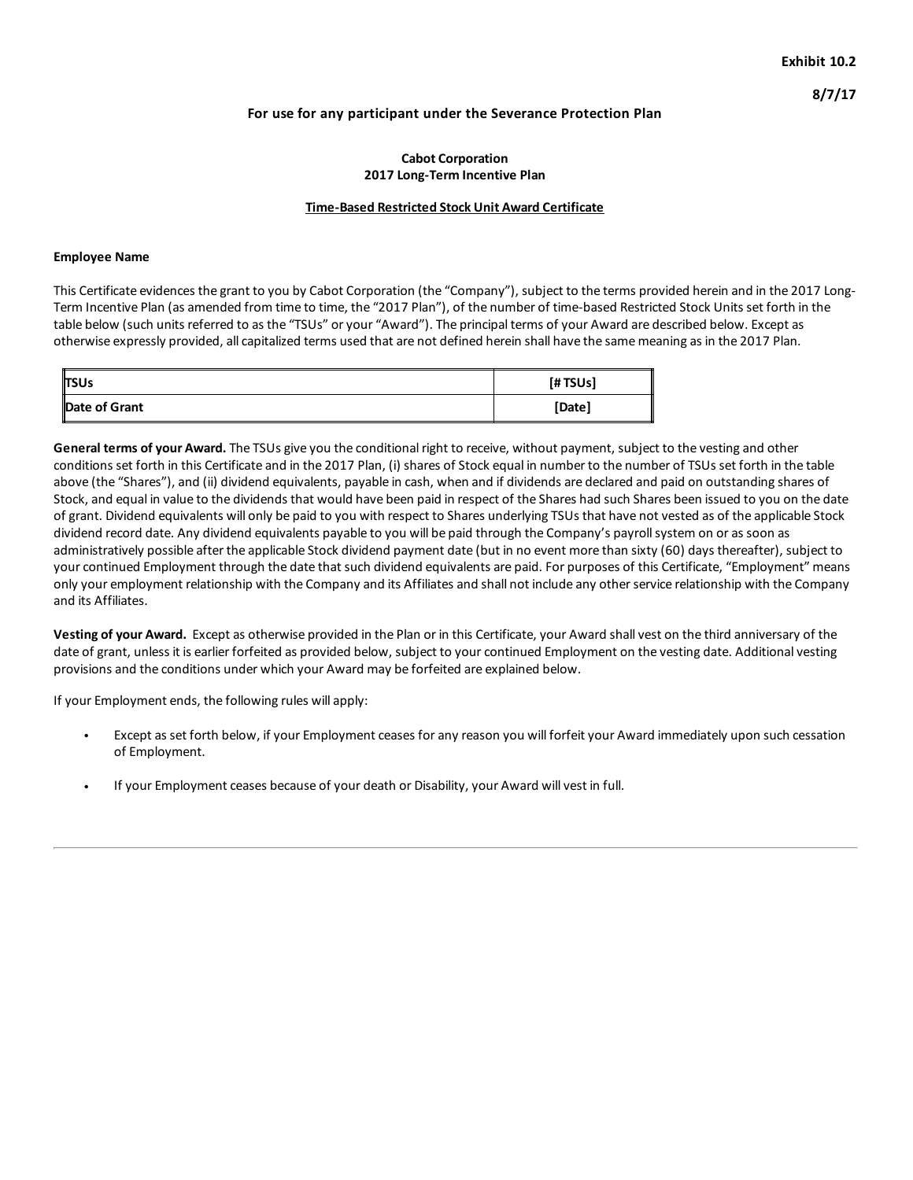**8/7/17**

## **For use for any participant under the Severance Protection Plan**

## **Cabot Corporation 2017 Long-Term Incentive Plan**

## **Time-Based Restricted Stock Unit Award Certificate**

## **Employee Name**

This Certificate evidences the grant to you by Cabot Corporation (the "Company"), subject to the terms provided herein and in the 2017 Long-Term Incentive Plan (as amended from time to time, the "2017 Plan"), of the number of time-based Restricted Stock Units set forth in the table below (such units referred to as the "TSUs" or your "Award"). The principal terms of your Award are described below. Except as otherwise expressly provided, all capitalized terms used that are not defined herein shall have the same meaning as in the 2017 Plan.

| TSUs          | $[$ #TSUs] |
|---------------|------------|
| Date of Grant | [Date]     |

**General terms of your Award.** The TSUs give you the conditionalright to receive, without payment, subject to the vesting and other conditions set forth in this Certificate and in the 2017 Plan, (i) shares of Stock equal in number to the number of TSUs set forth in the table above (the "Shares"), and (ii) dividend equivalents, payable in cash, when and if dividends are declared and paid on outstanding shares of Stock, and equal in value to the dividends that would have been paid in respect of the Shares had such Shares been issued to you on the date of grant. Dividend equivalents will only be paid to you with respect to Shares underlying TSUs that have not vested as of the applicable Stock dividend record date. Any dividend equivalents payable to you will be paid through the Company's payrollsystem on or as soon as administratively possible after the applicable Stock dividend payment date (but in no event more than sixty (60) days thereafter), subject to your continued Employment through the date that such dividend equivalents are paid. For purposes of this Certificate, "Employment" means only your employment relationship with the Company and its Affiliates and shall not include any otherservice relationship with the Company and its Affiliates.

**Vesting of your Award.** Except as otherwise provided in the Plan or in this Certificate, your Award shall vest on the third anniversary of the date of grant, unless it is earlier forfeited as provided below, subject to your continued Employment on the vesting date. Additional vesting provisions and the conditions under which your Award may be forfeited are explained below.

If your Employment ends, the following rules will apply:

- Except as set forth below, if your Employment ceases for any reason you will forfeit your Award immediately upon such cessation of Employment.
- If your Employment ceases because of your death or Disability, your Award will vest in full.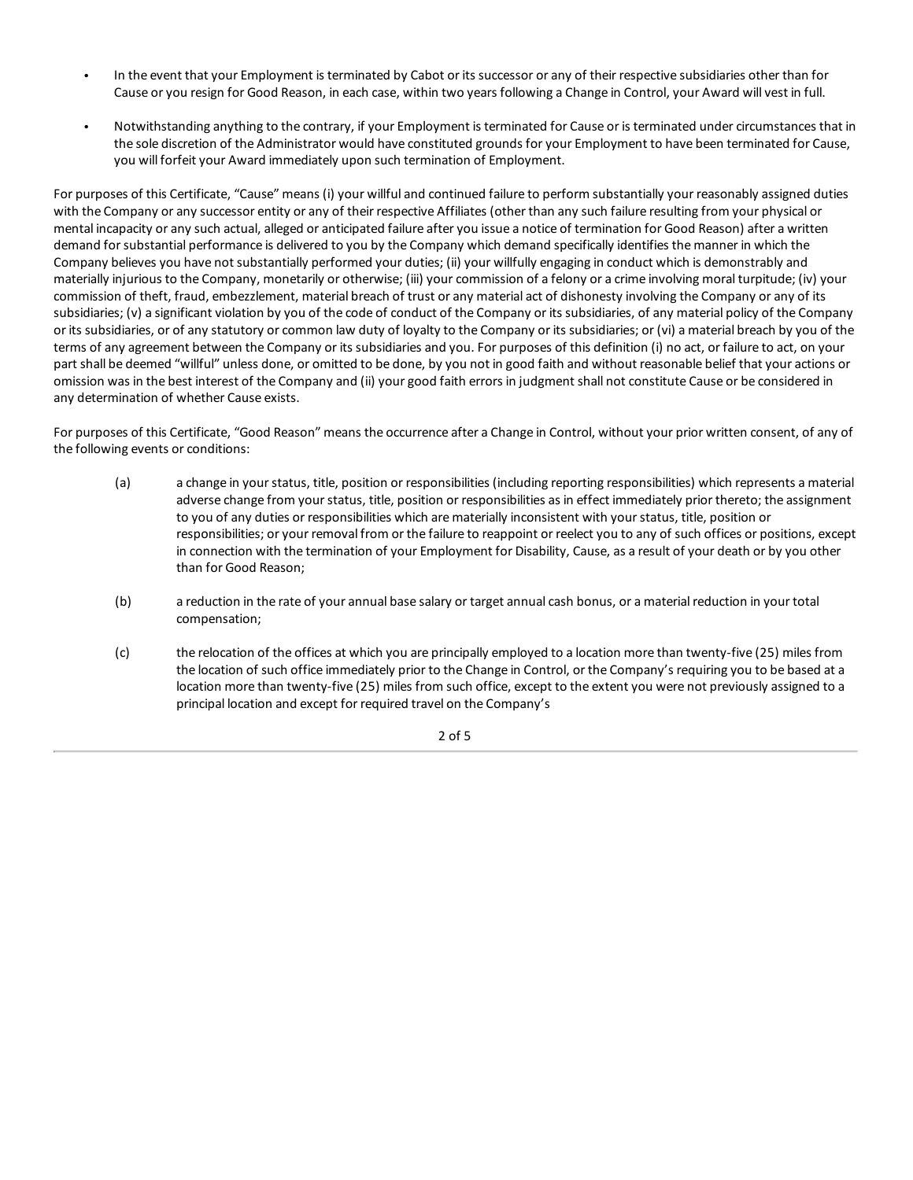- In the event that your Employment is terminated by Cabot or its successor or any of their respective subsidiaries other than for Cause or you resign for Good Reason, in each case, within two years following a Change in Control, your Award will vest in full.
- [Notwithstanding](#page-2-0) anything to the contrary, if your Employment is terminated for Cause or is terminated under circumstances that in the sole discretion of the Administrator would have constituted grounds for your Employment to have been terminated for Cause, you will forfeit your Award [immediate](#page-2-0)ly upon such termination of Employment.

For purposes of this [Certificate,](#page-3-0) "Cause" means (i) your willful and continued failure to perform substantially your reasonably assigned duties with the Company or any [successor](#page-4-0) entity or any of their respective Affiliates (other than any such failure resulting from your physical or mental incapacity or any such actual, [alleged](#page-6-0) or anticipated failure after you issue a notice of termination for Good Reason) after a written demand forsubstantial [performance](#page-7-0) is delivered to you by the Company which demand specifically identifies the manner in which the Company believes you have not substantially performed your duties; (ii) your willfully engaging in conduct which is demonstrably and materially injurious to the Company, monetarily or otherwise; (iii) your [commission](#page-26-0) of a felony or a crime involving moral turpitude; (iv) your commission of theft, fraud, [embezzlement,](#page-39-0) material breach of trust or any material act of dishonesty involving the Company or any of its subsidiaries; (v) a s[ignificant](#page-39-0) violation by you of the code of conduct of the Company or its subsidiaries, of any material policy of the Company or its su[bsidiaries,](#page-40-0) or of any statutory or common law duty of loyalty to the Company or its subsidiaries; or (vi) a material breach by you of the terms of any agreement [between](#page-40-0) the Company or its subsidiaries and you. For purposes of this definition (i) no act, or failure to act, on your part shall be deemed ["willful"](#page-41-0) unless done, or omitted to be done, by you not in good faith and without reasonable belief that your actions or omission was in the [best](#page-41-0) interest of the Company and (ii) your good faith errors in judgment shall not constitute Cause or be considered in any determination of whether Cause exists.

For purposes of this Certificate, "Good Reason" means the occurrence after a Change in Control, without your prior written consent, of any of the following events or conditions:

- (a) a change in yourstatus, title, position or responsibilities (including reporting responsibilities) which represents a material adverse change from your status, title, position or responsibilities as in effect immediately prior thereto; the assignment to you of any duties or responsibilities which are materially inconsistent with yourstatus, title, position or responsibilities; or your removal from or the failure to reappoint or reelect you to any of such offices or positions, except in connection with the termination of your Employment for Disability, Cause, as a result of your death or by you other than for Good Reason;
- (b) a reduction in the rate of your annual base salary or target annual cash bonus, or a materialreduction in your total compensation;
- (c) the relocation of the offices at which you are principally employed to a location more than twenty-five (25) miles from the location of such office immediately prior to the Change in Control, or the Company's requiring you to be based at a location more than twenty-five (25) miles from such office, except to the extent you were not previously assigned to a principal location and except for required travel on the Company's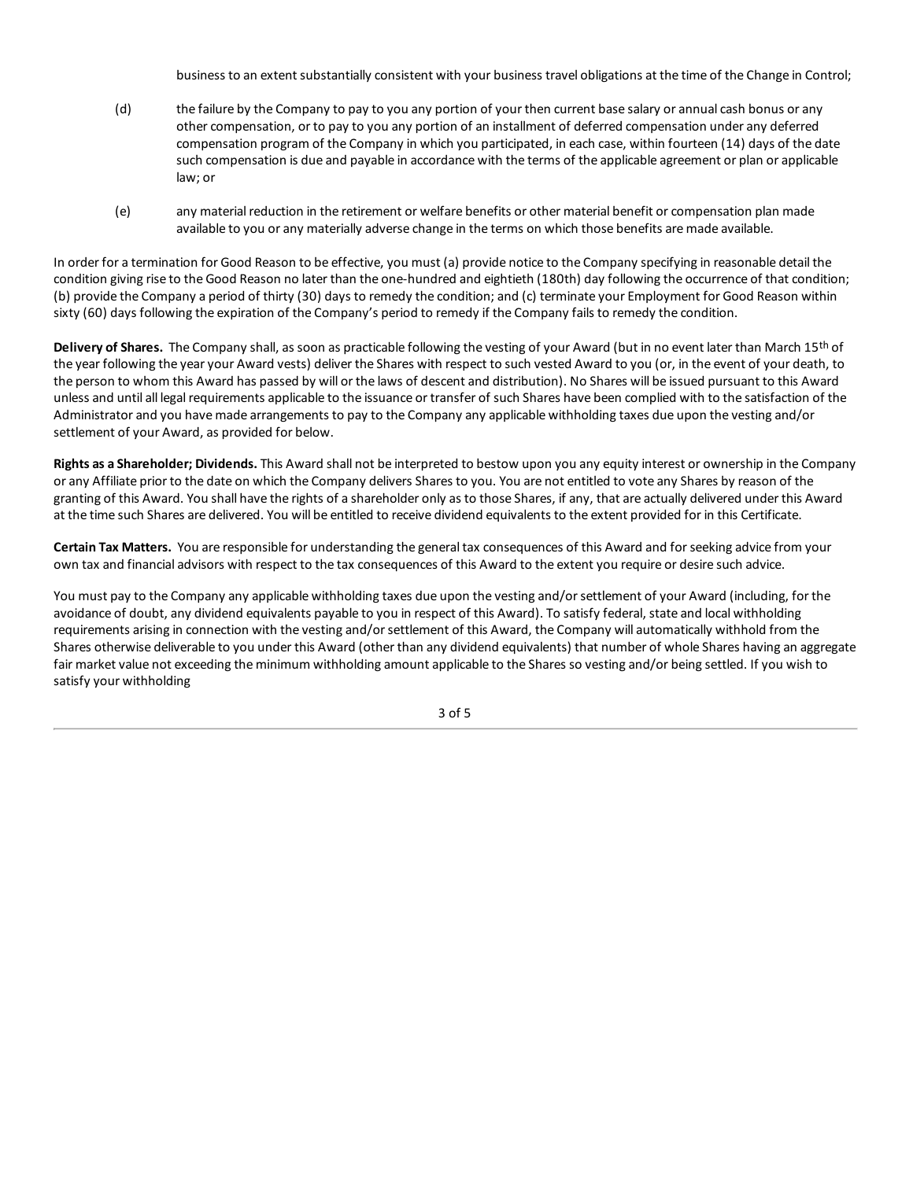business to an extent substantially consistent with your business travel obligations at the time of the Change in Control;

- (d) the failure by the Company to pay to you any portion of your then current base salary or annual cash bonus or any other compensation, or to pay to you any portion of an installment of deferred compensation under any deferred compensation program of the Company in which you participated, in each case, within fourteen (14) days of the date such compensation is due and payable in accordance with the terms of the applicable agreement or plan or applicable law; or
- (e) any material reduction in the retirement or welfare benefits or other material benefit or compensation plan made available to you or any materially adverse change in the terms on which those benefits are made available.

In order for a termination for Good Reason to be effective, you must (a) provide notice to the Company specifying in reasonable detail the condition giving rise to the Good Reason no later than the one-hundred and eightieth (180th) day following the occurrence of that condition; (b) provide the Company a period of thirty (30) days to remedy the condition; and (c) terminate your Employment for Good Reason within sixty (60) days following the expiration of the Company's period to remedy if the Company fails to remedy the condition.

**Delivery of Shares.** The Company shall, as soon as practicable following the vesting of your Award (but in no event later than March 15th of the year following the year your Award vests) deliver the Shares with respect to such vested Award to you (or, in the event of your death, to the person to whom this Award has passed by will or the laws of descent and distribution). No Shares will be issued pursuant to this Award unless and until all legal requirements applicable to the issuance or transfer of such Shares have been complied with to the satisfaction of the Administrator and you have made arrangements to pay to the Company any applicable withholding taxes due upon the vesting and/or settlement of your Award, as provided for below.

**Rights as a Shareholder; Dividends.** This Award shall not be interpreted to bestow upon you any equity interest or ownership in the Company or any Affiliate prior to the date on which the Company delivers Shares to you. You are not entitled to vote any Shares by reason of the granting of this Award. You shall have the rights of a shareholder only as to those Shares, if any, that are actually delivered under this Award at the time such Shares are delivered. You will be entitled to receive dividend equivalents to the extent provided for in this Certificate.

**Certain Tax Matters.** You are responsible for understanding the general tax consequences of this Award and forseeking advice from your own tax and financial advisors with respect to the tax consequences of this Award to the extent you require or desire such advice.

You must pay to the Company any applicable withholding taxes due upon the vesting and/orsettlement of your Award (including, for the avoidance of doubt, any dividend equivalents payable to you in respect of this Award). To satisfy federal, state and local withholding requirements arising in connection with the vesting and/orsettlement of this Award, the Company will automatically withhold from the Shares otherwise deliverable to you under this Award (other than any dividend equivalents) that number of whole Shares having an aggregate fair market value not exceeding the minimum withholding amount applicable to the Shares so vesting and/or being settled. If you wish to satisfy your withholding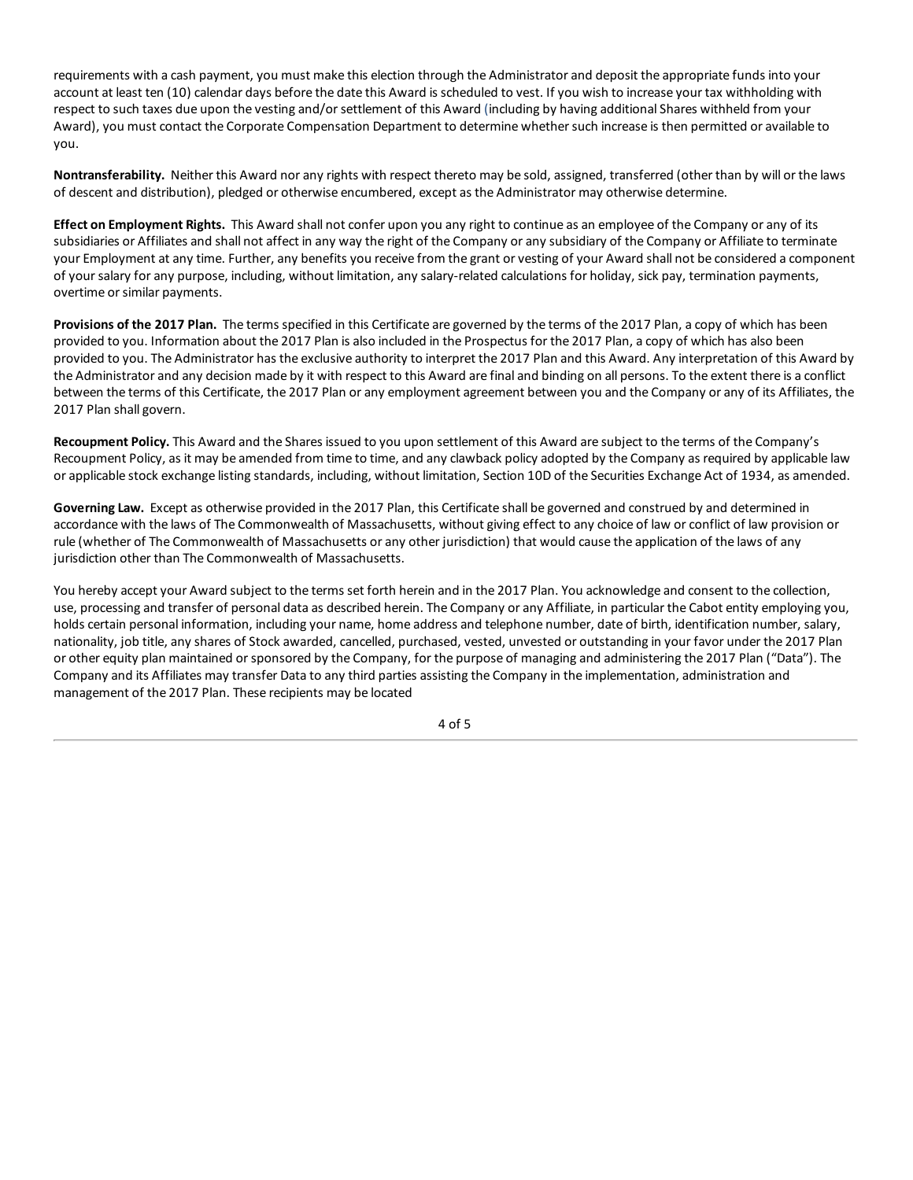requirements with a cash payment, you must make this election through the Administrator and deposit the appropriate funds into your account at least ten (10) calendar days before the date this Award is scheduled to vest. If you wish to increase your tax withholding with respect to such taxes due upon the vesting and/orsettlement of this Award (including by having additional Shares withheld from your Award), you must contact the Corporate Compensation Department to determine whether such increase is then permitted or available to you.

**Nontransferability.** Neither this Award nor any rights with respect thereto may be sold, assigned, transferred (other than by will or the laws of descent and distribution), pledged or otherwise encumbered, except as the Administrator may otherwise determine.

**Effect on Employment Rights.** This Award shall not confer upon you any right to continue as an employee of the Company or any of its subsidiaries or Affiliates and shall not affect in any way the right of the Company or any subsidiary of the Company or Affiliate to terminate your Employment at any time. Further, any benefits you receive from the grant or vesting of your Award shall not be considered a component of yoursalary for any purpose, including, without limitation, any salary-related calculations for holiday, sick pay, termination payments, overtime or similar payments.

**Provisions of the 2017 Plan.** The terms specified in this Certificate are governed by the terms of the 2017 Plan, a copy of which has been provided to you. Information about the 2017 Plan is also included in the Prospectus for the 2017 Plan, a copy of which has also been provided to you. The Administrator has the exclusive authority to interpret the 2017 Plan and this Award. Any interpretation of this Award by the Administrator and any decision made by it with respect to this Award are final and binding on all persons. To the extent there is a conflict between the terms of this Certificate, the 2017 Plan or any employment agreement between you and the Company or any of its Affiliates, the 2017 Plan shall govern.

**Recoupment Policy.** This Award and the Shares issued to you upon settlement of this Award are subject to the terms of the Company's Recoupment Policy, as it may be amended from time to time, and any clawback policy adopted by the Company as required by applicable law or applicable stock exchange listing standards, including, without limitation, Section 10D of the Securities Exchange Act of 1934, as amended.

**Governing Law.** Except as otherwise provided in the 2017 Plan, this Certificate shall be governed and construed by and determined in accordance with the laws of The Commonwealth of Massachusetts, without giving effect to any choice of law or conflict of law provision or rule (whether of The Commonwealth of Massachusetts or any other jurisdiction) that would cause the application of the laws of any jurisdiction other than The Commonwealth of Massachusetts.

You hereby accept your Award subject to the terms set forth herein and in the 2017 Plan. You acknowledge and consent to the collection, use, processing and transfer of personal data as described herein. The Company or any Affiliate, in particular the Cabot entity employing you, holds certain personal information, including your name, home address and telephone number, date of birth, identification number, salary, nationality, job title, any shares of Stock awarded, cancelled, purchased, vested, unvested or outstanding in your favor under the 2017 Plan or other equity plan maintained orsponsored by the Company, for the purpose of managing and administering the 2017 Plan ("Data"). The Company and its Affiliates may transfer Data to any third parties assisting the Company in the implementation, administration and management of the 2017 Plan. These recipients may be located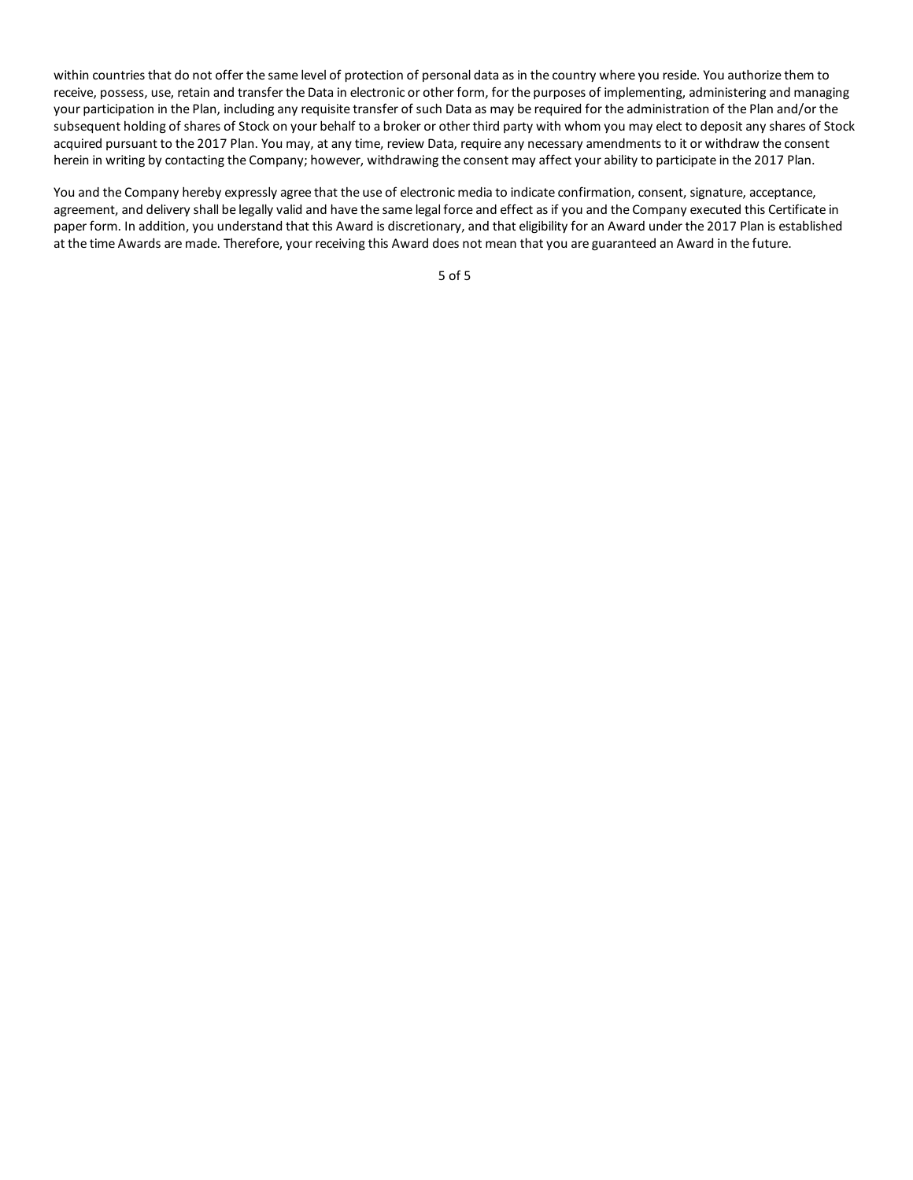within countries that do not offer the same level of protection of personal data as in the country where you reside. You authorize them to receive, possess, use, retain and transfer the Data in electronic or other form, for the purposes of implementing, administering and managing your participation in the Plan, including any requisite transfer of such Data as may be required for the administration of the Plan and/or the subsequent holding of shares of Stock on your behalf to a broker or other third party with whom you may elect to deposit any shares of Stock acquired pursuant to the 2017 Plan. You may, at any time, review Data, require any necessary amendments to it or withdraw the consent herein in writing by contacting the Company; however, withdrawing the consent may affect your ability to participate in the 2017 Plan.

You and the Company hereby expressly agree that the use of electronic media to indicate confirmation, consent, signature, acceptance, agreement, and delivery shall be legally valid and have the same legal force and effect as if you and the Company executed this Certificate in paper form. In addition, you understand that this Award is discretionary, and that eligibility for an Award under the 2017 Plan is established at the time Awards are made. Therefore, your receiving this Award does not mean that you are guaranteed an Award in the future.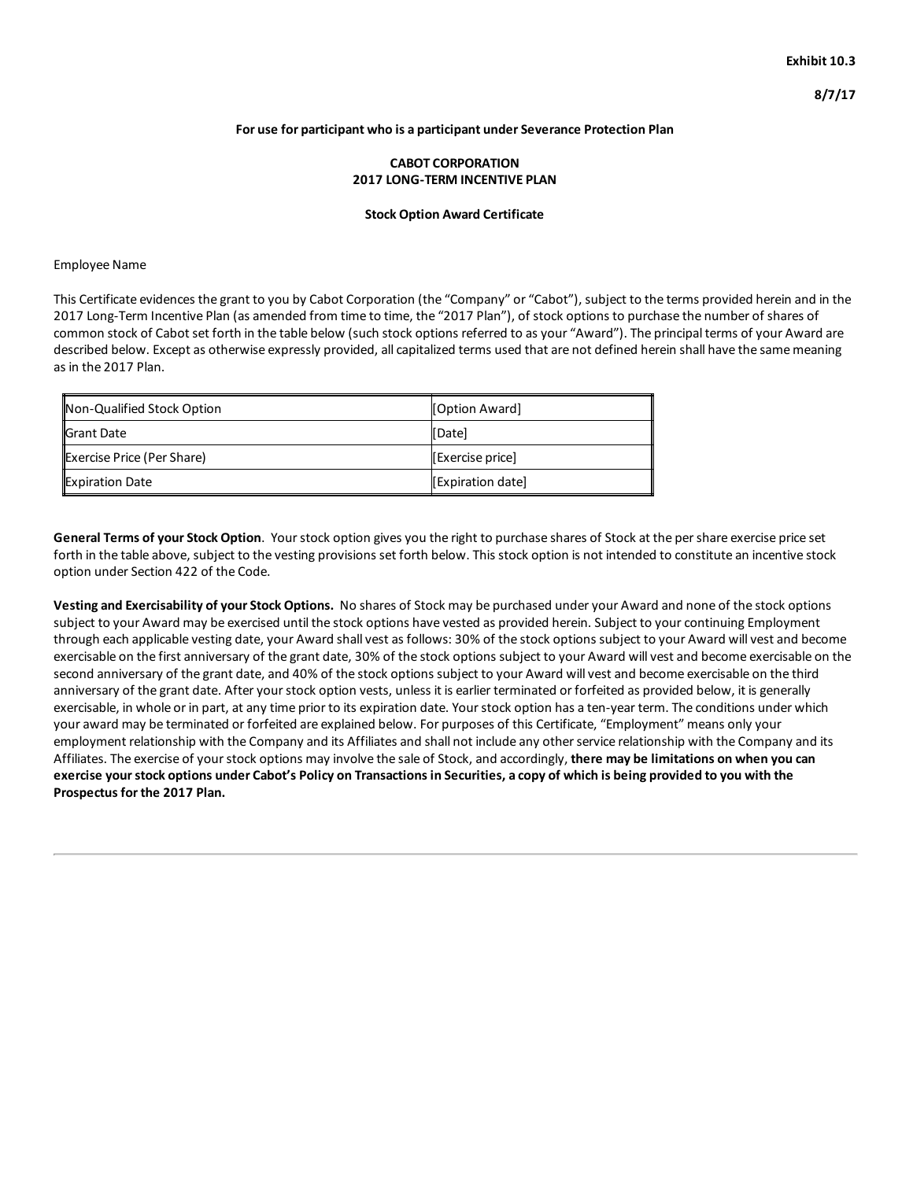## **For use for participant who is a participant under Severance Protection Plan**

## **CABOT CORPORATION 2017 LONG-TERM INCENTIVE PLAN**

## **Stock Option Award Certificate**

## Employee Name

This Certificate evidences the grant to you by Cabot Corporation (the "Company" or "Cabot"), subject to the terms provided herein and in the 2017 Long-Term Incentive Plan (as amended from time to time, the "2017 Plan"), of stock options to purchase the number of shares of common stock of Cabot set forth in the table below (such stock options referred to as your "Award"). The principal terms of your Award are described below. Except as otherwise expressly provided, all capitalized terms used that are not defined herein shall have the same meaning as in the 2017 Plan.

| Non-Qualified Stock Option | [Option Award]    |
|----------------------------|-------------------|
| <b>Grant Date</b>          | [Date]            |
| Exercise Price (Per Share) | [Exercise price]  |
| <b>Expiration Date</b>     | [Expiration date] |

**General Terms of your Stock Option**. Yourstock option gives you the right to purchase shares of Stock at the pershare exercise price set forth in the table above, subject to the vesting provisions set forth below. This stock option is not intended to constitute an incentive stock option under Section 422 of the Code.

**Vesting and Exercisability of your Stock Options.** No shares of Stock may be purchased under your Award and none of the stock options subject to your Award may be exercised until the stock options have vested as provided herein. Subject to your continuing Employment through each applicable vesting date, your Award shall vest as follows: 30% of the stock options subject to your Award will vest and become exercisable on the first anniversary of the grant date, 30% of the stock options subject to your Award will vest and become exercisable on the second anniversary of the grant date, and 40% of the stock options subject to your Award will vest and become exercisable on the third anniversary of the grant date. After your stock option vests, unless it is earlier terminated or forfeited as provided below, it is generally exercisable, in whole or in part, at any time prior to its expiration date. Yourstock option has a ten-year term. The conditions under which your award may be terminated or forfeited are explained below. For purposes of this Certificate, "Employment" means only your employment relationship with the Company and its Affiliates and shall not include any otherservice relationship with the Company and its Affiliates. The exercise of yourstock options may involve the sale of Stock, and accordingly, **there may be limitations on when you can** exercise your stock options under Cabot's Policy on Transactions in Securities, a copy of which is being provided to you with the **Prospectus for the 2017 Plan.**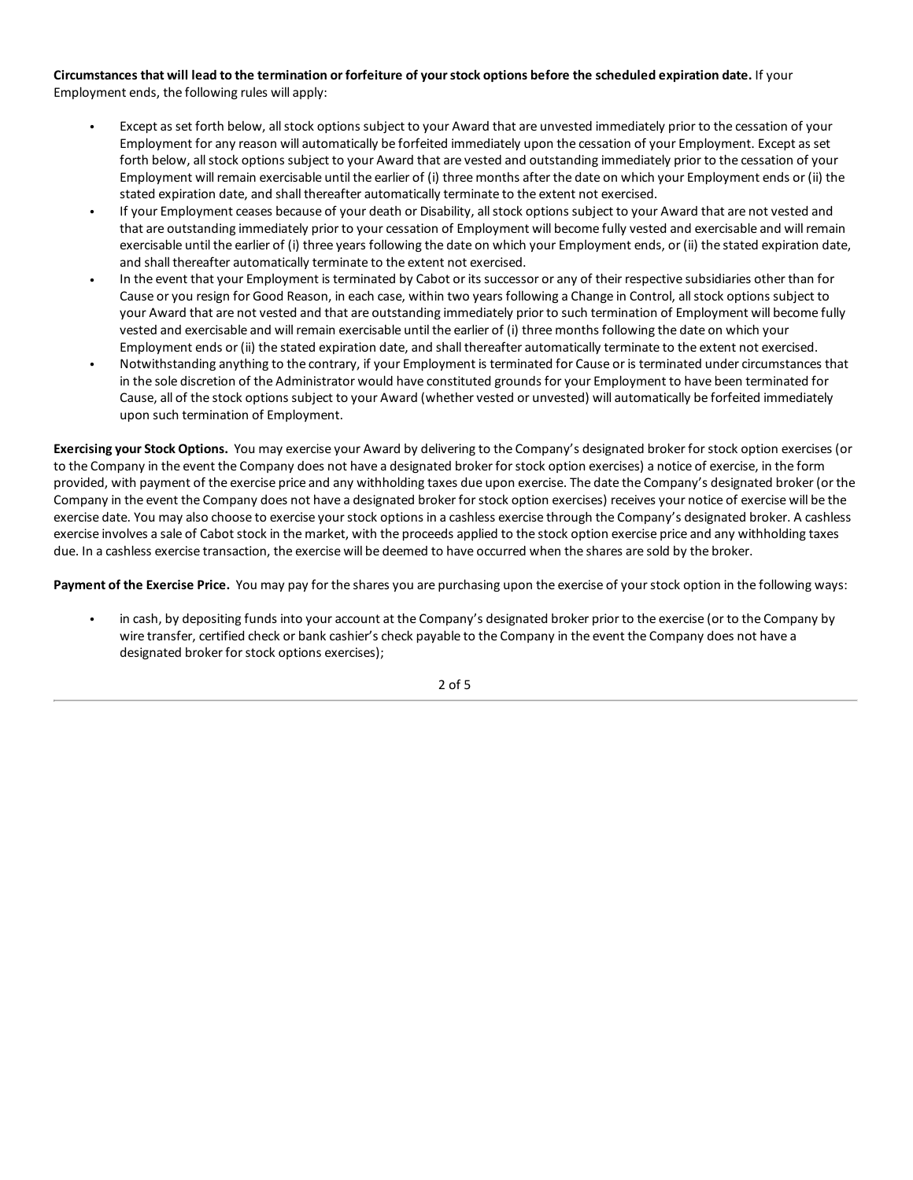## Circumstances that will lead to the termination or forfeiture of your stock options before the scheduled expiration date. If your Employment ends, the following rules will apply:

- Except as set forth below, all stock options subject to your Award that are unvested immediately prior to the cessation of your [Employment](#page-2-0) for any reason will automatically be forfeited immediately upon the cessation of your Employment. Except as set forth below, all stock options subject to your Award that are vested and outstanding immediately prior to the cessation of your Employment will remain [exercisable](#page-2-0) until the earlier of (i) three months after the date on which your Employment ends or (ii) the stated expiration date, and shall [thereafter](#page-3-0) automatically terminate to the extent not exercised.
- If your [Employment](#page-4-0) ceases because of your death or Disability, allstock options subject to your Award that are not vested and that are outstanding [immediately](#page-6-0) prior to your cessation of Employment will become fully vested and exercisable and willremain exercisable until the [earlier](#page-7-0) of (i) three years following the date on which your Employment ends, or (ii) the stated expiration date, and shall thereafter automatically terminate to the extent not exercised.
- In the event that your [Employment](#page-26-0) is terminated by Cabot or its successor or any of their respective subsidiaries other than for Cause or you resign for Good [Reason,](#page-39-0) in each case, within two years following a Change in Control, allstock options subject to your Award that are not [veste](#page-39-0)d and that are outstanding immediately prior to such termination of Employment will become fully vested and exercisable and willremain exercisable until the earlier of (i) three months following the date on which your [Employment](#page-40-0) ends or (ii) the stated expiration date, and shall thereafter automatically terminate to the extent not exercised.
- Notwit[hstanding](#page-41-0) anything to the contrary, if your Employment is terminated for Cause or is terminated under circumstances that in the sole [disc](#page-41-0)retion of the Administrator would have constituted grounds for your Employment to have been terminated for Cause, all of the stock options subject to your Award (whether vested or unvested) will automatically be forfeited immediately upon such termination of Employment.

**Exercising your Stock Options.** You may exercise your Award by delivering to the Company's designated broker forstock option exercises (or to the Company in the event the Company does not have a designated broker for stock option exercises) a notice of exercise, in the form provided, with payment of the exercise price and any withholding taxes due upon exercise. The date the Company's designated broker (or the Company in the event the Company does not have a designated broker forstock option exercises) receives your notice of exercise will be the exercise date. You may also choose to exercise your stock options in a cashless exercise through the Company's designated broker. A cashless exercise involves a sale of Cabot stock in the market, with the proceeds applied to the stock option exercise price and any withholding taxes due. In a cashless exercise transaction, the exercise will be deemed to have occurred when the shares are sold by the broker.

**Payment of the Exercise Price.** You may pay for the shares you are purchasing upon the exercise of yourstock option in the following ways:

• in cash, by depositing funds into your account at the Company's designated broker prior to the exercise (or to the Company by wire transfer, certified check or bank cashier's check payable to the Company in the event the Company does not have a designated broker for stock options exercises);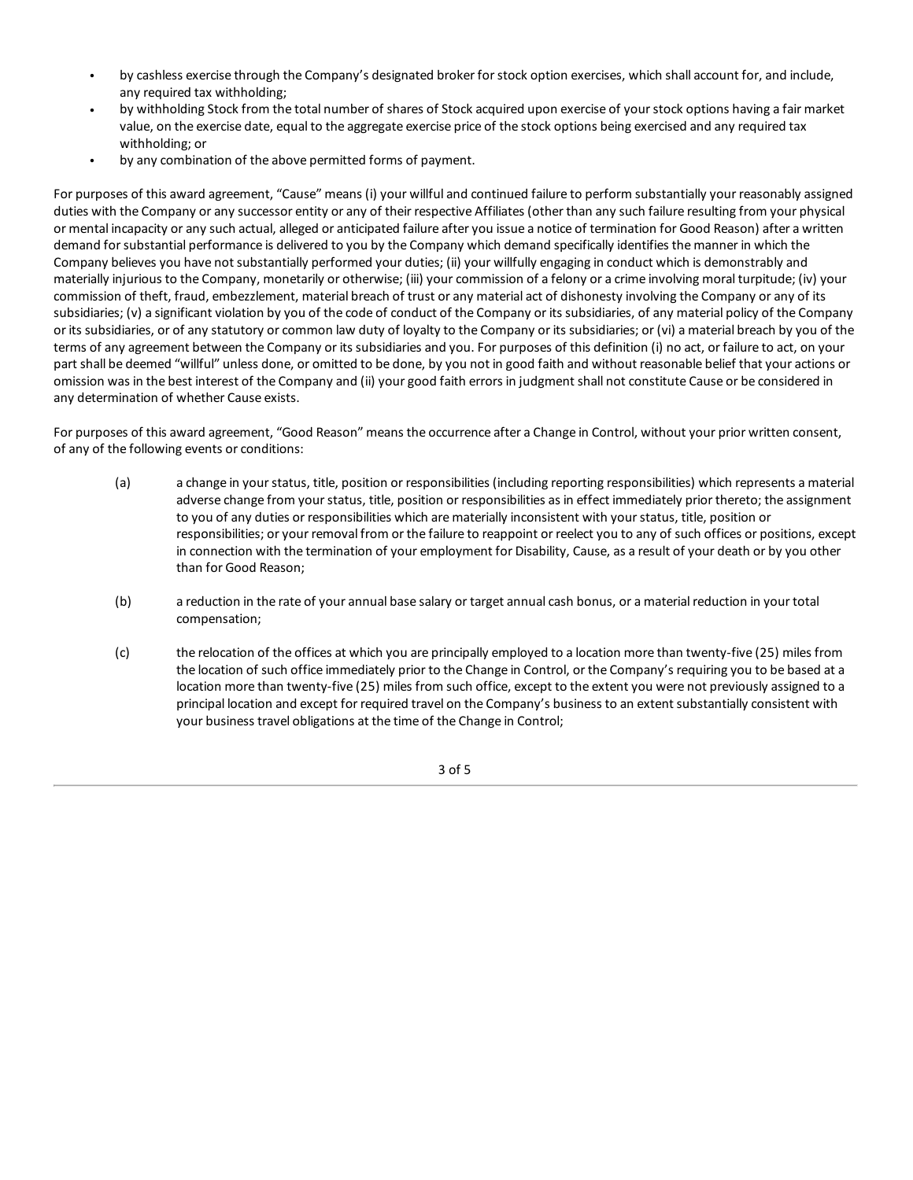- by cashless exercise through the Company's designated broker forstock option exercises, which shall account for, and include, any required tax withholding;
- by withholding Stock from the total number of shares of Stock acquired upon exercise of yourstock options having a fair market value, on the exercise date, equal to the aggregate exercise price of the stock options being exercised and any required tax withholding; or
- by any combination of the above permitted forms of payment.

For purposes of this award agreement, "Cause" means (i) your willful and continued failure to perform substantially your reasonably assigned duties with the Company or any successor entity or any of their respective Affiliates (other than any such failure resulting from your physical or mental incapacity or any such actual, alleged or anticipated failure after you issue a notice of termination for Good Reason) after a written demand forsubstantial performance is delivered to you by the Company which demand specifically identifies the manner in which the Company believes you have not substantially performed your duties; (ii) your willfully engaging in conduct which is demonstrably and materially injurious to the Company, monetarily or otherwise; (iii) your commission of a felony or a crime involving moral turpitude; (iv) your commission of theft, fraud, embezzlement, material breach of trust or any material act of dishonesty involving the Company or any of its subsidiaries; (v) a significant violation by you of the code of conduct of the Company or its subsidiaries, of any material policy of the Company or its subsidiaries, or of any statutory or common law duty of loyalty to the Company or its subsidiaries; or (vi) a material breach by you of the terms of any agreement between the Company or its subsidiaries and you. For purposes of this definition (i) no act, or failure to act, on your part shall be deemed "willful" unless done, or omitted to be done, by you not in good faith and without reasonable belief that your actions or omission was in the best interest of the Company and (ii) your good faith errors in judgment shall not constitute Cause or be considered in any determination of whether Cause exists.

For purposes of this award agreement, "Good Reason" means the occurrence after a Change in Control, without your prior written consent, of any of the following events or conditions:

- (a) a change in yourstatus, title, position or responsibilities (including reporting responsibilities) which represents a material adverse change from your status, title, position or responsibilities as in effect immediately prior thereto; the assignment to you of any duties or responsibilities which are materially inconsistent with yourstatus, title, position or responsibilities; or your removal from or the failure to reappoint or reelect you to any of such offices or positions, except in connection with the termination of your employment for Disability, Cause, as a result of your death or by you other than for Good Reason;
- (b) a reduction in the rate of your annual base salary or target annual cash bonus, or a materialreduction in your total compensation;
- (c) the relocation of the offices at which you are principally employed to a location more than twenty-five (25) miles from the location of such office immediately prior to the Change in Control, or the Company's requiring you to be based at a location more than twenty-five (25) miles from such office, except to the extent you were not previously assigned to a principal location and except for required travel on the Company's business to an extent substantially consistent with your business travel obligations at the time of the Change in Control;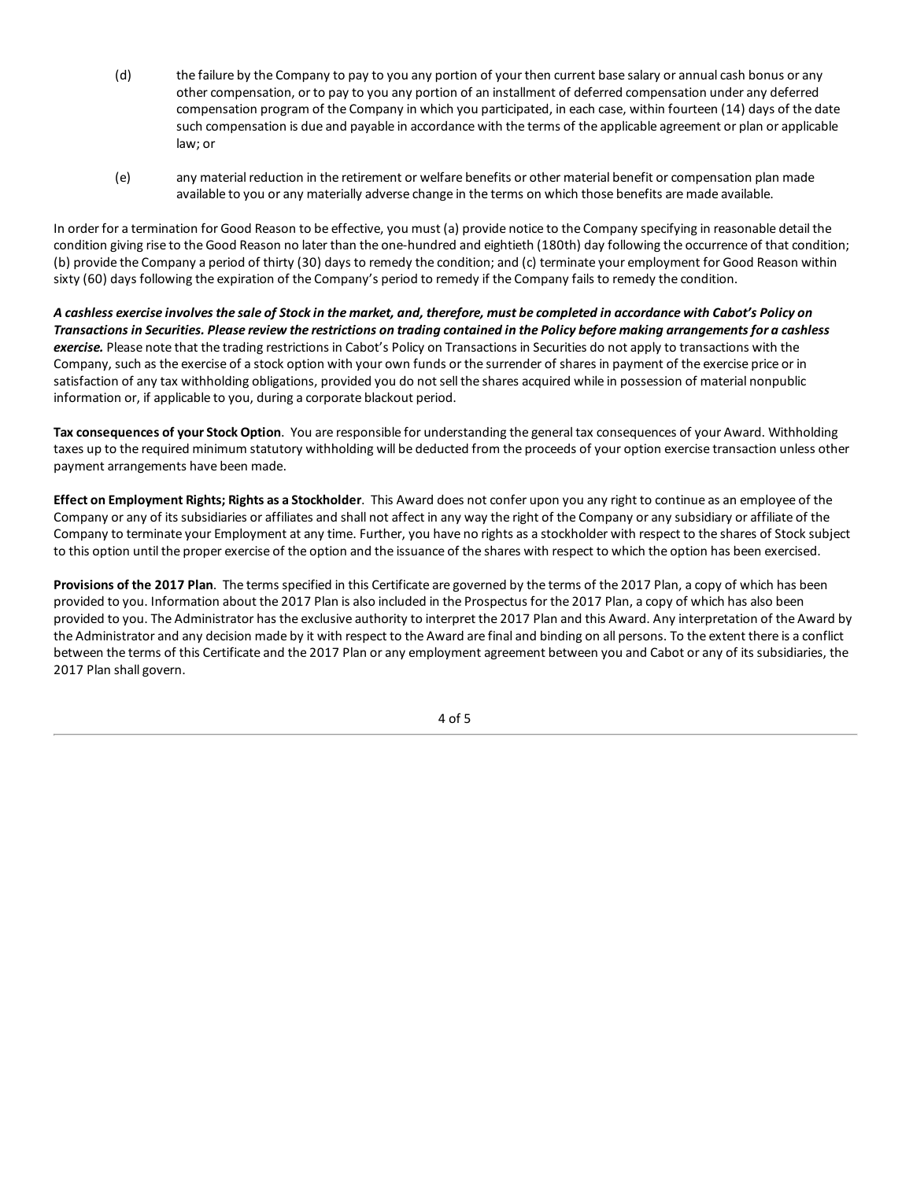- (d) the failure by the Company to pay to you any portion of your then current base salary or annual cash bonus or any other compensation, or to pay to you any portion of an installment of deferred compensation under any deferred compensation program of the Company in which you participated, in each case, within fourteen (14) days of the date such compensation is due and payable in accordance with the terms of the applicable agreement or plan or applicable law; or
- (e) any material reduction in the retirement or welfare benefits or other material benefit or compensation plan made available to you or any materially adverse change in the terms on which those benefits are made available.

In order for a termination for Good Reason to be effective, you must (a) provide notice to the Company specifying in reasonable detail the condition giving rise to the Good Reason no later than the one-hundred and eightieth (180th) day following the occurrence of that condition; (b) provide the Company a period of thirty (30) days to remedy the condition; and (c) terminate your employment for Good Reason within sixty (60) days following the expiration of the Company's period to remedy if the Company fails to remedy the condition.

A cashless exercise involves the sale of Stock in the market, and, therefore, must be completed in accordance with Cabot's Policy on Transactions in Securities. Please review the restrictions on trading contained in the Policy before making arrangements for a cashless *exercise.* Please note that the trading restrictions in Cabot's Policy on Transactions in Securities do not apply to transactions with the Company, such as the exercise of a stock option with your own funds or the surrender of shares in payment of the exercise price or in satisfaction of any tax withholding obligations, provided you do not sell the shares acquired while in possession of material nonpublic information or, if applicable to you, during a corporate blackout period.

**Tax consequences of your Stock Option**. You are responsible for understanding the general tax consequences of your Award. Withholding taxes up to the required minimum statutory withholding will be deducted from the proceeds of your option exercise transaction unless other payment arrangements have been made.

**Effect on Employment Rights; Rights as a Stockholder**. This Award does not confer upon you any right to continue as an employee of the Company or any of its subsidiaries or affiliates and shall not affect in any way the right of the Company or any subsidiary or affiliate of the Company to terminate your Employment at any time. Further, you have no rights as a stockholder with respect to the shares of Stock subject to this option until the proper exercise of the option and the issuance of the shares with respect to which the option has been exercised.

**Provisions of the 2017 Plan**. The terms specified in this Certificate are governed by the terms of the 2017 Plan, a copy of which has been provided to you. Information about the 2017 Plan is also included in the Prospectus for the 2017 Plan, a copy of which has also been provided to you. The Administrator has the exclusive authority to interpret the 2017 Plan and this Award. Any interpretation of the Award by the Administrator and any decision made by it with respect to the Award are final and binding on all persons. To the extent there is a conflict between the terms of this Certificate and the 2017 Plan or any employment agreement between you and Cabot or any of its subsidiaries, the 2017 Plan shall govern.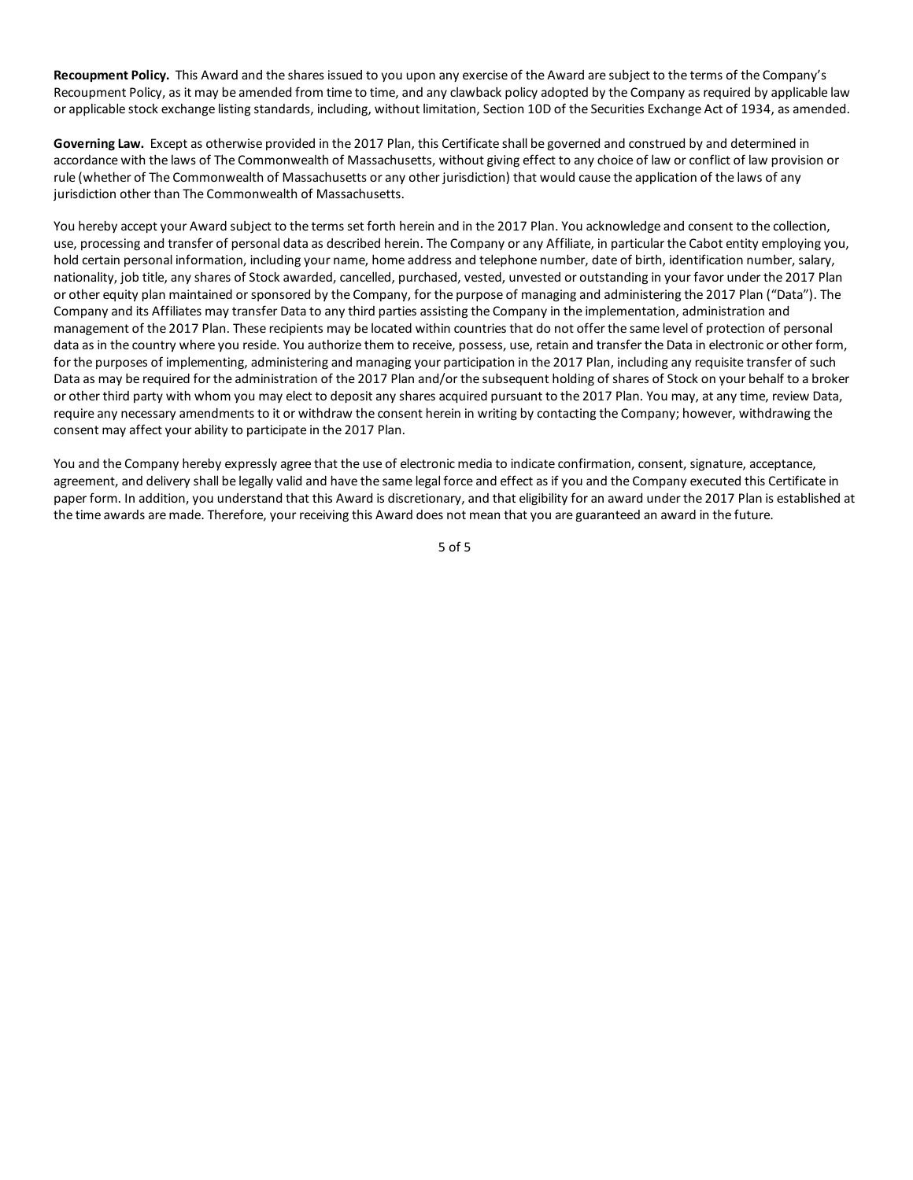**Recoupment Policy.** This Award and the shares issued to you upon any exercise of the Award are subject to the terms of the Company's Recoupment Policy, as it may be amended from time to time, and any clawback policy adopted by the Company as required by applicable law or applicable stock exchange listing standards, including, without limitation, Section 10D of the Securities Exchange Act of 1934, as amended.

**Governing Law.** Except as otherwise provided in the 2017 Plan, this Certificate shall be governed and construed by and determined in accordance with the laws of The Commonwealth of Massachusetts, without giving effect to any choice of law or conflict of law provision or rule (whether of The Commonwealth of Massachusetts or any other jurisdiction) that would cause the application of the laws of any jurisdiction other than The Commonwealth of Massachusetts.

You hereby accept your Award subject to the terms set forth herein and in the 2017 Plan. You acknowledge and consent to the collection, use, processing and transfer of personal data as described herein. The Company or any Affiliate, in particular the Cabot entity employing you, hold certain personal information, including your name, home address and telephone number, date of birth, identification number, salary, nationality, job title, any shares of Stock awarded, cancelled, purchased, vested, unvested or outstanding in your favor under the 2017 Plan or other equity plan maintained orsponsored by the Company, for the purpose of managing and administering the 2017 Plan ("Data"). The Company and its Affiliates may transfer Data to any third parties assisting the Company in the implementation, administration and management of the 2017 Plan. These recipients may be located within countries that do not offer the same level of protection of personal data as in the country where you reside. You authorize them to receive, possess, use, retain and transfer the Data in electronic or other form, for the purposes of implementing, administering and managing your participation in the 2017 Plan, including any requisite transfer of such Data as may be required for the administration of the 2017 Plan and/or the subsequent holding of shares of Stock on your behalf to a broker or other third party with whom you may elect to deposit any shares acquired pursuant to the 2017 Plan. You may, at any time, review Data, require any necessary amendments to it or withdraw the consent herein in writing by contacting the Company; however, withdrawing the consent may affect your ability to participate in the 2017 Plan.

You and the Company hereby expressly agree that the use of electronic media to indicate confirmation, consent, signature, acceptance, agreement, and delivery shall be legally valid and have the same legal force and effect as if you and the Company executed this Certificate in paper form. In addition, you understand that this Award is discretionary, and that eligibility for an award under the 2017 Plan is established at the time awards are made. Therefore, your receiving this Award does not mean that you are guaranteed an award in the future.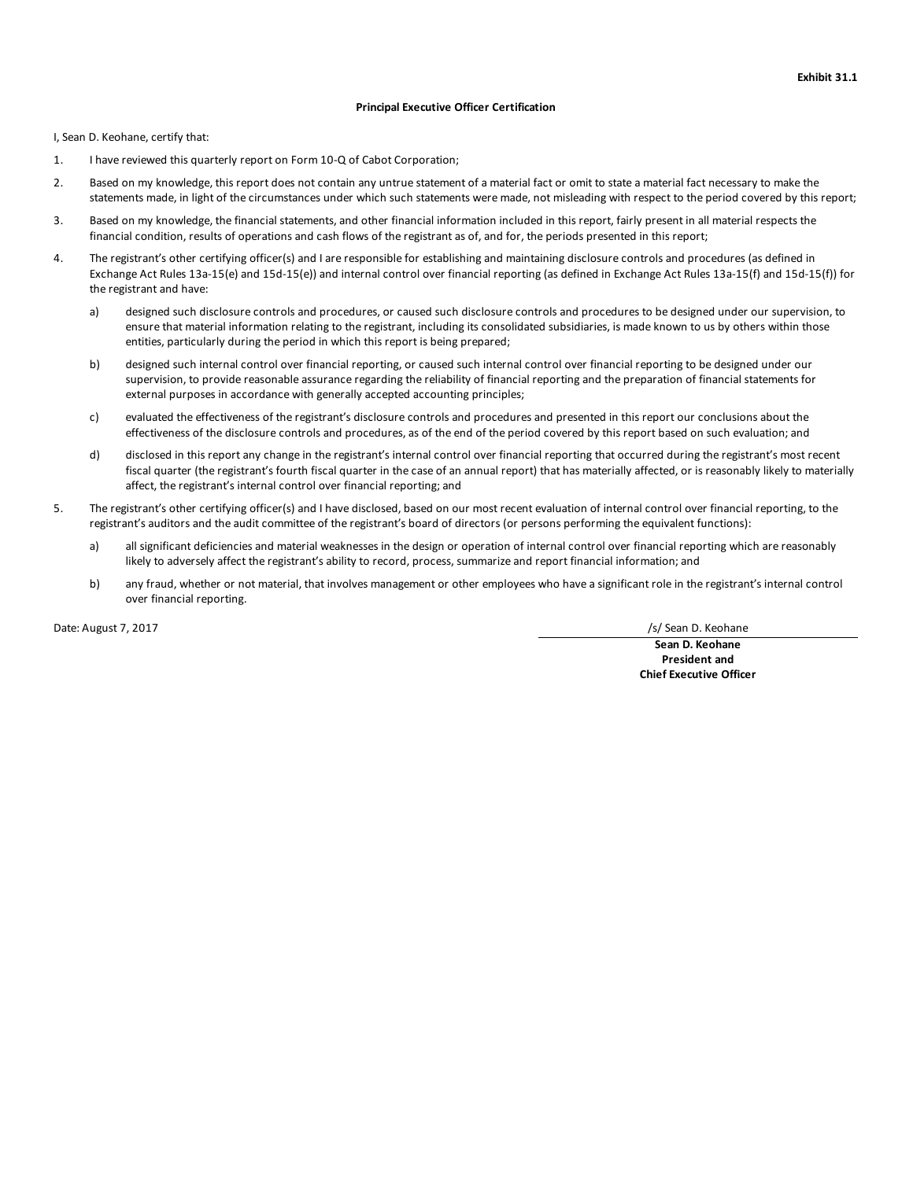#### **Principal Executive Officer Certification**

I, Sean D. Keohane, certify that:

- 1. I have reviewed this quarterly report on Form 10-Q of Cabot Corporation;
- 2. Based on my knowledge, this report does not contain any untrue statement of a material fact or omit to state a material fact necessary to make the statements made, in light of the circumstances under which such statements were made, not misleading with respect to the period covered by this report;
- 3. Based on my knowledge, the financial statements, and other financial information included in this report, fairly present in all material respects the financial condition, results of operations and cash flows of the registrant as of, and for, the periods presented in this report;
- 4. The registrant's other certifying officer(s) and I are responsible for establishing and maintaining disclosure controls and procedures (as defined in Exchange Act Rules 13a-15(e) and 15d-15(e)) and internal control over financial reporting (as defined in Exchange Act Rules 13a-15(f) and 15d-15(f)) for the registrant and have:
	- a) designed such disclosure controls and procedures, or caused such disclosure controls and procedures to be designed under our supervision, to ensure that material information relating to the registrant, including its consolidated subsidiaries, is made known to us by others within those entities, particularly during the period in which this report is being prepared;
	- b) designed such internal control over financial reporting, or caused such internal control over financial reporting to be designed under our supervision, to provide reasonable assurance regarding the reliability of financial reporting and the preparation of financial statements for external purposes in accordance with generally accepted accounting principles;
	- c) evaluated the effectiveness of the registrant's disclosure controls and procedures and presented in this report our conclusions about the effectiveness of the disclosure controls and procedures, as of the end of the period covered by this report based on such evaluation; and
	- d) disclosed in this report any change in the registrant's internal control over financial reporting that occurred during the registrant's most recent fiscal quarter (the registrant's fourth fiscal quarter in the case of an annual report) that has materially affected, or is reasonably likely to materially affect, the registrant's internal control over financial reporting; and
- 5. The registrant's other certifying officer(s) and I have disclosed, based on our most recent evaluation of internal control over financial reporting, to the registrant's auditors and the audit committee of the registrant's board of directors (or persons performing the equivalent functions):
	- a) all significant deficiencies and material weaknesses in the design or operation of internal control over financial reporting which are reasonably likely to adversely affect the registrant's ability to record, process, summarize and report financial information; and
	- b) any fraud, whether or not material, that involves management or other employees who have a significant role in the registrant's internal control over financial reporting.

Date: August 7, 2017 *Sigmer 2018 Date: August 7, 2017 Sigmer 2018 Compared 2018 Sigmer 2018 Compared 2018 Sigmer 2018 Sigmer 2018 Compared 2018 Compared 2019 Compared 2019 Compared 2019 Compared* 

**Sean D. Keohane President and Chief Executive Officer**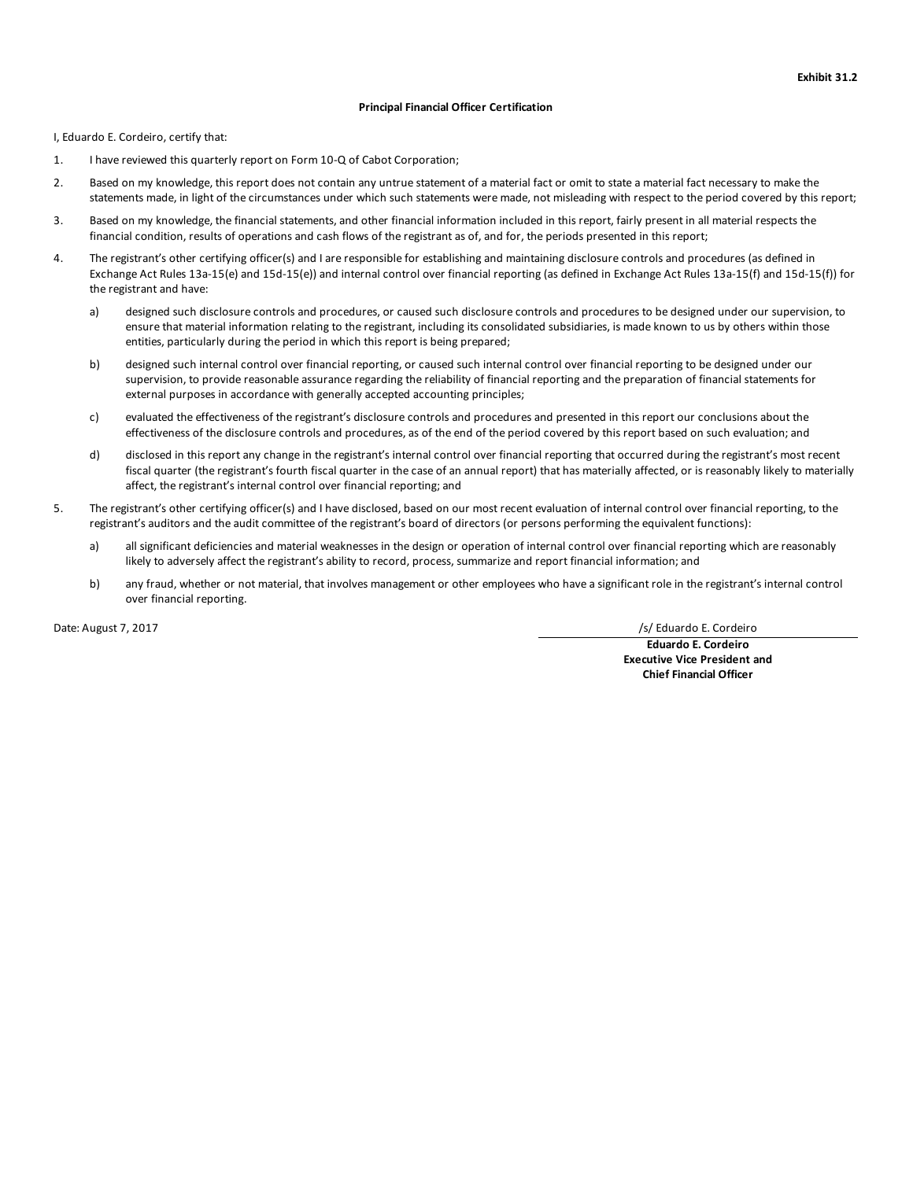#### **Principal Financial Officer Certification**

I, Eduardo E. Cordeiro, certify that:

- 1. I have reviewed this quarterly report on Form 10-Q of Cabot Corporation;
- 2. Based on my knowledge, this report does not contain any untrue statement of a material fact or omit to state a material fact necessary to make the statements made, in light of the circumstances under which such statements were made, not misleading with respect to the period covered by this report;
- 3. Based on my knowledge, the financial statements, and other financial information included in this report, fairly present in all material respects the financial condition, results of operations and cash flows of the registrant as of, and for, the periods presented in this report;
- 4. The registrant's other certifying officer(s) and I are responsible for establishing and maintaining disclosure controls and procedures (as defined in Exchange Act Rules 13a-15(e) and 15d-15(e)) and internal control over financial reporting (as defined in Exchange Act Rules 13a-15(f) and 15d-15(f)) for the registrant and have:
	- a) designed such disclosure controls and procedures, or caused such disclosure controls and procedures to be designed under our supervision, to ensure that material information relating to the registrant, including its consolidated subsidiaries, is made known to us by others within those entities, particularly during the period in which this report is being prepared;
	- b) designed such internal control over financial reporting, or caused such internal control over financial reporting to be designed under our supervision, to provide reasonable assurance regarding the reliability of financial reporting and the preparation of financial statements for external purposes in accordance with generally accepted accounting principles;
	- c) evaluated the effectiveness of the registrant's disclosure controls and procedures and presented in this report our conclusions about the effectiveness of the disclosure controls and procedures, as of the end of the period covered by this report based on such evaluation; and
	- d) disclosed in this report any change in the registrant's internal control over financial reporting that occurred during the registrant's most recent fiscal quarter (the registrant's fourth fiscal quarter in the case of an annual report) that has materially affected, or is reasonably likely to materially affect, the registrant's internal control over financial reporting; and
- 5. The registrant's other certifying officer(s) and I have disclosed, based on our most recent evaluation of internal control over financial reporting, to the registrant's auditors and the audit committee of the registrant's board of directors (or persons performing the equivalent functions):
	- a) all significant deficiencies and material weaknesses in the design or operation of internal control over financial reporting which are reasonably likely to adversely affect the registrant's ability to record, process, summarize and report financial information; and
	- b) any fraud, whether or not material, that involves management or other employees who have a significant role in the registrant's internal control over financial reporting.

Date: August 7, 2017 / 2007 / 2017 / 2017 / 2018 / 2019 / 2019 / 2019 / 2019 / 2019 / 2019 / 2019 / 2019 / 201

**Eduardo E. Cordeiro Executive Vice President and Chief Financial Officer**